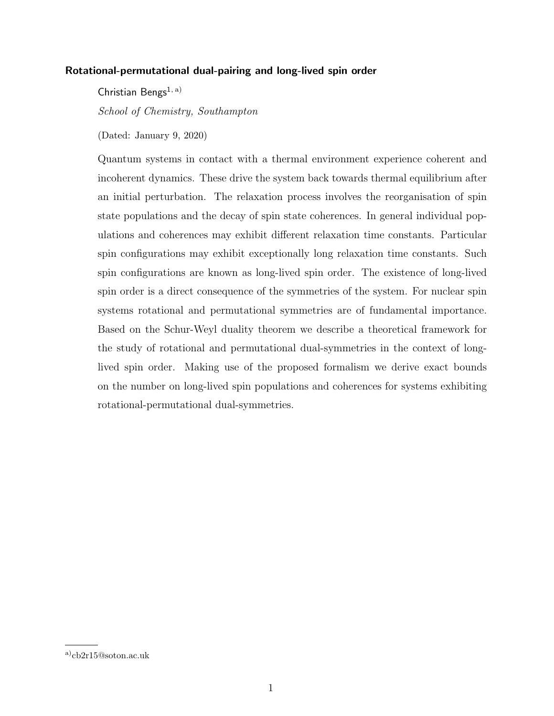## Rotational-permutational dual-pairing and long-lived spin order

Christian Bengs<sup>1, a)</sup> School of Chemistry, Southampton

(Dated: January 9, 2020)

Quantum systems in contact with a thermal environment experience coherent and incoherent dynamics. These drive the system back towards thermal equilibrium after an initial perturbation. The relaxation process involves the reorganisation of spin state populations and the decay of spin state coherences. In general individual populations and coherences may exhibit different relaxation time constants. Particular spin configurations may exhibit exceptionally long relaxation time constants. Such spin configurations are known as long-lived spin order. The existence of long-lived spin order is a direct consequence of the symmetries of the system. For nuclear spin systems rotational and permutational symmetries are of fundamental importance. Based on the Schur-Weyl duality theorem we describe a theoretical framework for the study of rotational and permutational dual-symmetries in the context of longlived spin order. Making use of the proposed formalism we derive exact bounds on the number on long-lived spin populations and coherences for systems exhibiting rotational-permutational dual-symmetries.

a)cb2r15@soton.ac.uk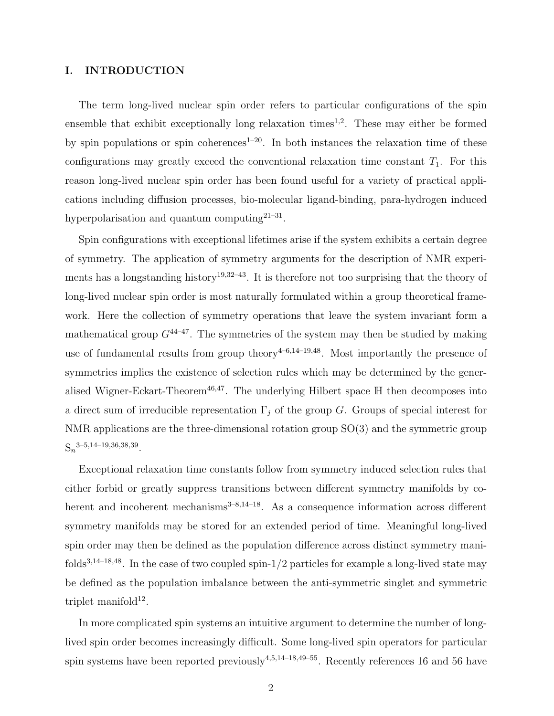## I. INTRODUCTION

The term long-lived nuclear spin order refers to particular configurations of the spin ensemble that exhibit exceptionally long relaxation times<sup>1,2</sup>. These may either be formed by spin populations or spin coherences<sup>1–20</sup>. In both instances the relaxation time of these configurations may greatly exceed the conventional relaxation time constant  $T_1$ . For this reason long-lived nuclear spin order has been found useful for a variety of practical applications including diffusion processes, bio-molecular ligand-binding, para-hydrogen induced hyperpolarisation and quantum computing<sup>21-31</sup>.

Spin configurations with exceptional lifetimes arise if the system exhibits a certain degree of symmetry. The application of symmetry arguments for the description of NMR experiments has a longstanding history<sup>19,32–43</sup>. It is therefore not too surprising that the theory of long-lived nuclear spin order is most naturally formulated within a group theoretical framework. Here the collection of symmetry operations that leave the system invariant form a mathematical group  $G^{44-47}$ . The symmetries of the system may then be studied by making use of fundamental results from group theory<sup> $4-6,14-19,48$ </sup>. Most importantly the presence of symmetries implies the existence of selection rules which may be determined by the generalised Wigner-Eckart-Theorem<sup>46,47</sup>. The underlying Hilbert space  $H$  then decomposes into a direct sum of irreducible representation  $\Gamma_i$  of the group G. Groups of special interest for NMR applications are the three-dimensional rotation group SO(3) and the symmetric group  $S_n^{3-5,14-19,36,38,39}.$ 

Exceptional relaxation time constants follow from symmetry induced selection rules that either forbid or greatly suppress transitions between different symmetry manifolds by coherent and incoherent mechanisms $3-8,14-18$ . As a consequence information across different symmetry manifolds may be stored for an extended period of time. Meaningful long-lived spin order may then be defined as the population difference across distinct symmetry manifolds<sup>3,14–18,48</sup>. In the case of two coupled spin-1/2 particles for example a long-lived state may be defined as the population imbalance between the anti-symmetric singlet and symmetric triplet manifold $12$ .

In more complicated spin systems an intuitive argument to determine the number of longlived spin order becomes increasingly difficult. Some long-lived spin operators for particular spin systems have been reported previously<sup>4,5,14–18,49–55</sup>. Recently references 16 and 56 have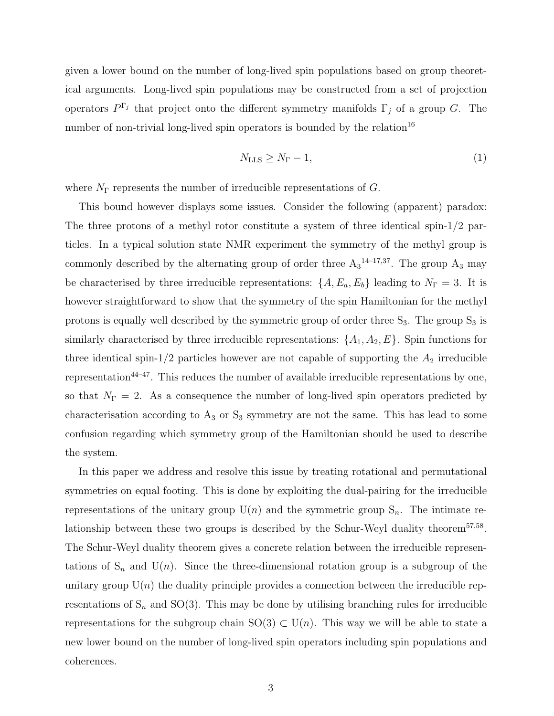given a lower bound on the number of long-lived spin populations based on group theoretical arguments. Long-lived spin populations may be constructed from a set of projection operators  $P^{\Gamma_j}$  that project onto the different symmetry manifolds  $\Gamma_j$  of a group G. The number of non-trivial long-lived spin operators is bounded by the relation<sup>16</sup>

$$
N_{\rm LLS} \ge N_{\Gamma} - 1,\tag{1}
$$

where  $N_{\Gamma}$  represents the number of irreducible representations of G.

This bound however displays some issues. Consider the following (apparent) paradox: The three protons of a methyl rotor constitute a system of three identical spin-1/2 particles. In a typical solution state NMR experiment the symmetry of the methyl group is commonly described by the alternating group of order three  $A_3^{14-17,37}$ . The group  $A_3$  may be characterised by three irreducible representations:  $\{A, E_a, E_b\}$  leading to  $N_{\Gamma} = 3$ . It is however straightforward to show that the symmetry of the spin Hamiltonian for the methyl protons is equally well described by the symmetric group of order three  $S_3$ . The group  $S_3$  is similarly characterised by three irreducible representations:  $\{A_1, A_2, E\}$ . Spin functions for three identical spin-1/2 particles however are not capable of supporting the  $A_2$  irreducible representation<sup>44–47</sup>. This reduces the number of available irreducible representations by one, so that  $N_{\Gamma} = 2$ . As a consequence the number of long-lived spin operators predicted by characterisation according to  $A_3$  or  $S_3$  symmetry are not the same. This has lead to some confusion regarding which symmetry group of the Hamiltonian should be used to describe the system.

In this paper we address and resolve this issue by treating rotational and permutational symmetries on equal footing. This is done by exploiting the dual-pairing for the irreducible representations of the unitary group  $U(n)$  and the symmetric group  $S_n$ . The intimate relationship between these two groups is described by the Schur-Weyl duality theorem<sup>57,58</sup>. The Schur-Weyl duality theorem gives a concrete relation between the irreducible representations of  $S_n$  and  $U(n)$ . Since the three-dimensional rotation group is a subgroup of the unitary group  $U(n)$  the duality principle provides a connection between the irreducible representations of  $S_n$  and  $SO(3)$ . This may be done by utilising branching rules for irreducible representations for the subgroup chain  $SO(3) \subset U(n)$ . This way we will be able to state a new lower bound on the number of long-lived spin operators including spin populations and coherences.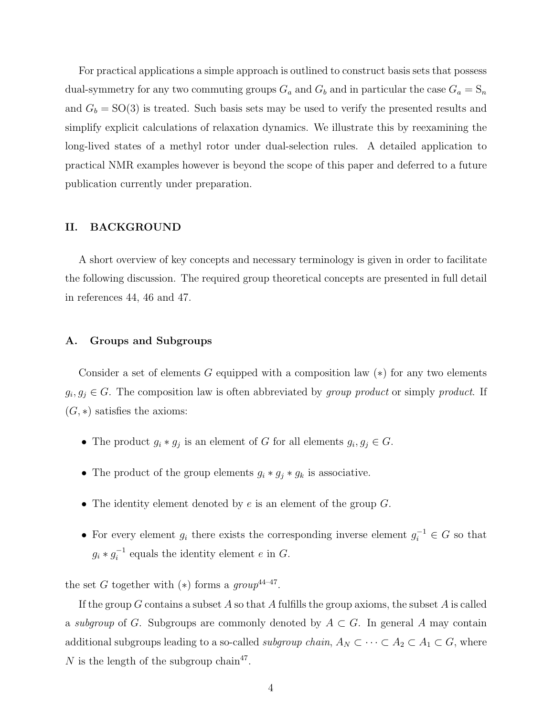For practical applications a simple approach is outlined to construct basis sets that possess dual-symmetry for any two commuting groups  $G_a$  and  $G_b$  and in particular the case  $G_a = S_n$ and  $G_b = SO(3)$  is treated. Such basis sets may be used to verify the presented results and simplify explicit calculations of relaxation dynamics. We illustrate this by reexamining the long-lived states of a methyl rotor under dual-selection rules. A detailed application to practical NMR examples however is beyond the scope of this paper and deferred to a future publication currently under preparation.

### II. BACKGROUND

A short overview of key concepts and necessary terminology is given in order to facilitate the following discussion. The required group theoretical concepts are presented in full detail in references 44, 46 and 47.

### A. Groups and Subgroups

Consider a set of elements G equipped with a composition law  $(*)$  for any two elements  $g_i, g_j \in G$ . The composition law is often abbreviated by group product or simply product. If  $(G, *)$  satisfies the axioms:

- The product  $g_i * g_j$  is an element of G for all elements  $g_i, g_j \in G$ .
- The product of the group elements  $g_i * g_j * g_k$  is associative.
- The identity element denoted by  $e$  is an element of the group  $G$ .
- For every element  $g_i$  there exists the corresponding inverse element  $g_i^{-1} \in G$  so that  $g_i * g_i^{-1}$  $i^{-1}$  equals the identity element e in G.

the set G together with  $(*)$  forms a group<sup>44-47</sup>.

If the group G contains a subset A so that A fulfills the group axioms, the subset A is called a subgroup of G. Subgroups are commonly denoted by  $A \subset G$ . In general A may contain additional subgroups leading to a so-called *subgroup chain*,  $A_N \subset \cdots \subset A_2 \subset A_1 \subset G$ , where N is the length of the subgroup chain<sup>47</sup>.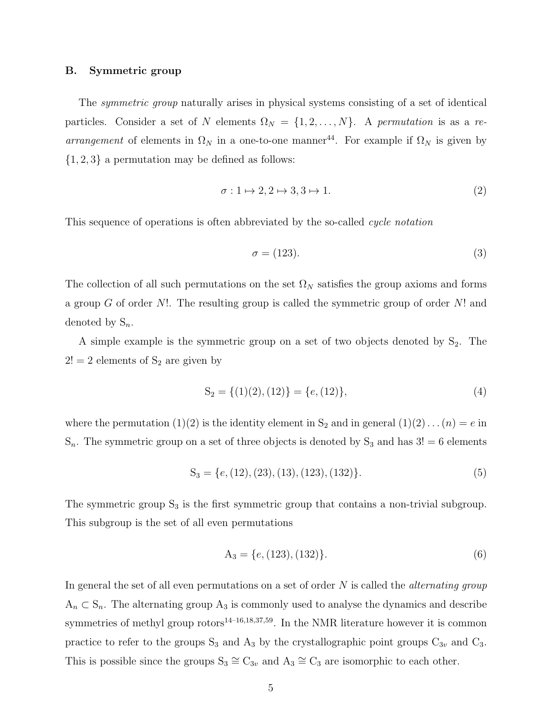### B. Symmetric group

The symmetric group naturally arises in physical systems consisting of a set of identical particles. Consider a set of N elements  $\Omega_N = \{1, 2, ..., N\}$ . A permutation is as a rearrangement of elements in  $\Omega_N$  in a one-to-one manner<sup>44</sup>. For example if  $\Omega_N$  is given by  $\{1, 2, 3\}$  a permutation may be defined as follows:

$$
\sigma: 1 \mapsto 2, 2 \mapsto 3, 3 \mapsto 1. \tag{2}
$$

This sequence of operations is often abbreviated by the so-called *cycle notation* 

$$
\sigma = (123). \tag{3}
$$

The collection of all such permutations on the set  $\Omega_N$  satisfies the group axioms and forms a group G of order  $N!$ . The resulting group is called the symmetric group of order  $N!$  and denoted by  $S_n$ .

A simple example is the symmetric group on a set of two objects denoted by  $S_2$ . The  $2! = 2$  elements of  $S_2$  are given by

$$
S_2 = \{(1)(2), (12)\} = \{e, (12)\},\tag{4}
$$

where the permutation (1)(2) is the identity element in  $S_2$  and in general (1)(2)... (n) = e in  $S_n$ . The symmetric group on a set of three objects is denoted by  $S_3$  and has  $3! = 6$  elements

$$
S_3 = \{e, (12), (23), (13), (123), (132)\}.
$$
 (5)

The symmetric group  $S_3$  is the first symmetric group that contains a non-trivial subgroup. This subgroup is the set of all even permutations

$$
A_3 = \{e, (123), (132)\}.
$$
 (6)

In general the set of all even permutations on a set of order  $N$  is called the *alternating group*  $A_n \subset S_n$ . The alternating group  $A_3$  is commonly used to analyse the dynamics and describe symmetries of methyl group rotors<sup>14–16,18,37,59</sup>. In the NMR literature however it is common practice to refer to the groups  $S_3$  and  $A_3$  by the crystallographic point groups  $C_{3v}$  and  $C_3$ . This is possible since the groups  $S_3 \cong C_{3v}$  and  $A_3 \cong C_3$  are isomorphic to each other.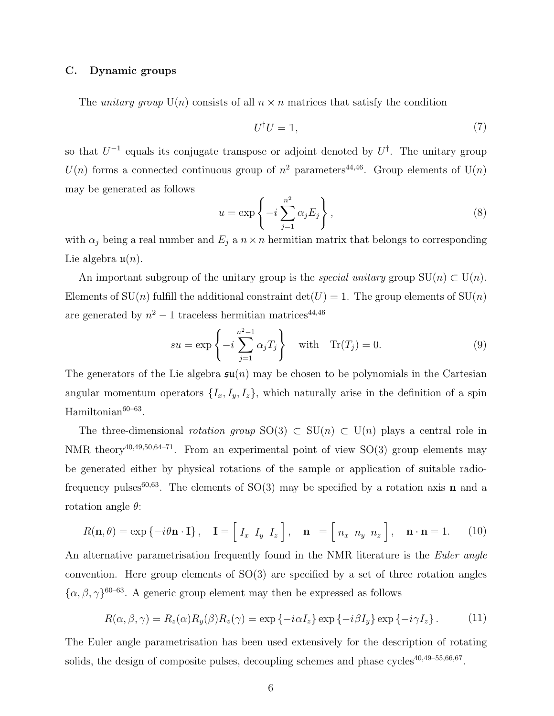### C. Dynamic groups

The *unitary group*  $U(n)$  consists of all  $n \times n$  matrices that satisfy the condition

$$
U^{\dagger}U = \mathbb{1},\tag{7}
$$

so that  $U^{-1}$  equals its conjugate transpose or adjoint denoted by  $U^{\dagger}$ . The unitary group  $U(n)$  forms a connected continuous group of  $n^2$  parameters<sup>44,46</sup>. Group elements of  $U(n)$ may be generated as follows

$$
u = \exp\left\{-i\sum_{j=1}^{n^2} \alpha_j E_j\right\},\tag{8}
$$

with  $\alpha_j$  being a real number and  $E_j$  a  $n \times n$  hermitian matrix that belongs to corresponding Lie algebra  $\mathfrak{u}(n)$ .

An important subgroup of the unitary group is the *special unitary* group  $SU(n) \subset U(n)$ . Elements of  $SU(n)$  fulfill the additional constraint  $det(U) = 1$ . The group elements of  $SU(n)$ are generated by  $n^2 - 1$  traceless hermitian matrices<sup>44,46</sup>

$$
su = \exp\left\{-i\sum_{j=1}^{n^2-1} \alpha_j T_j\right\} \quad \text{with} \quad \text{Tr}(T_j) = 0. \tag{9}
$$

The generators of the Lie algebra  $\mathfrak{su}(n)$  may be chosen to be polynomials in the Cartesian angular momentum operators  $\{I_x, I_y, I_z\}$ , which naturally arise in the definition of a spin Hamiltonian<sup>60–63</sup>.

The three-dimensional *rotation group*  $SO(3) \subset SU(n) \subset U(n)$  plays a central role in NMR theory<sup>40,49,50,64-71</sup>. From an experimental point of view  $SO(3)$  group elements may be generated either by physical rotations of the sample or application of suitable radiofrequency pulses<sup>60,63</sup>. The elements of  $SO(3)$  may be specified by a rotation axis **n** and a rotation angle  $\theta$ :

$$
R(\mathbf{n},\theta) = \exp\{-i\theta\mathbf{n}\cdot\mathbf{I}\}, \quad \mathbf{I} = \begin{bmatrix} I_x & I_y & I_z \end{bmatrix}, \quad \mathbf{n} = \begin{bmatrix} n_x & n_y & n_z \end{bmatrix}, \quad \mathbf{n}\cdot\mathbf{n} = 1. \tag{10}
$$

An alternative parametrisation frequently found in the NMR literature is the Euler angle convention. Here group elements of  $SO(3)$  are specified by a set of three rotation angles  $\{\alpha, \beta, \gamma\}^{60-63}$ . A generic group element may then be expressed as follows

$$
R(\alpha, \beta, \gamma) = R_z(\alpha) R_y(\beta) R_z(\gamma) = \exp \{-i\alpha I_z\} \exp \{-i\beta I_y\} \exp \{-i\gamma I_z\}.
$$
 (11)

The Euler angle parametrisation has been used extensively for the description of rotating solids, the design of composite pulses, decoupling schemes and phase cycles<sup>40,49–55,66,67</sup>.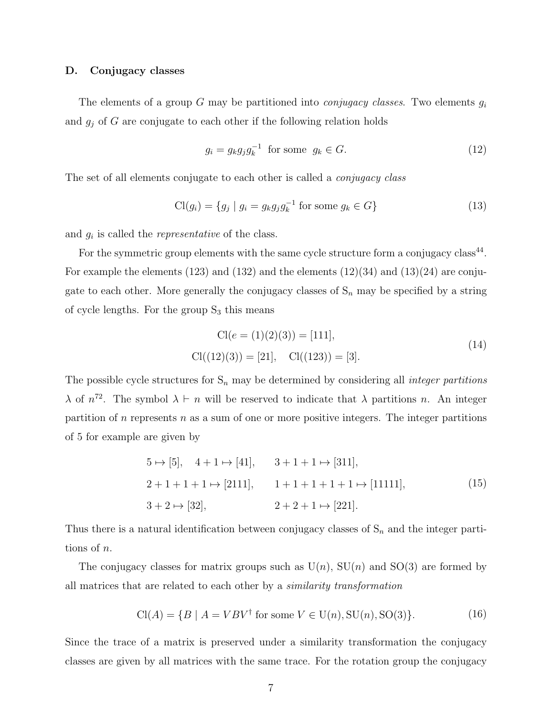### D. Conjugacy classes

The elements of a group G may be partitioned into *conjugacy classes*. Two elements  $g_i$ and  $g_j$  of G are conjugate to each other if the following relation holds

$$
g_i = g_k g_j g_k^{-1} \text{ for some } g_k \in G. \tag{12}
$$

The set of all elements conjugate to each other is called a *conjugacy class* 

$$
\text{Cl}(g_i) = \{g_j \mid g_i = g_k g_j g_k^{-1} \text{ for some } g_k \in G\}
$$
\n
$$
(13)
$$

and  $g_i$  is called the *representative* of the class.

For the symmetric group elements with the same cycle structure form a conjugacy class<sup>44</sup>. For example the elements (123) and (132) and the elements (12)(34) and (13)(24) are conjugate to each other. More generally the conjugacy classes of  $S_n$  may be specified by a string of cycle lengths. For the group  $S_3$  this means

$$
Cl(e = (1)(2)(3)) = [111],
$$
  
\n
$$
Cl((12)(3)) = [21], \quad Cl((123)) = [3].
$$
\n(14)

The possible cycle structures for  $S_n$  may be determined by considering all *integer partitions*  $\lambda$  of  $n^{72}$ . The symbol  $\lambda \vdash n$  will be reserved to indicate that  $\lambda$  partitions n. An integer partition of  $n$  represents  $n$  as a sum of one or more positive integers. The integer partitions of 5 for example are given by

$$
5 \mapsto [5], \quad 4+1 \mapsto [41], \qquad 3+1+1 \mapsto [311],
$$
  
\n
$$
2+1+1+1 \mapsto [2111], \qquad 1+1+1+1+1 \mapsto [11111],
$$
  
\n
$$
3+2 \mapsto [32], \qquad 2+2+1 \mapsto [221].
$$
  
\n(15)

Thus there is a natural identification between conjugacy classes of  $S_n$  and the integer partitions of n.

The conjugacy classes for matrix groups such as  $U(n)$ ,  $SU(n)$  and  $SO(3)$  are formed by all matrices that are related to each other by a similarity transformation

$$
Cl(A) = \{B \mid A = VBV^{\dagger} \text{ for some } V \in U(n), SU(n), SO(3)\}.
$$
 (16)

Since the trace of a matrix is preserved under a similarity transformation the conjugacy classes are given by all matrices with the same trace. For the rotation group the conjugacy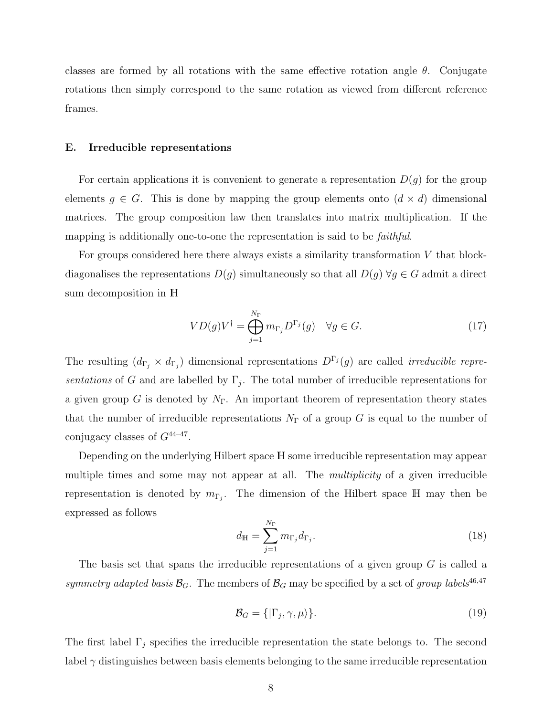classes are formed by all rotations with the same effective rotation angle  $\theta$ . Conjugate rotations then simply correspond to the same rotation as viewed from different reference frames.

### E. Irreducible representations

For certain applications it is convenient to generate a representation  $D(g)$  for the group elements  $g \in G$ . This is done by mapping the group elements onto  $(d \times d)$  dimensional matrices. The group composition law then translates into matrix multiplication. If the mapping is additionally one-to-one the representation is said to be *faithful*.

For groups considered here there always exists a similarity transformation  $V$  that blockdiagonalises the representations  $D(g)$  simultaneously so that all  $D(g) \forall g \in G$  admit a direct sum decomposition in H

$$
VD(g)V^{\dagger} = \bigoplus_{j=1}^{N_{\Gamma}} m_{\Gamma_j} D^{\Gamma_j}(g) \quad \forall g \in G.
$$
 (17)

The resulting  $(d_{\Gamma_j} \times d_{\Gamma_j})$  dimensional representations  $D^{\Gamma_j}(g)$  are called *irreducible repre*sentations of G and are labelled by  $\Gamma_j$ . The total number of irreducible representations for a given group G is denoted by  $N_{\Gamma}$ . An important theorem of representation theory states that the number of irreducible representations  $N_{\Gamma}$  of a group G is equal to the number of conjugacy classes of  $G^{44-47}$ .

Depending on the underlying Hilbert space H some irreducible representation may appear multiple times and some may not appear at all. The *multiplicity* of a given irreducible representation is denoted by  $m_{\Gamma_j}$ . The dimension of the Hilbert space H may then be expressed as follows

$$
d_{\mathbb{H}} = \sum_{j=1}^{N_{\Gamma}} m_{\Gamma_j} d_{\Gamma_j}.
$$
\n(18)

The basis set that spans the irreducible representations of a given group G is called a symmetry adapted basis  $\mathcal{B}_G$ . The members of  $\mathcal{B}_G$  may be specified by a set of group labels<sup>46,47</sup>

$$
\mathcal{B}_G = \{ |\Gamma_j, \gamma, \mu \rangle \}. \tag{19}
$$

The first label  $\Gamma_j$  specifies the irreducible representation the state belongs to. The second label  $\gamma$  distinguishes between basis elements belonging to the same irreducible representation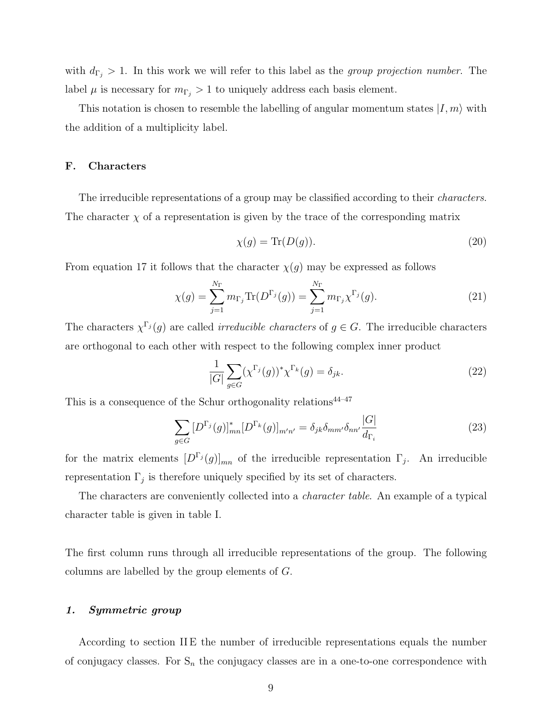with  $d_{\Gamma_j} > 1$ . In this work we will refer to this label as the group projection number. The label  $\mu$  is necessary for  $m_{\Gamma_j} > 1$  to uniquely address each basis element.

This notation is chosen to resemble the labelling of angular momentum states  $|I, m\rangle$  with the addition of a multiplicity label.

## F. Characters

The irreducible representations of a group may be classified according to their *characters*. The character  $\chi$  of a representation is given by the trace of the corresponding matrix

$$
\chi(g) = \text{Tr}(D(g)).\tag{20}
$$

From equation 17 it follows that the character  $\chi(g)$  may be expressed as follows

$$
\chi(g) = \sum_{j=1}^{N_{\Gamma}} m_{\Gamma_j} \text{Tr}(D^{\Gamma_j}(g)) = \sum_{j=1}^{N_{\Gamma}} m_{\Gamma_j} \chi^{\Gamma_j}(g).
$$
\n(21)

The characters  $\chi^{\Gamma_j}(g)$  are called *irreducible characters* of  $g \in G$ . The irreducible characters are orthogonal to each other with respect to the following complex inner product

$$
\frac{1}{|G|} \sum_{g \in G} (\chi^{\Gamma_j}(g))^* \chi^{\Gamma_k}(g) = \delta_{jk}.
$$
\n(22)

 $|\sim|$ 

This is a consequence of the Schur orthogonality relations<sup> $44-47$ </sup>

$$
\sum_{g \in G} [D^{\Gamma_j}(g)]^*_{mn} [D^{\Gamma_k}(g)]_{m'n'} = \delta_{jk} \delta_{mm'} \delta_{nn'} \frac{|G|}{d_{\Gamma_i}}
$$
(23)

for the matrix elements  $[D^{\Gamma_j}(g)]_{mn}$  of the irreducible representation  $\Gamma_j$ . An irreducible representation  $\Gamma_j$  is therefore uniquely specified by its set of characters.

The characters are conveniently collected into a character table. An example of a typical character table is given in table I.

The first column runs through all irreducible representations of the group. The following columns are labelled by the group elements of G.

### 1. Symmetric group

According to section II E the number of irreducible representations equals the number of conjugacy classes. For  $S_n$  the conjugacy classes are in a one-to-one correspondence with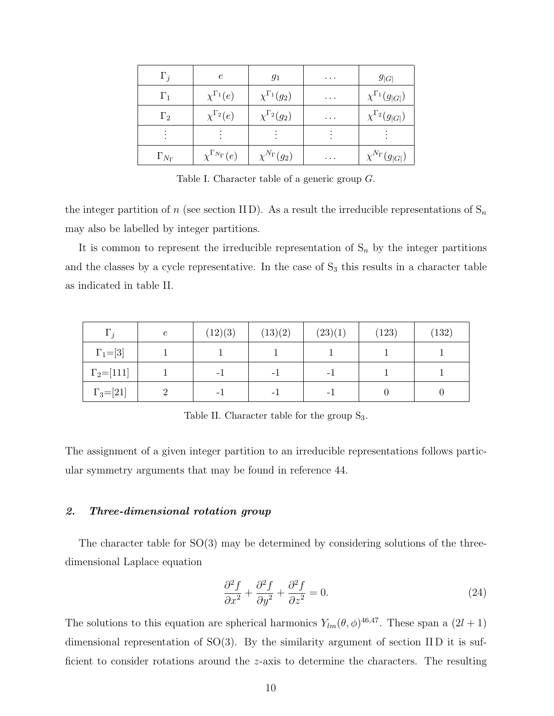| $\Gamma_j$          | $\epsilon$                    | 91                       | .        | $g_{ G }$                    |
|---------------------|-------------------------------|--------------------------|----------|------------------------------|
| $\Gamma_1$          | $\chi^{\Gamma_1}(e)$          | $\chi^{\Gamma_1}(g_2)$   | $\cdots$ | $\chi^{\Gamma_1}(g_{ G })$   |
| $\Gamma_2$          | $\chi^{\Gamma_2}(e)$          | $\chi^{\Gamma_2}(g_2)$   | $\cdots$ | $\chi^{\Gamma_2}(g_{ G })$   |
|                     |                               |                          |          |                              |
| $\Gamma_{N_\Gamma}$ | $\chi^{\Gamma_{N_\Gamma}}(e)$ | $\chi^{N_{\Gamma}}(g_2)$ | .        | $\chi^{N_{\Gamma}}(g_{ G })$ |

Table I. Character table of a generic group G.

the integer partition of n (see section IID). As a result the irreducible representations of  $S_n$ may also be labelled by integer partitions.

It is common to represent the irreducible representation of  $S_n$  by the integer partitions and the classes by a cycle representative. In the case of  $S_3$  this results in a character table as indicated in table II.

| $\Gamma_i$         | $\epsilon$ | (12)(3) | (13)(2) | (23)(1) | (123) | (132) |
|--------------------|------------|---------|---------|---------|-------|-------|
| $\Gamma_1 = [3]$   |            |         |         |         |       |       |
| $\Gamma_2 = [111]$ |            | - 1     | - 1     | - 1     |       |       |
| $\Gamma_3 = [21]$  |            | - 1     | - 1     | - 1     |       |       |

Table II. Character table for the group  $S_3$ .

The assignment of a given integer partition to an irreducible representations follows particular symmetry arguments that may be found in reference 44.

## 2. Three-dimensional rotation group

The character table for  $SO(3)$  may be determined by considering solutions of the threedimensional Laplace equation

$$
\frac{\partial^2 f}{\partial x^2} + \frac{\partial^2 f}{\partial y^2} + \frac{\partial^2 f}{\partial z^2} = 0.
$$
 (24)

The solutions to this equation are spherical harmonics  $Y_{lm}(\theta, \phi)^{46,47}$ . These span a  $(2l + 1)$ dimensional representation of SO(3). By the similarity argument of section II D it is sufficient to consider rotations around the z-axis to determine the characters. The resulting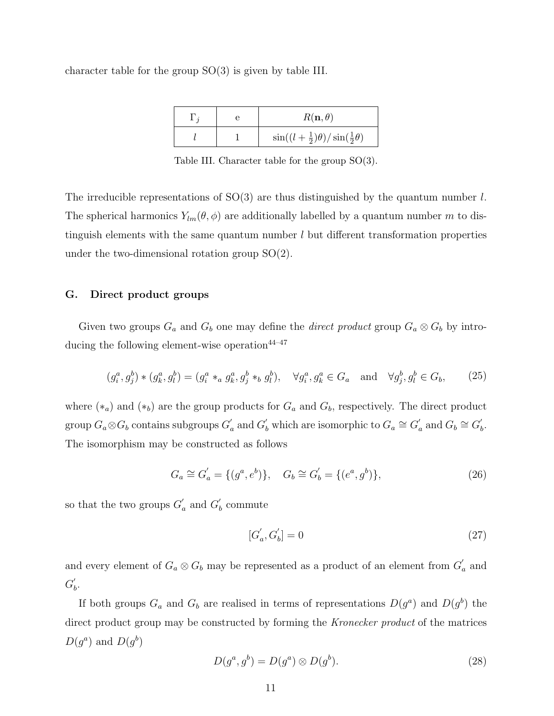character table for the group SO(3) is given by table III.

|  | $R(\mathbf{n},\theta)$                                |
|--|-------------------------------------------------------|
|  | $\sin((l+\frac{1}{2})\theta)/\sin(\frac{1}{2}\theta)$ |

Table III. Character table for the group SO(3).

The irreducible representations of  $SO(3)$  are thus distinguished by the quantum number l. The spherical harmonics  $Y_{lm}(\theta, \phi)$  are additionally labelled by a quantum number m to distinguish elements with the same quantum number  $l$  but different transformation properties under the two-dimensional rotation group SO(2).

## G. Direct product groups

Given two groups  $G_a$  and  $G_b$  one may define the *direct product* group  $G_a \otimes G_b$  by introducing the following element-wise operation $44-47$ 

$$
(g_i^a, g_j^b) * (g_k^a, g_l^b) = (g_i^a *_a g_k^a, g_j^b *_b g_l^b), \quad \forall g_i^a, g_k^a \in G_a \quad \text{and} \quad \forall g_j^b, g_l^b \in G_b,
$$
 (25)

where  $(*_a)$  and  $(*_b)$  are the group products for  $G_a$  and  $G_b$ , respectively. The direct product group  $G_a{\otimes} G_b$  contains subgroups  $G_a'$  $a'_a$  and  $G'_b$  which are isomorphic to  $G_a \cong G'_c$  $a'$  and  $G_b \cong G'_b$  $\frac{b}{b}$ . The isomorphism may be constructed as follows

$$
G_a \cong G'_a = \{ (g^a, e^b) \}, \quad G_b \cong G'_b = \{ (e^a, g^b) \},
$$
\n(26)

so that the two groups  $G'$  $a'$  and  $G'$  $\boldsymbol{h}_b$  commute

$$
[G'_a, G'_b] = 0 \tag{27}
$$

and every element of  $G_a \otimes G_b$  may be represented as a product of an element from  $G_c'$  $a \text{ and}$  $G'_{l}$  $\frac{b}{b}$ .

If both groups  $G_a$  and  $G_b$  are realised in terms of representations  $D(g^a)$  and  $D(g^b)$  the direct product group may be constructed by forming the *Kronecker product* of the matrices  $D(g^a)$  and  $D(g^b)$ 

$$
D(g^a, g^b) = D(g^a) \otimes D(g^b). \tag{28}
$$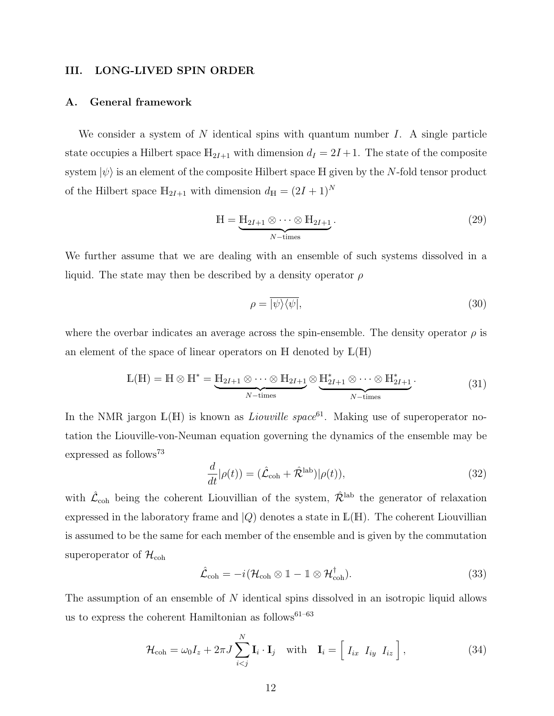## III. LONG-LIVED SPIN ORDER

### A. General framework

We consider a system of N identical spins with quantum number  $I$ . A single particle state occupies a Hilbert space  $\mathbb{H}_{2I+1}$  with dimension  $d_I = 2I + 1$ . The state of the composite system  $|\psi\rangle$  is an element of the composite Hilbert space H given by the N-fold tensor product of the Hilbert space  $\mathbb{H}_{2I+1}$  with dimension  $d_{\mathbb{H}} = (2I + 1)^N$ 

$$
\mathbb{H} = \underbrace{\mathbb{H}_{2I+1} \otimes \cdots \otimes \mathbb{H}_{2I+1}}_{N-\text{times}}.
$$
\n(29)

We further assume that we are dealing with an ensemble of such systems dissolved in a liquid. The state may then be described by a density operator  $\rho$ 

$$
\rho = \overline{|\psi\rangle\langle\psi|},\tag{30}
$$

where the overbar indicates an average across the spin-ensemble. The density operator  $\rho$  is an element of the space of linear operators on  $H$  denoted by  $L(H)$ 

$$
\mathbb{L}(\mathbb{H}) = \mathbb{H} \otimes \mathbb{H}^* = \underbrace{\mathbb{H}_{2I+1} \otimes \cdots \otimes \mathbb{H}_{2I+1}}_{N-\text{times}} \otimes \underbrace{\mathbb{H}_{2I+1}^* \otimes \cdots \otimes \mathbb{H}_{2I+1}^*}_{N-\text{times}}.
$$
 (31)

In the NMR jargon  $\mathbb{L}(\mathbb{H})$  is known as *Liouville space*<sup>61</sup>. Making use of superoperator notation the Liouville-von-Neuman equation governing the dynamics of the ensemble may be expressed as follows<sup>73</sup>

$$
\frac{d}{dt}|\rho(t)) = (\hat{\mathcal{L}}_{\text{coh}} + \hat{\mathcal{R}}^{\text{lab}})|\rho(t)),\tag{32}
$$

with  $\hat{\mathcal{L}}_{\text{coh}}$  being the coherent Liouvillian of the system,  $\hat{\mathcal{R}}^{\text{lab}}$  the generator of relaxation expressed in the laboratory frame and  $|Q\rangle$  denotes a state in  $\mathbb{L}(\mathbb{H})$ . The coherent Liouvillian is assumed to be the same for each member of the ensemble and is given by the commutation superoperator of  $\mathcal{H}_{\text{coh}}$ 

$$
\hat{\mathcal{L}}_{\text{coh}} = -i(\mathcal{H}_{\text{coh}} \otimes \mathbb{1} - \mathbb{1} \otimes \mathcal{H}_{\text{coh}}^{\dagger}). \tag{33}
$$

The assumption of an ensemble of N identical spins dissolved in an isotropic liquid allows us to express the coherent Hamiltonian as follows<sup>61–63</sup>

$$
\mathcal{H}_{\text{coh}} = \omega_0 I_z + 2\pi J \sum_{i < j}^{N} \mathbf{I}_i \cdot \mathbf{I}_j \quad \text{with} \quad \mathbf{I}_i = \left[ \begin{array}{cc} I_{ix} & I_{iy} & I_{iz} \end{array} \right],\tag{34}
$$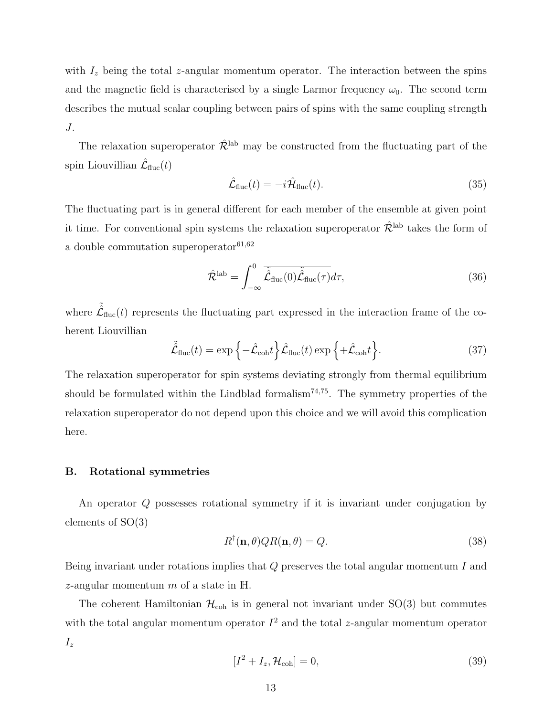with  $I_z$  being the total z-angular momentum operator. The interaction between the spins and the magnetic field is characterised by a single Larmor frequency  $\omega_0$ . The second term describes the mutual scalar coupling between pairs of spins with the same coupling strength J.

The relaxation superoperator  $\hat{\mathcal{R}}^{\text{lab}}$  may be constructed from the fluctuating part of the spin Liouvillian  $\hat{\mathcal{L}}_{\text{fluc}}(t)$ 

$$
\hat{\mathcal{L}}_{\text{fluc}}(t) = -i\hat{\mathcal{H}}_{\text{fluc}}(t). \tag{35}
$$

The fluctuating part is in general different for each member of the ensemble at given point it time. For conventional spin systems the relaxation superoperator  $\hat{\mathcal{R}}^{\text{lab}}$  takes the form of a double commutation superoperator  $\rm^{61,62}$ 

$$
\hat{\mathcal{R}}^{\text{lab}} = \int_{-\infty}^{0} \overline{\tilde{\hat{\mathcal{L}}}_{\text{fluc}}(0)\tilde{\hat{\mathcal{L}}}_{\text{fluc}}(\tau)} d\tau,\tag{36}
$$

where  $\tilde{\hat{\mathcal{L}}}_{\text{fluc}}(t)$  represents the fluctuating part expressed in the interaction frame of the coherent Liouvillian

$$
\tilde{\hat{\mathcal{L}}}_{\text{fluc}}(t) = \exp\left\{-\hat{\mathcal{L}}_{\text{coh}}t\right\}\hat{\mathcal{L}}_{\text{fluc}}(t)\exp\left\{+\hat{\mathcal{L}}_{\text{coh}}t\right\}.\tag{37}
$$

The relaxation superoperator for spin systems deviating strongly from thermal equilibrium should be formulated within the Lindblad formalism<sup>74,75</sup>. The symmetry properties of the relaxation superoperator do not depend upon this choice and we will avoid this complication here.

## B. Rotational symmetries

An operator Q possesses rotational symmetry if it is invariant under conjugation by elements of SO(3)

$$
R^{\dagger}(\mathbf{n},\theta)QR(\mathbf{n},\theta) = Q.
$$
\n(38)

Being invariant under rotations implies that  $Q$  preserves the total angular momentum  $I$  and z-angular momentum  $m$  of a state in H.

The coherent Hamiltonian  $\mathcal{H}_{coh}$  is in general not invariant under SO(3) but commutes with the total angular momentum operator  $I^2$  and the total z-angular momentum operator  $I_z$ 

$$
[I2 + Iz, \mathcal{H}_{\text{coh}}] = 0,
$$
\n(39)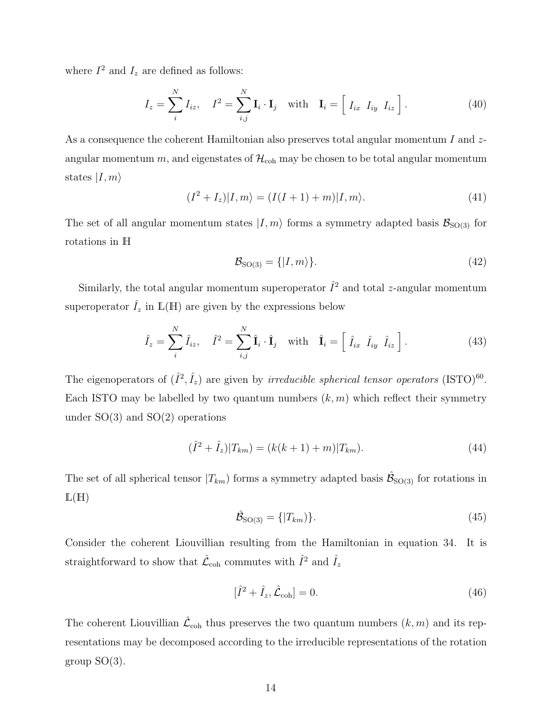where  $I^2$  and  $I_z$  are defined as follows:

$$
I_z = \sum_{i}^{N} I_{iz}, \quad I^2 = \sum_{i,j}^{N} \mathbf{I}_i \cdot \mathbf{I}_j \quad \text{with} \quad \mathbf{I}_i = \begin{bmatrix} I_{ix} & I_{iy} & I_{iz} \end{bmatrix} . \tag{40}
$$

As a consequence the coherent Hamiltonian also preserves total angular momentum I and  $z$ angular momentum m, and eigenstates of  $\mathcal{H}_{coh}$  may be chosen to be total angular momentum states  $|I, m\rangle$ 

$$
(I2 + Iz)|I,m\rangle = (I(I + 1) + m)|I,m\rangle.
$$
\n(41)

The set of all angular momentum states  $|I, m\rangle$  forms a symmetry adapted basis  $\mathcal{B}_{\text{SO(3)}}$  for rotations in H

$$
\mathcal{B}_{\text{SO}(3)} = \{|I, m\rangle\}.\tag{42}
$$

Similarly, the total angular momentum superoperator  $\hat{I}^2$  and total *z*-angular momentum superoperator  $\hat{I}_z$  in  $\mathbb{L}(\mathbb{H})$  are given by the expressions below

$$
\hat{I}_z = \sum_i^N \hat{I}_{iz}, \quad \hat{I}^2 = \sum_{i,j}^N \hat{\mathbf{I}}_i \cdot \hat{\mathbf{I}}_j \quad \text{with} \quad \hat{\mathbf{I}}_i = \left[ \hat{I}_{ix} \hat{I}_{iy} \hat{I}_{iz} \right]. \tag{43}
$$

The eigenoperators of  $(\hat{I}^2, \hat{I}_z)$  are given by *irreducible spherical tensor operators* (ISTO)<sup>60</sup>. Each ISTO may be labelled by two quantum numbers  $(k, m)$  which reflect their symmetry under  $SO(3)$  and  $SO(2)$  operations

$$
(\hat{I}^2 + \hat{I}_z)|T_{km}) = (k(k+1) + m)|T_{km}).
$$
\n(44)

The set of all spherical tensor  $|T_{km}\rangle$  forms a symmetry adapted basis  $\hat{\mathcal{B}}_{\text{SO(3)}}$  for rotations in  $L(H)$ 

$$
\hat{\mathcal{B}}_{\text{SO}(3)} = \{|T_{km})\}.
$$
\n(45)

Consider the coherent Liouvillian resulting from the Hamiltonian in equation 34. It is straightforward to show that  $\hat{\mathcal{L}}_{coh}$  commutes with  $\hat{I}^2$  and  $\hat{I}_z$ 

$$
[\hat{I}^2 + \hat{I}_z, \hat{\mathcal{L}}_{\text{coh}}] = 0.
$$
\n(46)

The coherent Liouvillian  $\hat{\mathcal{L}}_{coh}$  thus preserves the two quantum numbers  $(k, m)$  and its representations may be decomposed according to the irreducible representations of the rotation group  $SO(3)$ .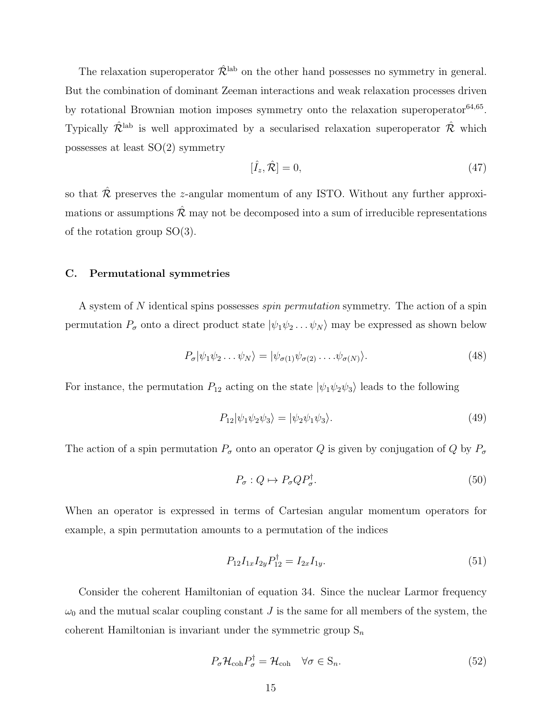The relaxation superoperator  $\hat{\mathcal{R}}^{\text{lab}}$  on the other hand possesses no symmetry in general. But the combination of dominant Zeeman interactions and weak relaxation processes driven by rotational Brownian motion imposes symmetry onto the relaxation superoperator<sup>64,65</sup>. Typically  $\hat{\mathcal{R}}^{\text{lab}}$  is well approximated by a secularised relaxation superoperator  $\hat{\mathcal{R}}$  which possesses at least SO(2) symmetry

$$
[\hat{I}_z, \hat{\mathcal{R}}] = 0,\tag{47}
$$

so that  $\hat{\mathcal{R}}$  preserves the z-angular momentum of any ISTO. Without any further approximations or assumptions  $\hat{\mathcal{R}}$  may not be decomposed into a sum of irreducible representations of the rotation group SO(3).

### C. Permutational symmetries

A system of N identical spins possesses spin permutation symmetry. The action of a spin permutation  $P_{\sigma}$  onto a direct product state  $|\psi_1 \psi_2 \dots \psi_N\rangle$  may be expressed as shown below

$$
P_{\sigma}|\psi_1\psi_2\ldots\psi_N\rangle = |\psi_{\sigma(1)}\psi_{\sigma(2)}\ldots\psi_{\sigma(N)}\rangle.
$$
\n(48)

For instance, the permutation  $P_{12}$  acting on the state  $|\psi_1 \psi_2 \psi_3\rangle$  leads to the following

$$
P_{12}|\psi_1\psi_2\psi_3\rangle = |\psi_2\psi_1\psi_3\rangle.
$$
\n(49)

The action of a spin permutation  $P_{\sigma}$  onto an operator Q is given by conjugation of Q by  $P_{\sigma}$ 

$$
P_{\sigma}: Q \mapsto P_{\sigma} Q P_{\sigma}^{\dagger}.
$$
\n
$$
(50)
$$

When an operator is expressed in terms of Cartesian angular momentum operators for example, a spin permutation amounts to a permutation of the indices

$$
P_{12}I_{1x}I_{2y}P_{12}^{\dagger} = I_{2x}I_{1y}.\tag{51}
$$

Consider the coherent Hamiltonian of equation 34. Since the nuclear Larmor frequency  $\omega_0$  and the mutual scalar coupling constant J is the same for all members of the system, the coherent Hamiltonian is invariant under the symmetric group  $S_n$ 

$$
P_{\sigma} \mathcal{H}_{\text{coh}} P_{\sigma}^{\dagger} = \mathcal{H}_{\text{coh}} \quad \forall \sigma \in \mathcal{S}_n.
$$
\n
$$
(52)
$$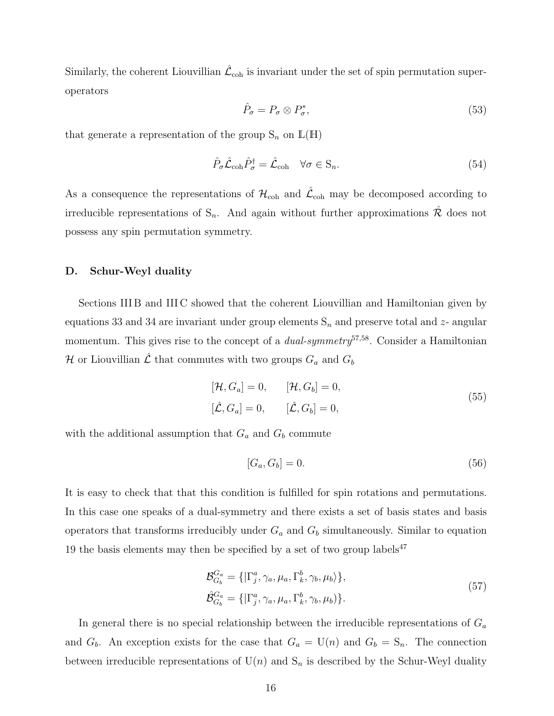Similarly, the coherent Liouvillian  $\mathcal{\hat{L}}_{\mathrm{coh}}$  is invariant under the set of spin permutation superoperators

$$
\hat{P}_{\sigma} = P_{\sigma} \otimes P_{\sigma}^*,\tag{53}
$$

that generate a representation of the group  $S_n$  on  $\mathbb{L}(\mathbb{H})$ 

$$
\hat{P}_{\sigma}\hat{\mathcal{L}}_{\text{coh}}\hat{P}_{\sigma}^{\dagger} = \hat{\mathcal{L}}_{\text{coh}} \quad \forall \sigma \in \mathcal{S}_n.
$$
\n(54)

As a consequence the representations of  $\mathcal{H}_{\text{coh}}$  and  $\hat{\mathcal{L}}_{\text{coh}}$  may be decomposed according to irreducible representations of  $S_n$ . And again without further approximations  $\hat{\mathcal{R}}$  does not possess any spin permutation symmetry.

### D. Schur-Weyl duality

Sections III B and III C showed that the coherent Liouvillian and Hamiltonian given by equations 33 and 34 are invariant under group elements  $S_n$  and preserve total and z- angular momentum. This gives rise to the concept of a *dual-symmetry*<sup>57,58</sup>. Consider a Hamiltonian H or Liouvillian  $\hat{\mathcal{L}}$  that commutes with two groups  $G_a$  and  $G_b$ 

$$
[\mathcal{H}, G_a] = 0, \qquad [\mathcal{H}, G_b] = 0,[\hat{\mathcal{L}}, G_a] = 0, \qquad [\hat{\mathcal{L}}, G_b] = 0,
$$
 (55)

with the additional assumption that  $G_a$  and  $G_b$  commute

$$
[G_a, G_b] = 0. \tag{56}
$$

It is easy to check that that this condition is fulfilled for spin rotations and permutations. In this case one speaks of a dual-symmetry and there exists a set of basis states and basis operators that transforms irreducibly under  $G_a$  and  $G_b$  simultaneously. Similar to equation 19 the basis elements may then be specified by a set of two group labels<sup>47</sup>

$$
\mathcal{B}_{G_b}^{G_a} = \{ |\Gamma_j^a, \gamma_a, \mu_a, \Gamma_k^b, \gamma_b, \mu_b \rangle \},
$$
  
\n
$$
\hat{\mathcal{B}}_{G_b}^{G_a} = \{ |\Gamma_j^a, \gamma_a, \mu_a, \Gamma_k^b, \gamma_b, \mu_b \rangle \}.
$$
\n(57)

In general there is no special relationship between the irreducible representations of  $G_a$ and  $G_b$ . An exception exists for the case that  $G_a = U(n)$  and  $G_b = S_n$ . The connection between irreducible representations of  $U(n)$  and  $S_n$  is described by the Schur-Weyl duality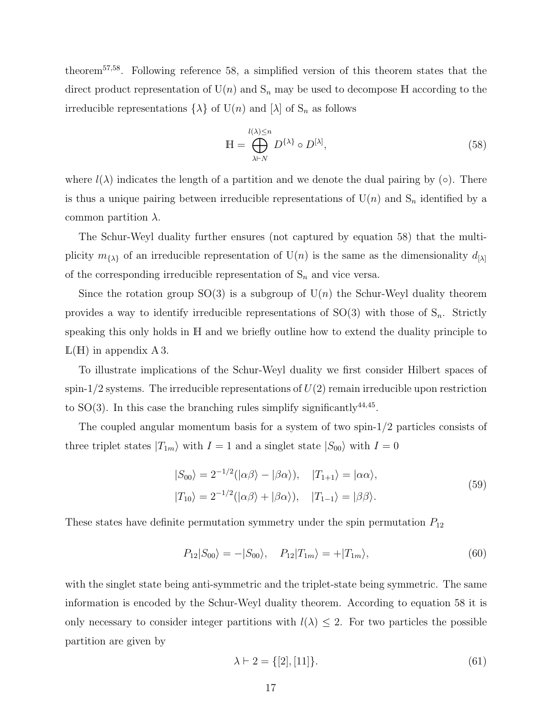theorem57,58. Following reference 58, a simplified version of this theorem states that the direct product representation of  $U(n)$  and  $S_n$  may be used to decompose H according to the irreducible representations  $\{\lambda\}$  of  $U(n)$  and  $[\lambda]$  of  $S_n$  as follows

$$
\mathbb{H} = \bigoplus_{\lambda \vdash N}^{l(\lambda) \le n} D^{\{\lambda\}} \circ D^{[\lambda]},\tag{58}
$$

where  $l(\lambda)$  indicates the length of a partition and we denote the dual pairing by (◦). There is thus a unique pairing between irreducible representations of  $U(n)$  and  $S_n$  identified by a common partition  $\lambda$ .

The Schur-Weyl duality further ensures (not captured by equation 58) that the multiplicity  $m_{\{\lambda\}}$  of an irreducible representation of  $U(n)$  is the same as the dimensionality  $d_{[\lambda]}$ of the corresponding irreducible representation of  $S_n$  and vice versa.

Since the rotation group  $SO(3)$  is a subgroup of  $U(n)$  the Schur-Weyl duality theorem provides a way to identify irreducible representations of  $SO(3)$  with those of  $S_n$ . Strictly speaking this only holds in H and we briefly outline how to extend the duality principle to  $L(H)$  in appendix A 3.

To illustrate implications of the Schur-Weyl duality we first consider Hilbert spaces of spin-1/2 systems. The irreducible representations of  $U(2)$  remain irreducible upon restriction to  $SO(3)$ . In this case the branching rules simplify significantly<sup>44,45</sup>.

The coupled angular momentum basis for a system of two spin-1/2 particles consists of three triplet states  $|T_{1m}\rangle$  with  $I = 1$  and a singlet state  $|S_{00}\rangle$  with  $I = 0$ 

$$
|S_{00}\rangle = 2^{-1/2}(|\alpha\beta\rangle - |\beta\alpha\rangle), \quad |T_{1+1}\rangle = |\alpha\alpha\rangle,
$$
  

$$
|T_{10}\rangle = 2^{-1/2}(|\alpha\beta\rangle + |\beta\alpha\rangle), \quad |T_{1-1}\rangle = |\beta\beta\rangle.
$$
 (59)

These states have definite permutation symmetry under the spin permutation  $P_{12}$ 

$$
P_{12}|S_{00}\rangle = -|S_{00}\rangle, \quad P_{12}|T_{1m}\rangle = +|T_{1m}\rangle, \tag{60}
$$

with the singlet state being anti-symmetric and the triplet-state being symmetric. The same information is encoded by the Schur-Weyl duality theorem. According to equation 58 it is only necessary to consider integer partitions with  $l(\lambda) \leq 2$ . For two particles the possible partition are given by

$$
\lambda \vdash 2 = \{ [2], [11] \}. \tag{61}
$$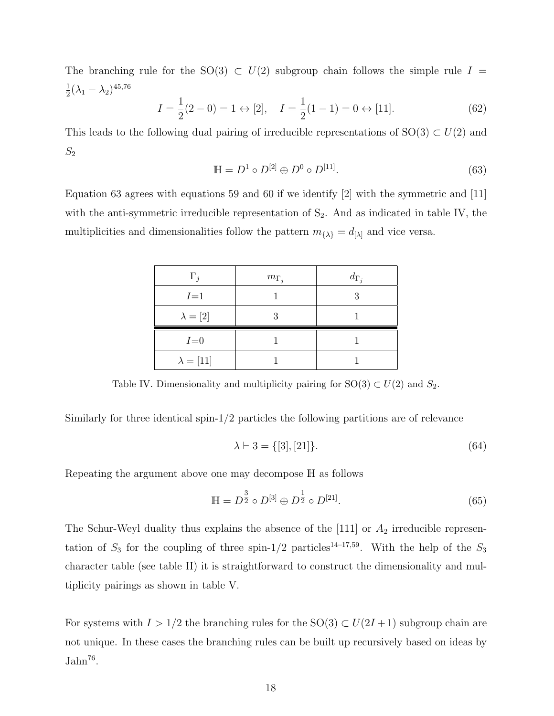The branching rule for the SO(3)  $\subset U(2)$  subgroup chain follows the simple rule  $I =$ 1  $\frac{1}{2}(\lambda_1 - \lambda_2)^{45,76}$ 

$$
I = \frac{1}{2}(2 - 0) = 1 \leftrightarrow [2], \quad I = \frac{1}{2}(1 - 1) = 0 \leftrightarrow [11].
$$
 (62)

This leads to the following dual pairing of irreducible representations of  $SO(3) \subset U(2)$  and  $S_2$ 

$$
\mathbb{H} = D^1 \circ D^{[2]} \oplus D^0 \circ D^{[11]}.
$$
\n(63)

Equation 63 agrees with equations 59 and 60 if we identify [2] with the symmetric and [11] with the anti-symmetric irreducible representation of  $S_2$ . And as indicated in table IV, the multiplicities and dimensionalities follow the pattern  $m_{\{\lambda\}} = d_{\{\lambda\}}$  and vice versa.

| $\Gamma_i$       | $m_{\Gamma_j}$ | $d_{\Gamma_j}$ |
|------------------|----------------|----------------|
| $I=1$            |                | 3              |
| $\lambda=[2]$    |                |                |
| $I=0$            |                |                |
| $\lambda = [11]$ |                |                |

Table IV. Dimensionality and multiplicity pairing for  $SO(3) \subset U(2)$  and  $S_2$ .

Similarly for three identical spin-1/2 particles the following partitions are of relevance

$$
\lambda \vdash 3 = \{ [3], [21] \}. \tag{64}
$$

Repeating the argument above one may decompose H as follows

$$
\mathbb{H} = D^{\frac{3}{2}} \circ D^{[3]} \oplus D^{\frac{1}{2}} \circ D^{[21]}.
$$
 (65)

The Schur-Weyl duality thus explains the absence of the  $[111]$  or  $A_2$  irreducible representation of  $S_3$  for the coupling of three spin-1/2 particles<sup>14–17,59</sup>. With the help of the  $S_3$ character table (see table II) it is straightforward to construct the dimensionality and multiplicity pairings as shown in table V.

For systems with  $I > 1/2$  the branching rules for the SO(3)  $\subset U(2I + 1)$  subgroup chain are not unique. In these cases the branching rules can be built up recursively based on ideas by  $Jahn<sup>76</sup>$ .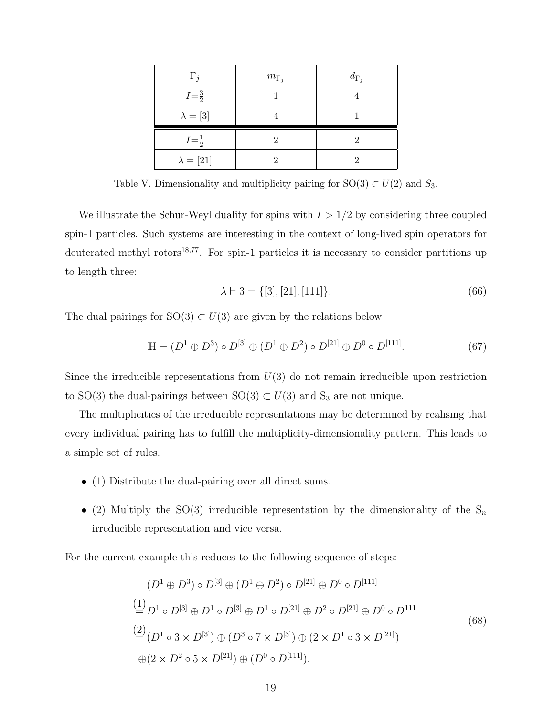| $\Gamma_i$        | $m_{\Gamma_i}$ | $d_{\Gamma_i}$ |
|-------------------|----------------|----------------|
| $I = \frac{3}{2}$ |                |                |
| $\lambda=[3]$     |                |                |
| $I = \frac{1}{2}$ |                |                |
| $\lambda=[21]$    |                |                |

Table V. Dimensionality and multiplicity pairing for  $SO(3) \subset U(2)$  and  $S_3$ .

We illustrate the Schur-Weyl duality for spins with  $I > 1/2$  by considering three coupled spin-1 particles. Such systems are interesting in the context of long-lived spin operators for deuterated methyl rotors $18,77$ . For spin-1 particles it is necessary to consider partitions up to length three:

$$
\lambda \vdash 3 = \{ [3], [21], [111] \}. \tag{66}
$$

The dual pairings for  $SO(3) \subset U(3)$  are given by the relations below

$$
\mathbb{H} = (D^1 \oplus D^3) \circ D^{[3]} \oplus (D^1 \oplus D^2) \circ D^{[21]} \oplus D^0 \circ D^{[111]}.
$$
 (67)

Since the irreducible representations from  $U(3)$  do not remain irreducible upon restriction to SO(3) the dual-pairings between SO(3)  $\subset U(3)$  and S<sub>3</sub> are not unique.

The multiplicities of the irreducible representations may be determined by realising that every individual pairing has to fulfill the multiplicity-dimensionality pattern. This leads to a simple set of rules.

- (1) Distribute the dual-pairing over all direct sums.
- (2) Multiply the SO(3) irreducible representation by the dimensionality of the  $S_n$ irreducible representation and vice versa.

For the current example this reduces to the following sequence of steps:

$$
(D^1 \oplus D^3) \circ D^{[3]} \oplus (D^1 \oplus D^2) \circ D^{[21]} \oplus D^0 \circ D^{[111]}
$$
  
\n
$$
\stackrel{(1)}{=} D^1 \circ D^{[3]} \oplus D^1 \circ D^{[3]} \oplus D^1 \circ D^{[21]} \oplus D^2 \circ D^{[21]} \oplus D^0 \circ D^{111}
$$
  
\n
$$
\stackrel{(2)}{=} (D^1 \circ 3 \times D^{[3]}) \oplus (D^3 \circ 7 \times D^{[3]}) \oplus (2 \times D^1 \circ 3 \times D^{[21]})
$$
  
\n
$$
\oplus (2 \times D^2 \circ 5 \times D^{[21]}) \oplus (D^0 \circ D^{[111]}).
$$
  
\n(68)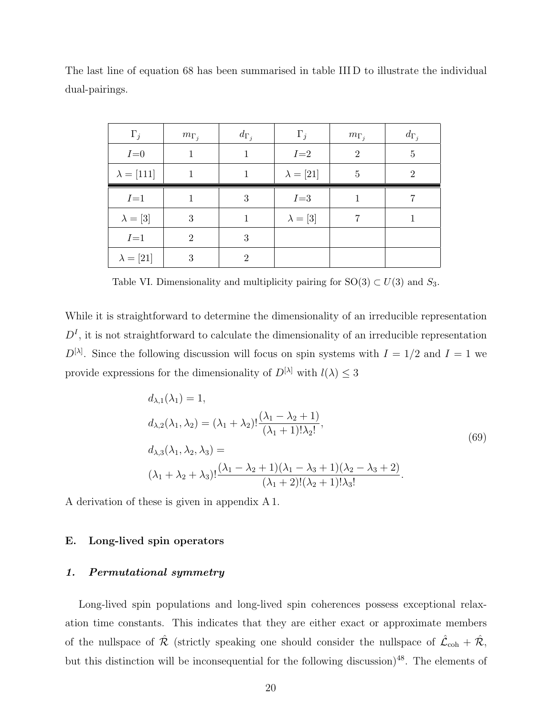| $\Gamma_j$        | $m_{\Gamma_j}$ | $d_{\Gamma_i}$ | $\Gamma_j$       | $m_{\Gamma_i}$ | $d_{\Gamma_i}$ |
|-------------------|----------------|----------------|------------------|----------------|----------------|
| $I=0$             | 1              | 1              | $I=2$            | $\overline{2}$ | 5              |
| $\lambda = [111]$ | 1              | 1              | $\lambda = [21]$ | 5              | $\overline{2}$ |
| $I=1$             |                | 3              | $I = 3$          |                |                |
| $\lambda = [3]$   | 3              | 1              | $\lambda = [3]$  | 7              |                |
| $I=1$             | $\overline{2}$ | 3              |                  |                |                |
| $\lambda=[21]$    | 3              | $\overline{2}$ |                  |                |                |

The last line of equation 68 has been summarised in table III D to illustrate the individual dual-pairings.

Table VI. Dimensionality and multiplicity pairing for  $SO(3) \subset U(3)$  and  $S_3$ .

While it is straightforward to determine the dimensionality of an irreducible representation  $D<sup>I</sup>$ , it is not straightforward to calculate the dimensionality of an irreducible representation  $D^{[\lambda]}$ . Since the following discussion will focus on spin systems with  $I = 1/2$  and  $I = 1$  we provide expressions for the dimensionality of  $D^{[\lambda]}$  with  $l(\lambda) \leq 3$ 

$$
d_{\lambda,1}(\lambda_1) = 1,
$$
  
\n
$$
d_{\lambda,2}(\lambda_1, \lambda_2) = (\lambda_1 + \lambda_2)! \frac{(\lambda_1 - \lambda_2 + 1)}{(\lambda_1 + 1)!\lambda_2!},
$$
  
\n
$$
d_{\lambda,3}(\lambda_1, \lambda_2, \lambda_3) =
$$
  
\n
$$
(\lambda_1 + \lambda_2 + \lambda_3)! \frac{(\lambda_1 - \lambda_2 + 1)(\lambda_1 - \lambda_3 + 1)(\lambda_2 - \lambda_3 + 2)}{(\lambda_1 + 2)!(\lambda_2 + 1)!\lambda_3!}.
$$
\n(69)

A derivation of these is given in appendix A 1.

# E. Long-lived spin operators

# 1. Permutational symmetry

Long-lived spin populations and long-lived spin coherences possess exceptional relaxation time constants. This indicates that they are either exact or approximate members of the nullspace of  $\hat{\mathcal{R}}$  (strictly speaking one should consider the nullspace of  $\hat{\mathcal{L}}_{coh} + \hat{\mathcal{R}}$ , but this distinction will be inconsequential for the following discussion)<sup>48</sup>. The elements of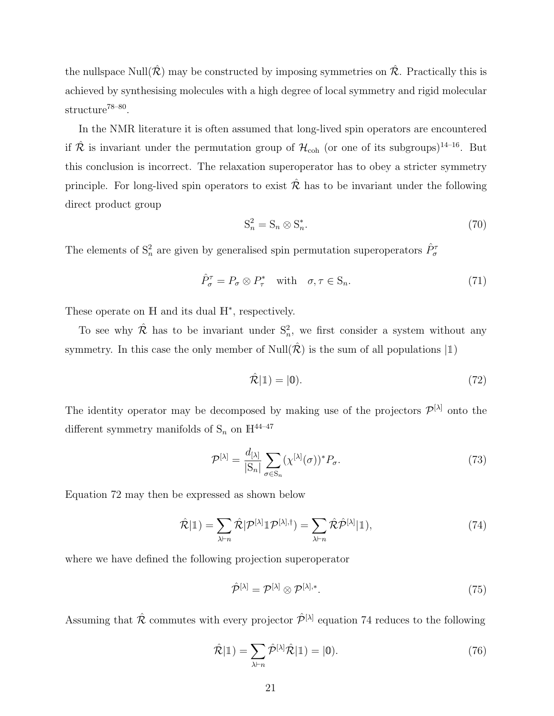the nullspace Null $(\hat{\mathcal{R}})$  may be constructed by imposing symmetries on  $\hat{\mathcal{R}}$ . Practically this is achieved by synthesising molecules with a high degree of local symmetry and rigid molecular structure<sup>78–80</sup>.

In the NMR literature it is often assumed that long-lived spin operators are encountered if  $\hat{\mathcal{R}}$  is invariant under the permutation group of  $\mathcal{H}_{coh}$  (or one of its subgroups)<sup>14–16</sup>. But this conclusion is incorrect. The relaxation superoperator has to obey a stricter symmetry principle. For long-lived spin operators to exist  $\mathcal R$  has to be invariant under the following direct product group

$$
S_n^2 = S_n \otimes S_n^*.\tag{70}
$$

The elements of  $S_n^2$  are given by generalised spin permutation superoperators  $\hat{P}_{\sigma}^{\tau}$ 

$$
\hat{P}_{\sigma}^{\tau} = P_{\sigma} \otimes P_{\tau}^* \quad \text{with} \quad \sigma, \tau \in \mathcal{S}_n. \tag{71}
$$

These operate on H and its dual  $H^*$ , respectively.

To see why  $\hat{\mathcal{R}}$  has to be invariant under  $S_n^2$ , we first consider a system without any symmetry. In this case the only member of Null( $\hat{\mathcal{R}}$ ) is the sum of all populations  $|1\rangle$ 

$$
\hat{\mathcal{R}}|\mathbb{1}) = |\mathbb{0}).\tag{72}
$$

The identity operator may be decomposed by making use of the projectors  $\mathcal{P}^{[\lambda]}$  onto the different symmetry manifolds of  $S_n$  on  $\mathbb{H}^{44-47}$ 

$$
\mathcal{P}^{[\lambda]} = \frac{d_{[\lambda]}}{|\mathcal{S}_n|} \sum_{\sigma \in \mathcal{S}_n} (\chi^{[\lambda]}(\sigma))^* P_{\sigma}.
$$
\n(73)

Equation 72 may then be expressed as shown below

$$
\hat{\mathcal{R}}|\mathbb{1}) = \sum_{\lambda \vdash n} \hat{\mathcal{R}}|\mathcal{P}^{[\lambda]}\mathbb{1}\mathcal{P}^{[\lambda],\dagger}) = \sum_{\lambda \vdash n} \hat{\mathcal{R}}\hat{\mathcal{P}}^{[\lambda]}|\mathbb{1}),\tag{74}
$$

where we have defined the following projection superoperator

$$
\hat{\mathcal{P}}^{[\lambda]} = \mathcal{P}^{[\lambda]} \otimes \mathcal{P}^{[\lambda],*}.\tag{75}
$$

Assuming that  $\hat{\mathcal{R}}$  commutes with every projector  $\hat{\mathcal{P}}^{[\lambda]}$  equation 74 reduces to the following

$$
\hat{\mathcal{R}}|\mathbb{1}) = \sum_{\lambda \vdash n} \hat{\mathcal{P}}^{[\lambda]} \hat{\mathcal{R}}|\mathbb{1}) = |0\rangle.
$$
\n(76)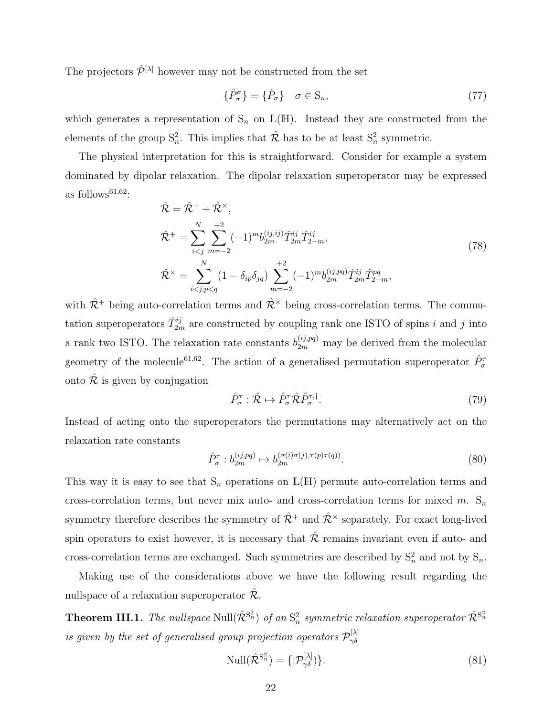The projectors  $\hat{\mathcal{P}}^{[\lambda]}$  however may not be constructed from the set

$$
\{\hat{P}_{\sigma}^{\sigma}\} = \{\hat{P}_{\sigma}\} \quad \sigma \in \mathcal{S}_n,\tag{77}
$$

which generates a representation of  $S_n$  on  $\mathbb{L}(\mathbb{H})$ . Instead they are constructed from the elements of the group  $S_n^2$ . This implies that  $\hat{\mathcal{R}}$  has to be at least  $S_n^2$  symmetric.

The physical interpretation for this is straightforward. Consider for example a system dominated by dipolar relaxation. The dipolar relaxation superoperator may be expressed as follows<sup>61,62</sup>:

$$
\hat{\mathcal{R}} = \hat{\mathcal{R}}^{+} + \hat{\mathcal{R}}^{x},
$$
\n
$$
\hat{\mathcal{R}}^{+} = \sum_{i < j}^{N} \sum_{m=-2}^{+2} (-1)^{m} b_{2m}^{(ij,ij)} \hat{T}_{2m}^{ij} \hat{T}_{2-m}^{ij},
$$
\n
$$
\hat{\mathcal{R}}^{x} = \sum_{i < j, p < q}^{N} (1 - \delta_{ip} \delta_{jq}) \sum_{m=-2}^{+2} (-1)^{m} b_{2m}^{(ij, pq)} \hat{T}_{2m}^{ij} \hat{T}_{2-m}^{pq},
$$
\n
$$
(78)
$$

with  $\hat{\mathcal{R}}^+$  being auto-correlation terms and  $\hat{\mathcal{R}}^{\times}$  being cross-correlation terms. The commutation superoperators  $\hat{T}_{2m}^{ij}$  are constructed by coupling rank one ISTO of spins i and j into a rank two ISTO. The relaxation rate constants  $b_{2m}^{(ij,pq)}$  may be derived from the molecular geometry of the molecule<sup>61,62</sup>. The action of a generalised permutation superoperator  $\hat{P}^{\tau}_{\sigma}$ onto  $\hat{\mathcal{R}}$  is given by conjugation

$$
\hat{P}_{\sigma}^{\tau} : \hat{\mathcal{R}} \mapsto \hat{P}_{\sigma}^{\tau} \hat{\mathcal{R}} \hat{P}_{\sigma}^{\tau, \dagger}.
$$
\n
$$
(79)
$$

Instead of acting onto the superoperators the permutations may alternatively act on the relaxation rate constants

$$
\hat{P}_{\sigma}^{\tau} : b_{2m}^{(ij,pq)} \mapsto b_{2m}^{(\sigma(i)\sigma(j),\tau(p)\tau(q))}.
$$
\n(80)

This way it is easy to see that  $S_n$  operations on  $\mathbb{L}(\mathbb{H})$  permute auto-correlation terms and cross-correlation terms, but never mix auto- and cross-correlation terms for mixed  $m$ . S<sub>n</sub> symmetry therefore describes the symmetry of  $\hat{\mathcal{R}}^+$  and  $\hat{\mathcal{R}}^{\times}$  separately. For exact long-lived spin operators to exist however, it is necessary that  $\hat{\mathcal{R}}$  remains invariant even if auto- and cross-correlation terms are exchanged. Such symmetries are described by  $S_n^2$  and not by  $S_n$ .

Making use of the considerations above we have the following result regarding the nullspace of a relaxation superoperator  $\mathcal{R}$ .

**Theorem III.1.** The nullspace  $\text{Null}(\hat{\mathcal{R}}^{S_n^2})$  of an  $S_n^2$  symmetric relaxation superoperator  $\hat{\mathcal{R}}^{S_n^2}$ is given by the set of generalised group projection operators  $\mathcal{P}_{\gamma\delta}^{[\lambda]}$  $\gamma\delta$ 

$$
\text{Null}(\hat{\mathcal{R}}^{\mathbf{S}_n^2}) = \{|\mathcal{P}_{\gamma\delta}^{[\lambda]}\}\tag{81}
$$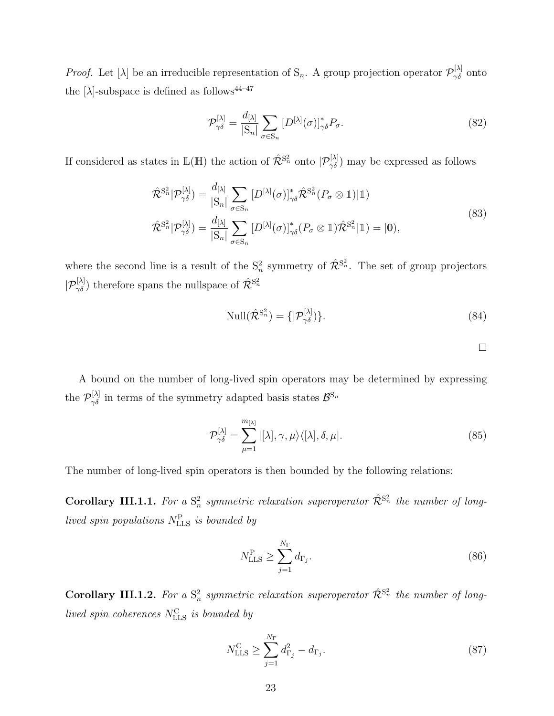*Proof.* Let [ $\lambda$ ] be an irreducible representation of S<sub>n</sub>. A group projection operator  $\mathcal{P}^{[\lambda]}_{\gamma\delta}$  onto the [ $\lambda$ ]-subspace is defined as follows<sup>44–47</sup>

$$
\mathcal{P}_{\gamma\delta}^{[\lambda]} = \frac{d_{[\lambda]}}{|\mathcal{S}_n|} \sum_{\sigma \in \mathcal{S}_n} \left[ D^{[\lambda]}(\sigma) \right]^*_{\gamma\delta} P_{\sigma}.
$$
\n(82)

If considered as states in  $\mathbb{L}(\mathbb{H})$  the action of  $\hat{\mathcal{R}}^{S_n^2}$  onto  $|\mathcal{P}_{\gamma\delta}^{[\lambda]}\rangle$  may be expressed as follows

$$
\hat{\mathcal{R}}^{S_n^2}|\mathcal{P}_{\gamma\delta}^{[\lambda]}) = \frac{d_{[\lambda]}}{|S_n|} \sum_{\sigma \in S_n} [D^{[\lambda]}(\sigma)]_{\gamma\delta}^* \hat{\mathcal{R}}^{S_n^2} (P_\sigma \otimes 1)|1] \n\hat{\mathcal{R}}^{S_n^2}|\mathcal{P}_{\gamma\delta}^{[\lambda]}) = \frac{d_{[\lambda]}}{|S_n|} \sum_{\sigma \in S_n} [D^{[\lambda]}(\sigma)]_{\gamma\delta}^* (P_\sigma \otimes 1) \hat{\mathcal{R}}^{S_n^2} |1] = |0),
$$
\n(83)

where the second line is a result of the  $S_n^2$  symmetry of  $\hat{\mathcal{R}}^{S_n^2}$ . The set of group projectors  $|P_{\gamma\delta}^{[\lambda]}|$  therefore spans the nullspace of  $\hat{\mathcal{R}}^{S_n^2}$ 

$$
\text{Null}(\hat{\mathcal{R}}^{\mathcal{S}_n^2}) = \{|\mathcal{P}_{\gamma\delta}^{[\lambda]}\}\tag{84}
$$

A bound on the number of long-lived spin operators may be determined by expressing the  $\mathcal{P}_{\gamma\delta}^{[\lambda]}$  in terms of the symmetry adapted basis states  $\mathcal{B}^{S_n}$ 

$$
\mathcal{P}_{\gamma\delta}^{[\lambda]} = \sum_{\mu=1}^{m_{[\lambda]}} |[\lambda], \gamma, \mu\rangle\langle[\lambda], \delta, \mu|.
$$
\n(85)

The number of long-lived spin operators is then bounded by the following relations:

**Corollary III.1.1.** For a  $S_n^2$  symmetric relaxation superoperator  $\hat{\mathcal{R}}^{S_n^2}$  the number of longlived spin populations  $N_{\text{LLS}}^{\text{P}}$  is bounded by

$$
N_{\text{LLS}}^{\text{P}} \ge \sum_{j=1}^{N_{\Gamma}} d_{\Gamma_j}.
$$
\n(86)

**Corollary III.1.2.** For a  $S_n^2$  symmetric relaxation superoperator  $\hat{\mathcal{R}}^{S_n^2}$  the number of longlived spin coherences  $N_{\text{LLS}}^{\text{C}}$  is bounded by

$$
N_{\text{LLS}}^{\text{C}} \ge \sum_{j=1}^{N_{\Gamma}} d_{\Gamma_j}^2 - d_{\Gamma_j}.
$$
 (87)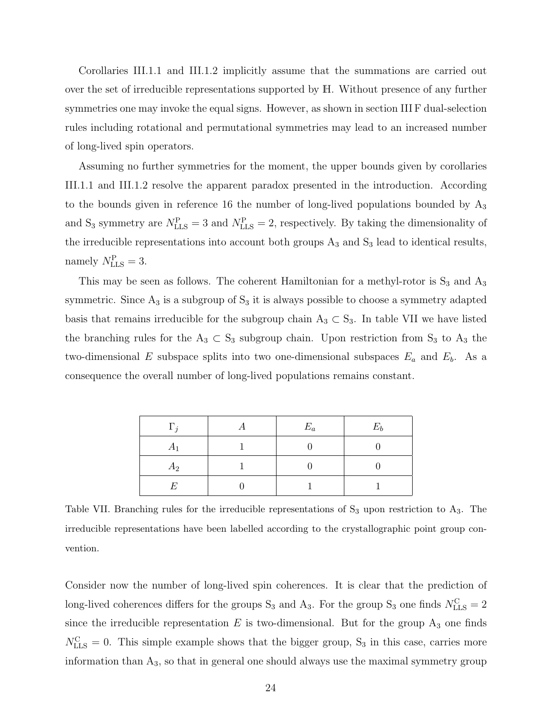Corollaries III.1.1 and III.1.2 implicitly assume that the summations are carried out over the set of irreducible representations supported by H. Without presence of any further symmetries one may invoke the equal signs. However, as shown in section III F dual-selection rules including rotational and permutational symmetries may lead to an increased number of long-lived spin operators.

Assuming no further symmetries for the moment, the upper bounds given by corollaries III.1.1 and III.1.2 resolve the apparent paradox presented in the introduction. According to the bounds given in reference 16 the number of long-lived populations bounded by  $A_3$ and S<sub>3</sub> symmetry are  $N_{\text{LLS}}^{\text{P}} = 3$  and  $N_{\text{LLS}}^{\text{P}} = 2$ , respectively. By taking the dimensionality of the irreducible representations into account both groups  $A_3$  and  $S_3$  lead to identical results, namely  $N_{\text{LLS}}^{\text{P}} = 3$ .

This may be seen as follows. The coherent Hamiltonian for a methyl-rotor is  $S_3$  and  $A_3$ symmetric. Since  $A_3$  is a subgroup of  $S_3$  it is always possible to choose a symmetry adapted basis that remains irreducible for the subgroup chain  $A_3 \subset S_3$ . In table VII we have listed the branching rules for the  $A_3 \subset S_3$  subgroup chain. Upon restriction from  $S_3$  to  $A_3$  the two-dimensional E subspace splits into two one-dimensional subspaces  $E_a$  and  $E_b$ . As a consequence the overall number of long-lived populations remains constant.

| $\Gamma_i$       | $E_a$ | $E_b$ |
|------------------|-------|-------|
| $A_1$            |       |       |
| $A_2$            |       |       |
| $\boldsymbol{F}$ |       |       |

Table VII. Branching rules for the irreducible representations of  $S_3$  upon restriction to  $A_3$ . The irreducible representations have been labelled according to the crystallographic point group convention.

Consider now the number of long-lived spin coherences. It is clear that the prediction of long-lived coherences differs for the groups  $S_3$  and  $A_3$ . For the group  $S_3$  one finds  $N_{\text{LLS}}^{\text{C}} = 2$ since the irreducible representation  $E$  is two-dimensional. But for the group  $A_3$  one finds  $N_{\text{LLS}}^{\text{C}} = 0$ . This simple example shows that the bigger group,  $S_3$  in this case, carries more information than  $A_3$ , so that in general one should always use the maximal symmetry group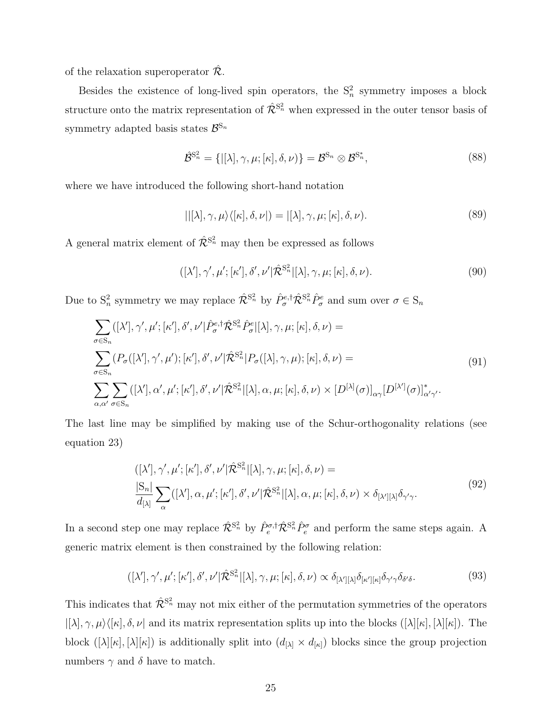of the relaxation superoperator  $\hat{\mathcal{R}}$ .

Besides the existence of long-lived spin operators, the  $S_n^2$  symmetry imposes a block structure onto the matrix representation of  $\hat{\mathcal{R}}^{S_n^2}$  when expressed in the outer tensor basis of symmetry adapted basis states  $\mathcal{B}^{\mathrm{S}_n}$ 

$$
\hat{\mathcal{B}}^{\mathbf{S}_n^2} = \{ [ \lambda], \gamma, \mu; [\kappa], \delta, \nu \} = \mathcal{B}^{\mathbf{S}_n} \otimes \mathcal{B}^{\mathbf{S}_n^*}, \tag{88}
$$

where we have introduced the following short-hand notation

$$
||[\lambda], \gamma, \mu\rangle\langle[\kappa], \delta, \nu|) = |[\lambda], \gamma, \mu; [\kappa], \delta, \nu).
$$
\n(89)

A general matrix element of  $\hat{\mathcal{R}}^{S_n^2}$  may then be expressed as follows

$$
([\lambda'], \gamma', \mu'; [\kappa'], \delta', \nu'] \hat{\mathcal{R}}^{S_n^2} | [\lambda], \gamma, \mu; [\kappa], \delta, \nu).
$$
\n(90)

Due to  $S_n^2$  symmetry we may replace  $\hat{\mathcal{R}}^{S_n^2}$  by  $\hat{P}^{e,\dagger}_{\sigma} \hat{\mathcal{R}}^{S_n^2} \hat{P}^e_{\sigma}$  and sum over  $\sigma \in S_n$ 

$$
\sum_{\sigma \in S_n} ([\lambda'], \gamma', \mu'; [\kappa'], \delta', \nu'] \hat{P}_{\sigma}^{e, \dagger} \hat{\mathcal{R}}^{S_n^2} \hat{P}_{\sigma}^{e} | [\lambda], \gamma, \mu; [\kappa], \delta, \nu) =
$$
\n
$$
\sum_{\sigma \in S_n} (P_{\sigma}([\lambda'], \gamma', \mu'); [\kappa'], \delta', \nu'] \hat{\mathcal{R}}^{S_n^2} | P_{\sigma}([\lambda], \gamma, \mu); [\kappa], \delta, \nu) =
$$
\n
$$
\sum_{\alpha, \alpha'} \sum_{\sigma \in S_n} ([\lambda'], \alpha', \mu'; [\kappa'], \delta', \nu'] \hat{\mathcal{R}}^{S_n^2} | [\lambda], \alpha, \mu; [\kappa], \delta, \nu) \times [D^{[\lambda]}(\sigma)]_{\alpha\gamma} [D^{[\lambda']}(\sigma)]_{\alpha'\gamma'}^*.
$$
\n(91)

The last line may be simplified by making use of the Schur-orthogonality relations (see equation 23)

$$
([\lambda'], \gamma', \mu'; [\kappa'], \delta', \nu'] \hat{\mathcal{R}}^{S_n^2}[[\lambda], \gamma, \mu; [\kappa], \delta, \nu) =
$$
  

$$
\frac{|S_n|}{d_{[\lambda]}} \sum_{\alpha} ([\lambda'], \alpha, \mu'; [\kappa'], \delta', \nu'] \hat{\mathcal{R}}^{S_n^2}[[\lambda], \alpha, \mu; [\kappa], \delta, \nu) \times \delta_{[\lambda'][\lambda]} \delta_{\gamma' \gamma}.
$$
 (92)

In a second step one may replace  $\hat{\mathcal{R}}^{S_n^2}$  by  $\hat{P}_e^{\sigma,\dagger}\hat{\mathcal{R}}^{S_n^2}\hat{P}_e^{\sigma}$  and perform the same steps again. A generic matrix element is then constrained by the following relation:

$$
([\lambda'], \gamma', \mu'; [\kappa'], \delta', \nu'] \hat{\mathcal{R}}^{S_n^2} | [\lambda], \gamma, \mu; [\kappa], \delta, \nu) \propto \delta_{[\lambda'][\lambda]} \delta_{[\kappa'][\kappa]} \delta_{\gamma'\gamma} \delta_{\delta'\delta}.
$$
\n(93)

This indicates that  $\hat{\mathcal{R}}^{S_n^2}$  may not mix either of the permutation symmetries of the operators  $|[\lambda], \gamma, \mu\rangle\langle[\kappa], \delta, \nu|$  and its matrix representation splits up into the blocks  $([\lambda][\kappa], [\lambda][\kappa])$ . The block  $([\lambda][\kappa],[\lambda][\kappa])$  is additionally split into  $(d_{[\lambda]} \times d_{[\kappa]})$  blocks since the group projection numbers  $\gamma$  and  $\delta$  have to match.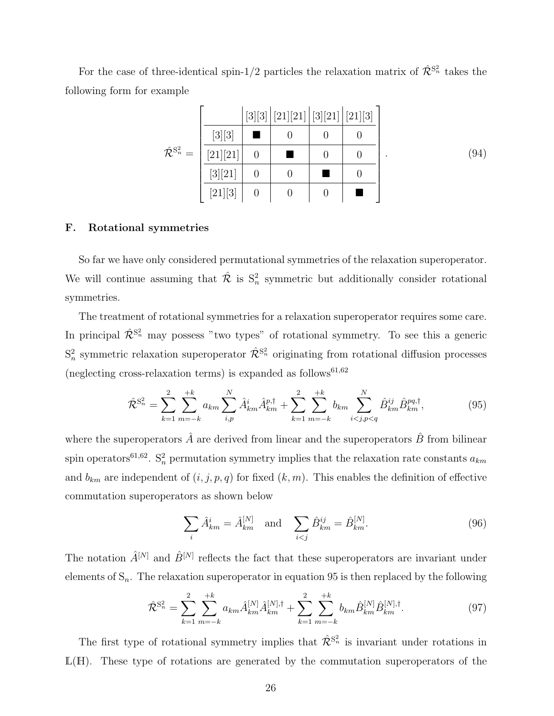For the case of three-identical spin-1/2 particles the relaxation matrix of  $\hat{\mathcal{R}}^{S_n^2}$  takes the following form for example

|                                        |          | [3][3][21][21][3][21][21][21][3] |  |      |
|----------------------------------------|----------|----------------------------------|--|------|
|                                        | [3][3]   |                                  |  |      |
| $\hat{\mathcal{R}}^{\mathrm{S}_n^2} =$ | [21][21] |                                  |  | (94) |
|                                        | [3][21]  |                                  |  |      |
|                                        | [21][3]  | $\left( \right)$                 |  |      |

#### F. Rotational symmetries

So far we have only considered permutational symmetries of the relaxation superoperator. We will continue assuming that  $\hat{\mathcal{R}}$  is  $S_n^2$  symmetric but additionally consider rotational symmetries.

The treatment of rotational symmetries for a relaxation superoperator requires some care. In principal  $\hat{\mathcal{R}}^{S_n^2}$  may possess "two types" of rotational symmetry. To see this a generic  $S_n^2$  symmetric relaxation superoperator  $\hat{\mathcal{R}}^{S_n^2}$  originating from rotational diffusion processes (neglecting cross-relaxation terms) is expanded as follows<sup>61,62</sup>

$$
\hat{\mathcal{R}}^{S_n^2} = \sum_{k=1}^2 \sum_{m=-k}^{+k} a_{km} \sum_{i,p}^N \hat{A}_{km}^i \hat{A}_{km}^{p,\dagger} + \sum_{k=1}^2 \sum_{m=-k}^{+k} b_{km} \sum_{i(95)
$$

where the superoperators  $\hat{A}$  are derived from linear and the superoperators  $\hat{B}$  from bilinear spin operators<sup>61,62</sup>. S<sub>n</sub><sup>2</sup></sub> permutation symmetry implies that the relaxation rate constants  $a_{km}$ and  $b_{km}$  are independent of  $(i, j, p, q)$  for fixed  $(k, m)$ . This enables the definition of effective commutation superoperators as shown below

$$
\sum_{i} \hat{A}_{km}^{i} = \hat{A}_{km}^{[N]} \text{ and } \sum_{i < j} \hat{B}_{km}^{ij} = \hat{B}_{km}^{[N]}.
$$
\n(96)

The notation  $\hat{A}^{[N]}$  and  $\hat{B}^{[N]}$  reflects the fact that these superoperators are invariant under elements of  $S_n$ . The relaxation superoperator in equation 95 is then replaced by the following

$$
\hat{\mathcal{R}}^{S_n^2} = \sum_{k=1}^2 \sum_{m=-k}^{+k} a_{km} \hat{A}_{km}^{[N]} \hat{A}_{km}^{[N],\dagger} + \sum_{k=1}^2 \sum_{m=-k}^{+k} b_{km} \hat{B}_{km}^{[N]} \hat{B}_{km}^{[N],\dagger}.
$$
 (97)

The first type of rotational symmetry implies that  $\hat{\mathcal{R}}^{S_n^2}$  is invariant under rotations in  $L(H)$ . These type of rotations are generated by the commutation superoperators of the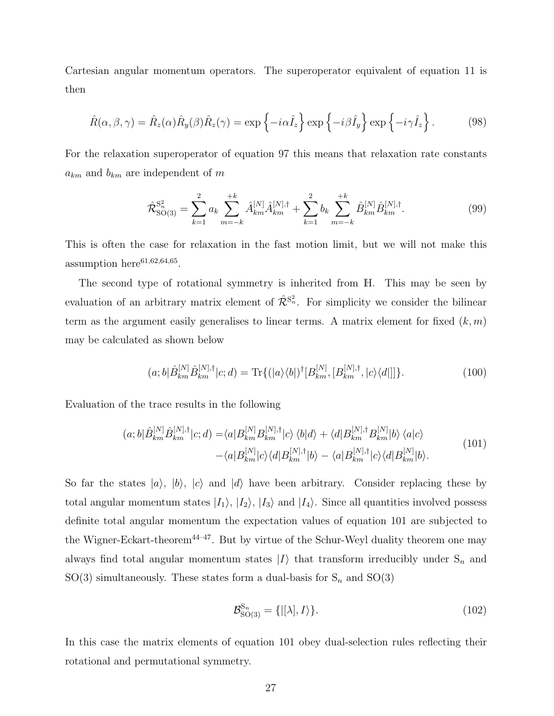Cartesian angular momentum operators. The superoperator equivalent of equation 11 is then

$$
\hat{R}(\alpha,\beta,\gamma) = \hat{R}_z(\alpha)\hat{R}_y(\beta)\hat{R}_z(\gamma) = \exp\left\{-i\alpha\hat{I}_z\right\} \exp\left\{-i\beta\hat{I}_y\right\} \exp\left\{-i\gamma\hat{I}_z\right\}.
$$
 (98)

For the relaxation superoperator of equation 97 this means that relaxation rate constants  $a_{km}$  and  $b_{km}$  are independent of m

$$
\hat{\mathcal{R}}_{\text{SO}(3)}^{\text{S}_n^2} = \sum_{k=1}^2 a_k \sum_{m=-k}^{+k} \hat{A}_{km}^{[N]} \hat{A}_{km}^{[N],\dagger} + \sum_{k=1}^2 b_k \sum_{m=-k}^{+k} \hat{B}_{km}^{[N]} \hat{B}_{km}^{[N],\dagger}.
$$
\n(99)

This is often the case for relaxation in the fast motion limit, but we will not make this assumption here<sup>61,62,64,65</sup>.

The second type of rotational symmetry is inherited from H. This may be seen by evaluation of an arbitrary matrix element of  $\hat{\mathcal{R}}^{S_n^2}$ . For simplicity we consider the bilinear term as the argument easily generalises to linear terms. A matrix element for fixed  $(k, m)$ may be calculated as shown below

$$
(a;b|\hat{B}_{km}^{[N]}\hat{B}_{km}^{[N],\dagger}|c;d) = \text{Tr}\{(|a\rangle\langle b|)^{\dagger}[B_{km}^{[N]},[B_{km}^{[N],\dagger},|c\rangle\langle d|]]\}.
$$
 (100)

Evaluation of the trace results in the following

$$
(a;b|\hat{B}_{km}^{[N]}\hat{B}_{km}^{[N],\dagger}|c;d) = \langle a|B_{km}^{[N]}B_{km}^{[N],\dagger}|c\rangle\langle b|d\rangle + \langle d|B_{km}^{[N],\dagger}B_{km}^{[N]}|b\rangle\langle a|c\rangle -\langle a|B_{km}^{[N]}|c\rangle\langle d|B_{km}^{[N],\dagger}|b\rangle - \langle a|B_{km}^{[N],\dagger}|c\rangle\langle d|B_{km}^{[N]}|b\rangle.
$$
\n(101)

So far the states  $|a\rangle$ ,  $|b\rangle$ ,  $|c\rangle$  and  $|d\rangle$  have been arbitrary. Consider replacing these by total angular momentum states  $|I_1\rangle$ ,  $|I_2\rangle$ ,  $|I_3\rangle$  and  $|I_4\rangle$ . Since all quantities involved possess definite total angular momentum the expectation values of equation 101 are subjected to the Wigner-Eckart-theorem<sup>44–47</sup>. But by virtue of the Schur-Weyl duality theorem one may always find total angular momentum states  $|I\rangle$  that transform irreducibly under  $S_n$  and SO(3) simultaneously. These states form a dual-basis for  $S_n$  and SO(3)

$$
\mathcal{B}_{\text{SO}(3)}^{\text{S}_n} = \{ | [\lambda], I \rangle \}. \tag{102}
$$

In this case the matrix elements of equation 101 obey dual-selection rules reflecting their rotational and permutational symmetry.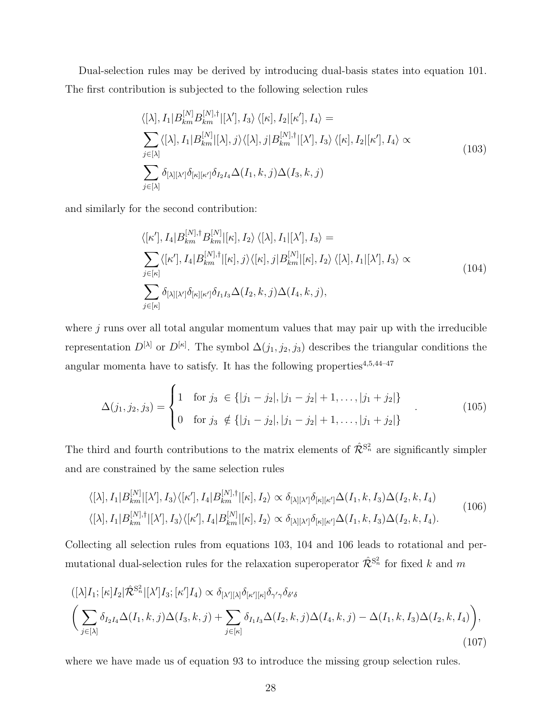Dual-selection rules may be derived by introducing dual-basis states into equation 101. The first contribution is subjected to the following selection rules

$$
\langle [\lambda], I_1 | B_{km}^{[N]} B_{km}^{[N], \dagger} | [\lambda'], I_3 \rangle \langle [\kappa], I_2 | [\kappa'], I_4 \rangle =
$$
\n
$$
\sum_{j \in [\lambda]} \langle [\lambda], I_1 | B_{km}^{[N]} | [\lambda], j \rangle \langle [\lambda], j | B_{km}^{[N], \dagger} | [\lambda'], I_3 \rangle \langle [\kappa], I_2 | [\kappa'], I_4 \rangle \propto
$$
\n
$$
\sum_{j \in [\lambda]} \delta_{[\lambda][\lambda']} \delta_{[\kappa][\kappa']} \delta_{I_2 I_4} \Delta(I_1, k, j) \Delta(I_3, k, j)
$$
\n(103)

and similarly for the second contribution:

$$
\langle[\kappa'], I_4 | B_{km}^{[N],\dagger} B_{km}^{[N]} |[\kappa], I_2 \rangle \langle [\lambda], I_1 | [\lambda'], I_3 \rangle =
$$
\n
$$
\sum_{j \in [\kappa]} \langle[\kappa'], I_4 | B_{km}^{[N],\dagger} |[\kappa], j \rangle \langle [\kappa], j | B_{km}^{[N]} |[\kappa], I_2 \rangle \langle [\lambda], I_1 | [\lambda'], I_3 \rangle \propto
$$
\n
$$
\sum_{j \in [\kappa]} \delta_{[\lambda][\lambda']} \delta_{[\kappa][\kappa']} \delta_{I_1 I_3} \Delta(I_2, k, j) \Delta(I_4, k, j),
$$
\n(104)

where  $j$  runs over all total angular momentum values that may pair up with the irreducible representation  $D^{[\lambda]}$  or  $D^{[\kappa]}$ . The symbol  $\Delta(j_1, j_2, j_3)$  describes the triangular conditions the angular momenta have to satisfy. It has the following properties  $4,5,44-47$ 

$$
\Delta(j_1, j_2, j_3) = \begin{cases} 1 & \text{for } j_3 \in \{ |j_1 - j_2|, |j_1 - j_2| + 1, \dots, |j_1 + j_2| \} \\ 0 & \text{for } j_3 \notin \{ |j_1 - j_2|, |j_1 - j_2| + 1, \dots, |j_1 + j_2| \} \end{cases}
$$
(105)

The third and fourth contributions to the matrix elements of  $\hat{\mathcal{R}}^{S_n^2}$  are significantly simpler and are constrained by the same selection rules

$$
\langle [\lambda], I_1 | B_{km}^{[N]} [ \lambda'], I_3 \rangle \langle [\kappa'], I_4 | B_{km}^{[N], \dagger} | [\kappa], I_2 \rangle \propto \delta_{[\lambda][\lambda']} \delta_{[\kappa][\kappa']} \Delta(I_1, k, I_3) \Delta(I_2, k, I_4)
$$
  

$$
\langle [\lambda], I_1 | B_{km}^{[N], \dagger} | [\lambda'], I_3 \rangle \langle [\kappa'], I_4 | B_{km}^{[N]} | [\kappa], I_2 \rangle \propto \delta_{[\lambda][\lambda']} \delta_{[\kappa][\kappa']} \Delta(I_1, k, I_3) \Delta(I_2, k, I_4).
$$
\n(106)

Collecting all selection rules from equations 103, 104 and 106 leads to rotational and permutational dual-selection rules for the relaxation superoperator  $\hat{\mathcal{R}}^{S_n^2}$  for fixed k and m

$$
\left( [\lambda]I_1; [\kappa]I_2 | \hat{\mathcal{R}}^{S_n^2} [ [\lambda']I_3; [\kappa']I_4] \propto \delta_{[\lambda'][\lambda]} \delta_{[\kappa'][\kappa]} \delta_{\gamma'\gamma} \delta_{\delta'\delta} \n\left( \sum_{j \in [\lambda]} \delta_{I_2 I_4} \Delta(I_1, k, j) \Delta(I_3, k, j) + \sum_{j \in [\kappa]} \delta_{I_1 I_3} \Delta(I_2, k, j) \Delta(I_4, k, j) - \Delta(I_1, k, I_3) \Delta(I_2, k, I_4) \right),
$$
\n(107)

where we have made us of equation 93 to introduce the missing group selection rules.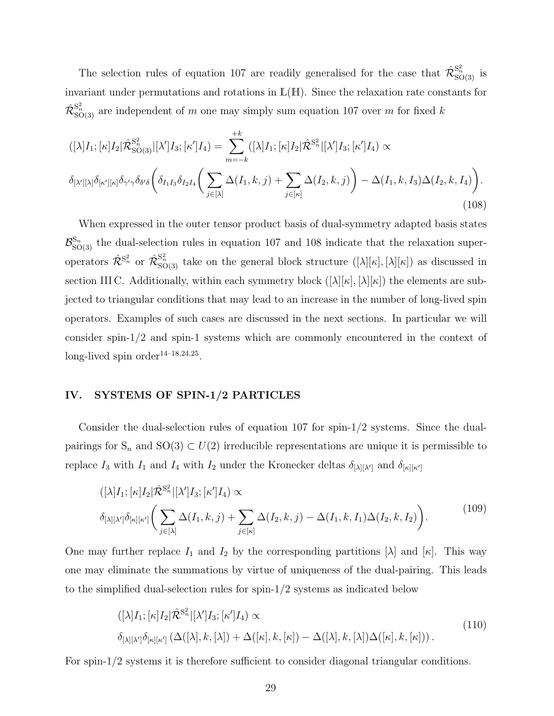The selection rules of equation 107 are readily generalised for the case that  $\hat{\mathcal{R}}_{\text{SO(3)}}^{S_n^2}$  is invariant under permutations and rotations in L(H). Since the relaxation rate constants for  $\hat{\mathcal{R}}_{\mathrm{SO}(3)}^{\mathrm{S}_n^2}$  are independent of m one may simply sum equation 107 over m for fixed k

$$
([\lambda]I_1; [\kappa]I_2 | \hat{\mathcal{R}}_{\text{SO}(3)}^{\text{S}_n^2} | [\lambda']I_3; [\kappa']I_4) = \sum_{m=-k}^{+k} ([\lambda]I_1; [\kappa]I_2 | \hat{\mathcal{R}}^{\text{S}_n^2} | [\lambda']I_3; [\kappa']I_4) \propto
$$
  

$$
\delta_{[\lambda'][\lambda]} \delta_{[\kappa'][\kappa]} \delta_{\gamma'\gamma} \delta_{\delta'\delta} \left( \delta_{I_1 I_3} \delta_{I_2 I_4} \left( \sum_{j \in [\lambda]} \Delta(I_1, k, j) + \sum_{j \in [\kappa]} \Delta(I_2, k, j) \right) - \Delta(I_1, k, I_3) \Delta(I_2, k, I_4) \right).
$$
(108)

When expressed in the outer tensor product basis of dual-symmetry adapted basis states  $\mathcal{B}_{\mathrm{SO}(3)}^{\mathrm{S}_n}$  the dual-selection rules in equation 107 and 108 indicate that the relaxation superoperators  $\hat{\mathcal{R}}^{S_n^2}$  or  $\hat{\mathcal{R}}_{\text{SO(3)}}^{S_n^2}$  take on the general block structure  $([\lambda][\kappa],[\lambda][\kappa])$  as discussed in section III C. Additionally, within each symmetry block  $([\lambda][\kappa], [\lambda][\kappa])$  the elements are subjected to triangular conditions that may lead to an increase in the number of long-lived spin operators. Examples of such cases are discussed in the next sections. In particular we will consider spin-1/2 and spin-1 systems which are commonly encountered in the context of  $long-lived spin order<sup>14-18,24,25</sup>.$ 

## IV. SYSTEMS OF SPIN-1/2 PARTICLES

Consider the dual-selection rules of equation 107 for spin-1/2 systems. Since the dualpairings for  $S_n$  and  $SO(3) \subset U(2)$  irreducible representations are unique it is permissible to replace  $I_3$  with  $I_1$  and  $I_4$  with  $I_2$  under the Kronecker deltas  $\delta_{[\lambda][\lambda']}$  and  $\delta_{[\kappa][\kappa']}$ 

$$
([\lambda]I_1; [\kappa]I_2 | \hat{\mathcal{R}}^{S_n^2} | [\lambda']I_3; [\kappa']I_4) \propto \delta_{[\lambda][\lambda']}\delta_{[\kappa][\kappa']} \left( \sum_{j \in [\lambda]} \Delta(I_1, k, j) + \sum_{j \in [\kappa]} \Delta(I_2, k, j) - \Delta(I_1, k, I_1) \Delta(I_2, k, I_2) \right).
$$
\n(109)

One may further replace  $I_1$  and  $I_2$  by the corresponding partitions  $[\lambda]$  and  $[\kappa]$ . This way one may eliminate the summations by virtue of uniqueness of the dual-pairing. This leads to the simplified dual-selection rules for spin-1/2 systems as indicated below

$$
\begin{aligned} \left( [\lambda] I_1; [\kappa] I_2 | \hat{\mathcal{R}}^{S_n^2} | [\lambda'] I_3; [\kappa'] I_4 \right) &\propto \\ \delta_{[\lambda][\lambda']} \delta_{[\kappa][\kappa']} \left( \Delta([\lambda], k, [\lambda]) + \Delta([\kappa], k, [\kappa]) - \Delta([\lambda], k, [\lambda]) \Delta([\kappa], k, [\kappa]) \right). \end{aligned} \tag{110}
$$

For spin-1/2 systems it is therefore sufficient to consider diagonal triangular conditions.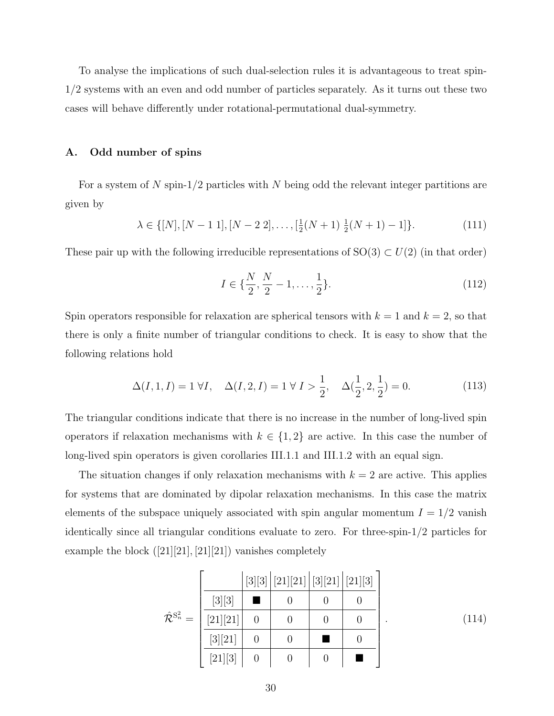To analyse the implications of such dual-selection rules it is advantageous to treat spin-1/2 systems with an even and odd number of particles separately. As it turns out these two cases will behave differently under rotational-permutational dual-symmetry.

#### A. Odd number of spins

For a system of N spin-1/2 particles with N being odd the relevant integer partitions are given by

$$
\lambda \in \{[N], [N-1\ 1], [N-2\ 2], \dots, \left[\frac{1}{2}(N+1)\ \frac{1}{2}(N+1) - 1\right]\}.
$$
\n(111)

These pair up with the following irreducible representations of  $SO(3) \subset U(2)$  (in that order)

$$
I \in \{\frac{N}{2}, \frac{N}{2} - 1, \dots, \frac{1}{2}\}.
$$
\n(112)

Spin operators responsible for relaxation are spherical tensors with  $k = 1$  and  $k = 2$ , so that there is only a finite number of triangular conditions to check. It is easy to show that the following relations hold

$$
\Delta(I, 1, I) = 1 \,\forall I, \quad \Delta(I, 2, I) = 1 \,\forall I > \frac{1}{2}, \quad \Delta(\frac{1}{2}, 2, \frac{1}{2}) = 0. \tag{113}
$$

The triangular conditions indicate that there is no increase in the number of long-lived spin operators if relaxation mechanisms with  $k \in \{1,2\}$  are active. In this case the number of long-lived spin operators is given corollaries III.1.1 and III.1.2 with an equal sign.

The situation changes if only relaxation mechanisms with  $k = 2$  are active. This applies for systems that are dominated by dipolar relaxation mechanisms. In this case the matrix elements of the subspace uniquely associated with spin angular momentum  $I = 1/2$  vanish identically since all triangular conditions evaluate to zero. For three-spin-1/2 particles for example the block  $([21][21],[21][21])$  vanishes completely

|                                        |          |                | [3][3][21][21][3][21][21][21][3] |  |
|----------------------------------------|----------|----------------|----------------------------------|--|
|                                        | $[3][3]$ |                |                                  |  |
| $\hat{\mathcal{R}}^{\mathrm{S}_n^2} =$ | [21][21] | $\overline{0}$ | 0                                |  |
|                                        | [3][21]  | $\overline{0}$ | 0                                |  |
|                                        | [21][3]  | $\theta$       | $\overline{0}$                   |  |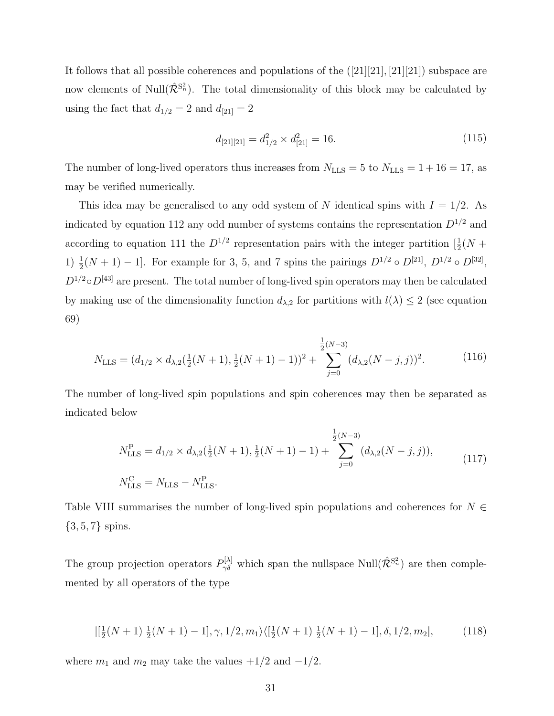It follows that all possible coherences and populations of the ([21][21], [21][21]) subspace are now elements of Null $(\hat{\mathcal{R}}^{S_n^2})$ . The total dimensionality of this block may be calculated by using the fact that  $d_{1/2} = 2$  and  $d_{[21]} = 2$ 

$$
d_{[21][21]} = d_{1/2}^2 \times d_{[21]}^2 = 16. \tag{115}
$$

The number of long-lived operators thus increases from  $N_{\text{LLS}} = 5$  to  $N_{\text{LLS}} = 1 + 16 = 17$ , as may be verified numerically.

This idea may be generalised to any odd system of N identical spins with  $I = 1/2$ . As indicated by equation 112 any odd number of systems contains the representation  $D^{1/2}$  and according to equation 111 the  $D^{1/2}$  representation pairs with the integer partition  $\left[\frac{1}{2}(N + \frac{1}{2})\right]$ 1)  $\frac{1}{2}(N+1) - 1$ . For example for 3, 5, and 7 spins the pairings  $D^{1/2} \circ D^{[21]}$ ,  $D^{1/2} \circ D^{[32]}$ ,  $D^{1/2} \circ D^{[43]}$  are present. The total number of long-lived spin operators may then be calculated by making use of the dimensionality function  $d_{\lambda,2}$  for partitions with  $l(\lambda) \leq 2$  (see equation 69)

$$
N_{\text{LLS}} = (d_{1/2} \times d_{\lambda,2}(\frac{1}{2}(N+1), \frac{1}{2}(N+1)-1))^2 + \sum_{j=0}^{\frac{1}{2}(N-3)} (d_{\lambda,2}(N-j,j))^2.
$$
 (116)

The number of long-lived spin populations and spin coherences may then be separated as indicated below

$$
N_{\text{LLS}}^{\text{P}} = d_{1/2} \times d_{\lambda,2} \left( \frac{1}{2} (N+1), \frac{1}{2} (N+1) - 1 \right) + \sum_{j=0}^{\frac{1}{2} (N-3)} (d_{\lambda,2} (N-j,j)),
$$
\n
$$
N_{\text{LLS}}^{\text{C}} = N_{\text{LLS}} - N_{\text{LLS}}^{\text{P}}.
$$
\n(117)

Table VIII summarises the number of long-lived spin populations and coherences for  $N \in$  $\{3, 5, 7\}$  spins.

The group projection operators  $P_{\gamma\delta}^{[\lambda]}$  which span the nullspace Null $(\hat{\mathcal{R}}^{S_n^2})$  are then complemented by all operators of the type

$$
|[\frac{1}{2}(N+1)\frac{1}{2}(N+1)-1], \gamma, 1/2, m_1\rangle\langle[\frac{1}{2}(N+1)\frac{1}{2}(N+1)-1], \delta, 1/2, m_2|,
$$
 (118)

where  $m_1$  and  $m_2$  may take the values  $+1/2$  and  $-1/2$ .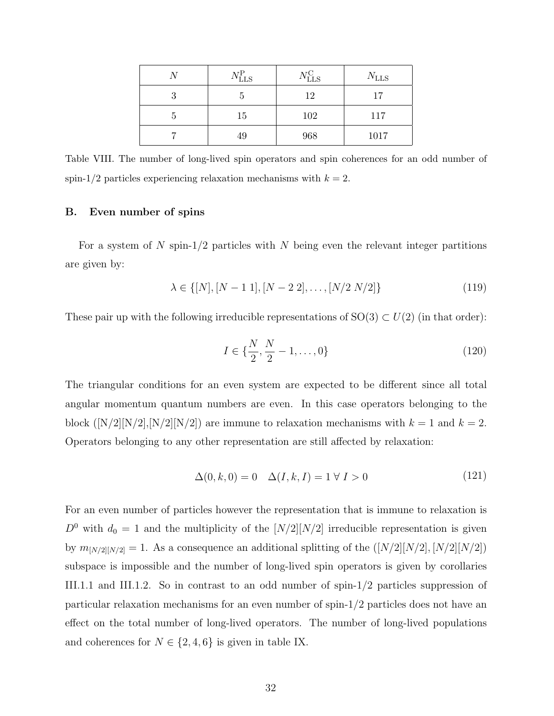|   | $N_{\rm LLS}^{\rm P}$ | $N_{\rm LLS}^{\rm C}$ | $N_{\rm LLS}$ |
|---|-----------------------|-----------------------|---------------|
| ว | G                     | 12                    | 17            |
| h | 15                    | 102                   | 117           |
|   | 49                    | 968                   | 1017          |

Table VIII. The number of long-lived spin operators and spin coherences for an odd number of spin-1/2 particles experiencing relaxation mechanisms with  $k = 2$ .

#### B. Even number of spins

For a system of N spin- $1/2$  particles with N being even the relevant integer partitions are given by:

$$
\lambda \in \{[N], [N-1\ 1], [N-2\ 2], \dots, [N/2\ N/2]\}\
$$
\n(119)

These pair up with the following irreducible representations of  $SO(3) \subset U(2)$  (in that order):

$$
I \in \{\frac{N}{2}, \frac{N}{2} - 1, \dots, 0\}
$$
\n(120)

The triangular conditions for an even system are expected to be different since all total angular momentum quantum numbers are even. In this case operators belonging to the block ([N/2][N/2],[N/2][N/2]) are immune to relaxation mechanisms with  $k = 1$  and  $k = 2$ . Operators belonging to any other representation are still affected by relaxation:

$$
\Delta(0,k,0) = 0 \quad \Delta(I,k,I) = 1 \quad \forall \ I > 0 \tag{121}
$$

For an even number of particles however the representation that is immune to relaxation is  $D^0$  with  $d_0 = 1$  and the multiplicity of the  $[N/2][N/2]$  irreducible representation is given by  $m_{[N/2][N/2]} = 1$ . As a consequence an additional splitting of the  $([N/2][N/2], [N/2][N/2])$ subspace is impossible and the number of long-lived spin operators is given by corollaries III.1.1 and III.1.2. So in contrast to an odd number of spin-1/2 particles suppression of particular relaxation mechanisms for an even number of spin-1/2 particles does not have an effect on the total number of long-lived operators. The number of long-lived populations and coherences for  $N \in \{2, 4, 6\}$  is given in table IX.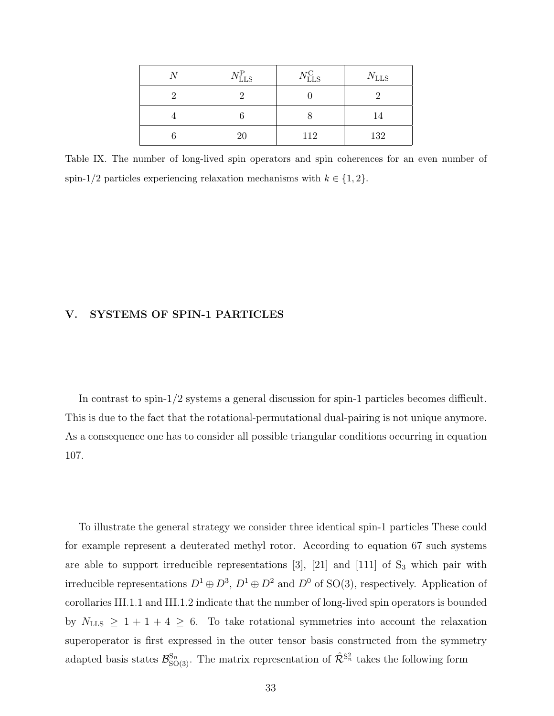| $N_{\rm LLS}^{\rm P}$ | $N_{\rm LLS}^{\rm C}$ | $N_{\rm LLS}$ |
|-----------------------|-----------------------|---------------|
|                       |                       |               |
|                       |                       | 14            |
| 20                    | 112                   | 132           |

Table IX. The number of long-lived spin operators and spin coherences for an even number of spin-1/2 particles experiencing relaxation mechanisms with  $k \in \{1, 2\}$ .

# V. SYSTEMS OF SPIN-1 PARTICLES

In contrast to spin-1/2 systems a general discussion for spin-1 particles becomes difficult. This is due to the fact that the rotational-permutational dual-pairing is not unique anymore. As a consequence one has to consider all possible triangular conditions occurring in equation 107.

To illustrate the general strategy we consider three identical spin-1 particles These could for example represent a deuterated methyl rotor. According to equation 67 such systems are able to support irreducible representations  $[3]$ ,  $[21]$  and  $[111]$  of  $S_3$  which pair with irreducible representations  $D^1 \oplus D^3$ ,  $D^1 \oplus D^2$  and  $D^0$  of SO(3), respectively. Application of corollaries III.1.1 and III.1.2 indicate that the number of long-lived spin operators is bounded by  $N_{\text{LLS}} \geq 1 + 1 + 4 \geq 6$ . To take rotational symmetries into account the relaxation superoperator is first expressed in the outer tensor basis constructed from the symmetry adapted basis states  $\mathcal{B}_{\text{SO(3)}}^{\text{S}_n}$ . The matrix representation of  $\hat{\mathcal{R}}^{\text{S}_n^2}$  takes the following form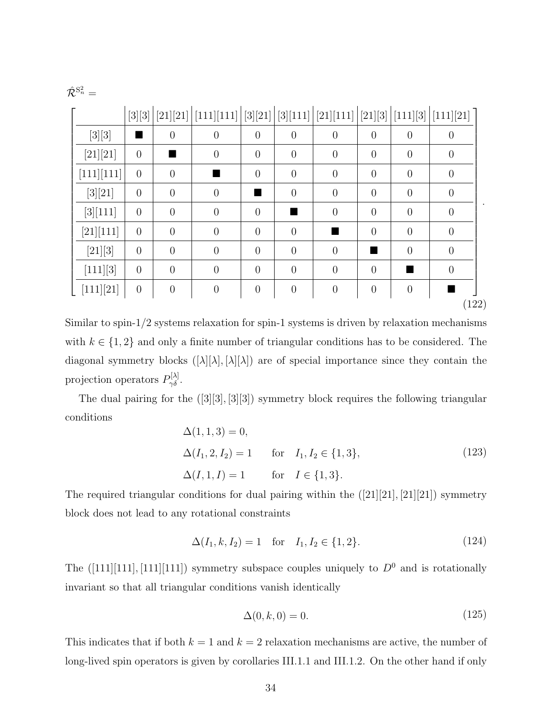|            |                  |                |                       |                  |                |                                |                |                | [111][21]      |
|------------|------------------|----------------|-----------------------|------------------|----------------|--------------------------------|----------------|----------------|----------------|
|            | $[3][3]$         |                | [21][21]   [111][111] | $[3][21]$        | [3][111]       | [21][111]   [21][3]   [111][3] |                |                |                |
| $[3][3]$   |                  | $\overline{0}$ | $\theta$              | $\overline{0}$   | $\overline{0}$ | $\overline{0}$                 | $\theta$       | $\overline{0}$ | $\overline{0}$ |
| [21][21]   | $\overline{0}$   |                | $\overline{0}$        | $\theta$         | $\overline{0}$ | $\overline{0}$                 | $\overline{0}$ | $\overline{0}$ | $\theta$       |
| [111][111] | $\overline{0}$   | $\overline{0}$ |                       | $\theta$         | $\overline{0}$ | $\overline{0}$                 | $\overline{0}$ | $\overline{0}$ | $\theta$       |
| [3][21]    | $\theta$         | $\overline{0}$ | $\theta$              |                  | $\overline{0}$ | $\theta$                       | $\overline{0}$ | $\overline{0}$ | $\theta$       |
| [3][111]   | $\overline{0}$   | $\overline{0}$ | $\overline{0}$        | $\theta$         |                | $\theta$                       | $\overline{0}$ | $\overline{0}$ | $\overline{0}$ |
| [21][111]  | $\overline{0}$   | $\overline{0}$ | $\overline{0}$        | $\overline{0}$   | $\overline{0}$ |                                | $\overline{0}$ | $\theta$       | $\overline{0}$ |
| [21][3]    | $\theta$         | $\theta$       | $\theta$              | $\theta$         | $\overline{0}$ | $\theta$                       |                | $\overline{0}$ | $\overline{0}$ |
| [111][3]   | $\overline{0}$   | $\overline{0}$ | $\overline{0}$        | $\theta$         | $\overline{0}$ | $\overline{0}$                 | $\theta$       |                | $\theta$       |
| [111][21]  | $\boldsymbol{0}$ | $\theta$       | $\theta$              | $\boldsymbol{0}$ | $\overline{0}$ | $\theta$                       | $\overline{0}$ | $\overline{0}$ |                |

Similar to spin-1/2 systems relaxation for spin-1 systems is driven by relaxation mechanisms with  $k \in \{1, 2\}$  and only a finite number of triangular conditions has to be considered. The diagonal symmetry blocks  $([\lambda][\lambda],[\lambda][\lambda])$  are of special importance since they contain the projection operators  $P_{\gamma\delta}^{[\lambda]}$ .

The dual pairing for the ([3][3], [3][3]) symmetry block requires the following triangular conditions

$$
\Delta(1, 1, 3) = 0,
$$
  
\n
$$
\Delta(I_1, 2, I_2) = 1 \quad \text{for} \quad I_1, I_2 \in \{1, 3\},
$$
  
\n
$$
\Delta(I, 1, I) = 1 \quad \text{for} \quad I \in \{1, 3\}.
$$
\n(123)

The required triangular conditions for dual pairing within the  $([21][21],[21][21])$  symmetry block does not lead to any rotational constraints

$$
\Delta(I_1, k, I_2) = 1 \quad \text{for} \quad I_1, I_2 \in \{1, 2\}.
$$
 (124)

The  $([111][111],[111][111])$  symmetry subspace couples uniquely to  $D^0$  and is rotationally invariant so that all triangular conditions vanish identically

$$
\Delta(0,k,0) = 0.\tag{125}
$$

This indicates that if both  $k = 1$  and  $k = 2$  relaxation mechanisms are active, the number of long-lived spin operators is given by corollaries III.1.1 and III.1.2. On the other hand if only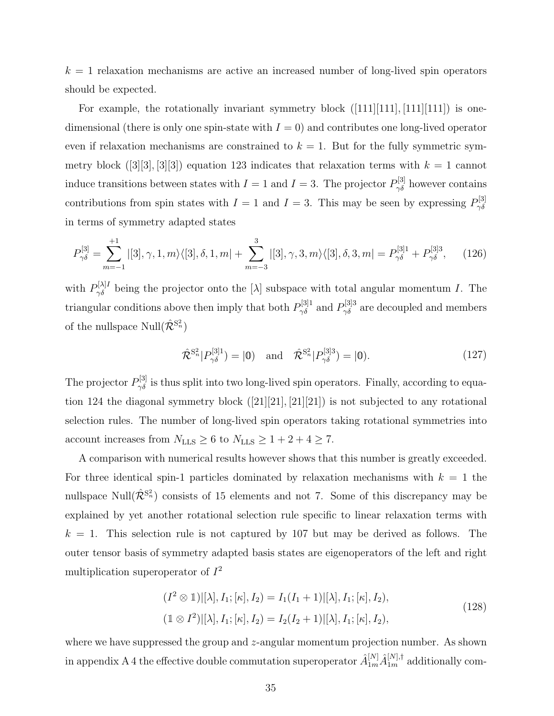$k = 1$  relaxation mechanisms are active an increased number of long-lived spin operators should be expected.

For example, the rotationally invariant symmetry block  $([111][111],[111][111])$  is onedimensional (there is only one spin-state with  $I = 0$ ) and contributes one long-lived operator even if relaxation mechanisms are constrained to  $k = 1$ . But for the fully symmetric symmetry block  $([3][3], [3][3])$  equation 123 indicates that relaxation terms with  $k = 1$  cannot induce transitions between states with  $I = 1$  and  $I = 3$ . The projector  $P_{\gamma\delta}^{[3]}$  however contains contributions from spin states with  $I = 1$  and  $I = 3$ . This may be seen by expressing  $P_{\gamma \delta}^{[3]}$  $\gamma\delta$ in terms of symmetry adapted states

$$
P_{\gamma\delta}^{[3]} = \sum_{m=-1}^{+1} |[3], \gamma, 1, m\rangle\langle[3], \delta, 1, m| + \sum_{m=-3}^{3} |[3], \gamma, 3, m\rangle\langle[3], \delta, 3, m| = P_{\gamma\delta}^{[3]1} + P_{\gamma\delta}^{[3]3}, \quad (126)
$$

with  $P_{\gamma\delta}^{[\lambda]I}$  being the projector onto the  $[\lambda]$  subspace with total angular momentum I. The triangular conditions above then imply that both  $P_{\gamma\delta}^{[3]1}$  and  $P_{\gamma\delta}^{[3]3}$  are decoupled and members of the nullspace  $\text{Null}(\hat{\mathcal{R}}^{\text{S}_n^2})$ 

$$
\hat{\mathcal{R}}^{S_n^2} | P_{\gamma \delta}^{[3]1} \rangle = |0\rangle \quad \text{and} \quad \hat{\mathcal{R}}^{S_n^2} | P_{\gamma \delta}^{[3]3} \rangle = |0\rangle. \tag{127}
$$

The projector  $P_{\gamma\delta}^{[3]}$  is thus split into two long-lived spin operators. Finally, according to equation 124 the diagonal symmetry block ([21][21], [21][21]) is not subjected to any rotational selection rules. The number of long-lived spin operators taking rotational symmetries into account increases from  $N_{\text{LLS}} \geq 6$  to  $N_{\text{LLS}} \geq 1 + 2 + 4 \geq 7$ .

A comparison with numerical results however shows that this number is greatly exceeded. For three identical spin-1 particles dominated by relaxation mechanisms with  $k = 1$  the nullspace Null $(\hat{\mathcal{R}}^{S_n^2})$  consists of 15 elements and not 7. Some of this discrepancy may be explained by yet another rotational selection rule specific to linear relaxation terms with  $k = 1$ . This selection rule is not captured by 107 but may be derived as follows. The outer tensor basis of symmetry adapted basis states are eigenoperators of the left and right multiplication superoperator of  $I^2$ 

$$
(I2 \otimes 1)|[\lambda], I_1; [\kappa], I_2) = I_1(I_1 + 1)|[\lambda], I_1; [\kappa], I_2),
$$
  

$$
(1 \otimes I^2)|[\lambda], I_1; [\kappa], I_2) = I_2(I_2 + 1)|[\lambda], I_1; [\kappa], I_2),
$$
 (128)

where we have suppressed the group and z-angular momentum projection number. As shown in appendix A 4 the effective double commutation superoperator  $\hat{A}_{1m}^{[N]} \hat{A}_{1m}^{[N],\dagger}$  additionally com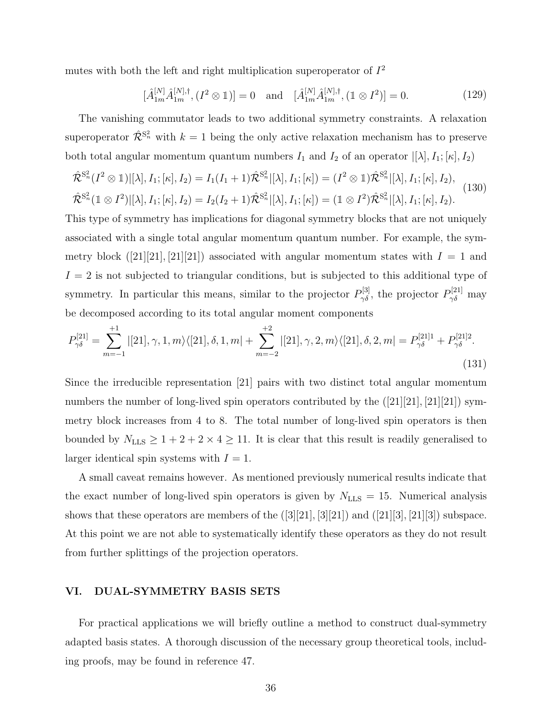mutes with both the left and right multiplication superoperator of  $I^2$ 

$$
[\hat{A}_{1m}^{[N]}\hat{A}_{1m}^{[N],\dagger}, (I^2 \otimes 1)] = 0 \text{ and } [\hat{A}_{1m}^{[N]}\hat{A}_{1m}^{[N],\dagger}, (1 \otimes I^2)] = 0. \tag{129}
$$

The vanishing commutator leads to two additional symmetry constraints. A relaxation superoperator  $\hat{\mathcal{R}}^{S_n^2}$  with  $k=1$  being the only active relaxation mechanism has to preserve both total angular momentum quantum numbers  $I_1$  and  $I_2$  of an operator  $|[\lambda], I_1; [\kappa], I_2$ 

$$
\hat{\mathcal{R}}^{S_n^2}(I^2 \otimes \mathbb{1})[[\lambda], I_1; [\kappa], I_2] = I_1(I_1 + 1)\hat{\mathcal{R}}^{S_n^2}[[\lambda], I_1; [\kappa]) = (I^2 \otimes \mathbb{1})\hat{\mathcal{R}}^{S_n^2}[[\lambda], I_1; [\kappa], I_2),
$$
  

$$
\hat{\mathcal{R}}^{S_n^2}(\mathbb{1} \otimes I^2)[[\lambda], I_1; [\kappa], I_2] = I_2(I_2 + 1)\hat{\mathcal{R}}^{S_n^2}[[\lambda], I_1; [\kappa]) = (\mathbb{1} \otimes I^2)\hat{\mathcal{R}}^{S_n^2}[[\lambda], I_1; [\kappa], I_2).
$$
\n(130)

This type of symmetry has implications for diagonal symmetry blocks that are not uniquely associated with a single total angular momentum quantum number. For example, the symmetry block ([21][21], [21][21]) associated with angular momentum states with  $I = 1$  and  $I = 2$  is not subjected to triangular conditions, but is subjected to this additional type of symmetry. In particular this means, similar to the projector  $P_{\gamma\delta}^{[3]}$ , the projector  $P_{\gamma\delta}^{[21]}$  may be decomposed according to its total angular moment components

$$
P_{\gamma\delta}^{[21]} = \sum_{m=-1}^{+1} |[21], \gamma, 1, m\rangle\langle[21], \delta, 1, m| + \sum_{m=-2}^{+2} |[21], \gamma, 2, m\rangle\langle[21], \delta, 2, m| = P_{\gamma\delta}^{[21]1} + P_{\gamma\delta}^{[21]2}.
$$
\n(131)

Since the irreducible representation [21] pairs with two distinct total angular momentum numbers the number of long-lived spin operators contributed by the  $([21][21], [21][21])$  symmetry block increases from 4 to 8. The total number of long-lived spin operators is then bounded by  $N_{\text{LLS}} \ge 1 + 2 + 2 \times 4 \ge 11$ . It is clear that this result is readily generalised to larger identical spin systems with  $I = 1$ .

A small caveat remains however. As mentioned previously numerical results indicate that the exact number of long-lived spin operators is given by  $N_{\text{LLS}} = 15$ . Numerical analysis shows that these operators are members of the ([3][21], [3][21]) and ([21][3], [21][3]) subspace. At this point we are not able to systematically identify these operators as they do not result from further splittings of the projection operators.

## VI. DUAL-SYMMETRY BASIS SETS

For practical applications we will briefly outline a method to construct dual-symmetry adapted basis states. A thorough discussion of the necessary group theoretical tools, including proofs, may be found in reference 47.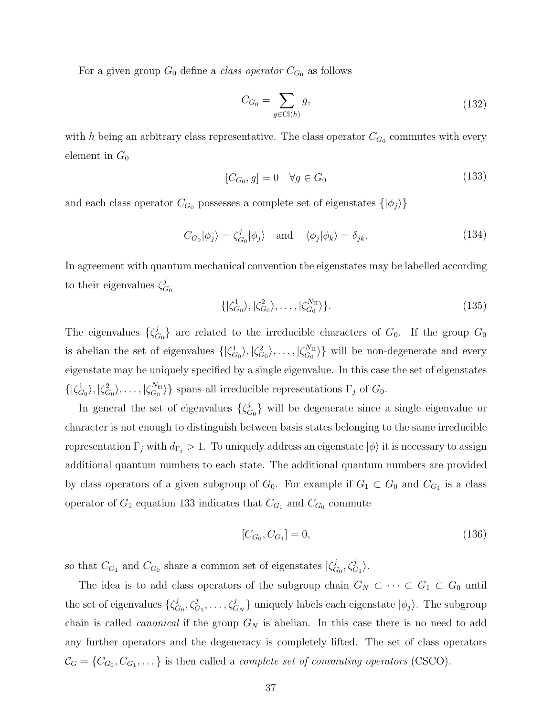For a given group  $G_0$  define a *class operator*  $C_{G_0}$  as follows

$$
C_{G_0} = \sum_{g \in \text{Cl}(h)} g,\tag{132}
$$

with h being an arbitrary class representative. The class operator  $C_{G_0}$  commutes with every element in  $G_0$ 

$$
[C_{G_0}, g] = 0 \quad \forall g \in G_0 \tag{133}
$$

and each class operator  $C_{G_0}$  possesses a complete set of eigenstates  $\{|\phi_j\rangle\}$ 

$$
C_{G_0}|\phi_j\rangle = \zeta_{G_0}^j|\phi_j\rangle \quad \text{and} \quad \langle \phi_j|\phi_k\rangle = \delta_{jk}.\tag{134}
$$

In agreement with quantum mechanical convention the eigenstates may be labelled according to their eigenvalues  $\zeta_c^j$  $G_{0}$ 

$$
\{|\zeta_{G_0}^1\rangle, |\zeta_{G_0}^2\rangle, \dots, |\zeta_{G_0}^{N_{\rm H}}\rangle\}.
$$
\n(135)

The eigenvalues  $\{\zeta_c^j\}$  $G_0$  are related to the irreducible characters of  $G_0$ . If the group  $G_0$ is abelian the set of eigenvalues  $\{|\zeta_{G_0}^1\rangle, |\zeta_{G_0}^2\rangle, \ldots, |\zeta_{G_0}^{N_{\text{H}}}$  $\binom{N_{\rm H}}{G_0}$  will be non-degenerate and every eigenstate may be uniquely specified by a single eigenvalue. In this case the set of eigenstates  $\{|\zeta_{G_0}^1\rangle,|\zeta_{G_0}^2\rangle,\ldots,|\zeta_{G_0}^{N_{\mathbb{H}}}$  $\binom{N_{\rm H}}{G_0}$  spans all irreducible representations  $\Gamma_j$  of  $G_0$ .

In general the set of eigenvalues  $\{\zeta_c^j\}$  $C_{G_0}$  will be degenerate since a single eigenvalue or character is not enough to distinguish between basis states belonging to the same irreducible representation  $\Gamma_j$  with  $d_{\Gamma_j} > 1$ . To uniquely address an eigenstate  $|\phi\rangle$  it is necessary to assign additional quantum numbers to each state. The additional quantum numbers are provided by class operators of a given subgroup of  $G_0$ . For example if  $G_1 \subset G_0$  and  $C_{G_1}$  is a class operator of  $G_1$  equation 133 indicates that  $C_{G_1}$  and  $C_{G_0}$  commute

$$
[C_{G_0}, C_{G_1}] = 0,\t\t(136)
$$

so that  $C_{G_1}$  and  $C_{G_0}$  share a common set of eigenstates  $\vert \zeta_G^j \vert$  $_{G_0}^j, \zeta_{G_1}^j \rangle.$ 

The idea is to add class operators of the subgroup chain  $G_N \subset \cdots \subset G_1 \subset G_0$  until the set of eigenvalues  $\{\zeta_c^j\}$  $\{\zeta^j_{G_1}, \zeta^j_{G_1}, \ldots, \zeta^j_{G_N}\}$  uniquely labels each eigenstate  $|\phi_j\rangle$ . The subgroup chain is called *canonical* if the group  $G_N$  is abelian. In this case there is no need to add any further operators and the degeneracy is completely lifted. The set of class operators  $\mathcal{C}_G = \{C_{G_0}, C_{G_1}, \dots\}$  is then called a *complete set of commuting operators* (CSCO).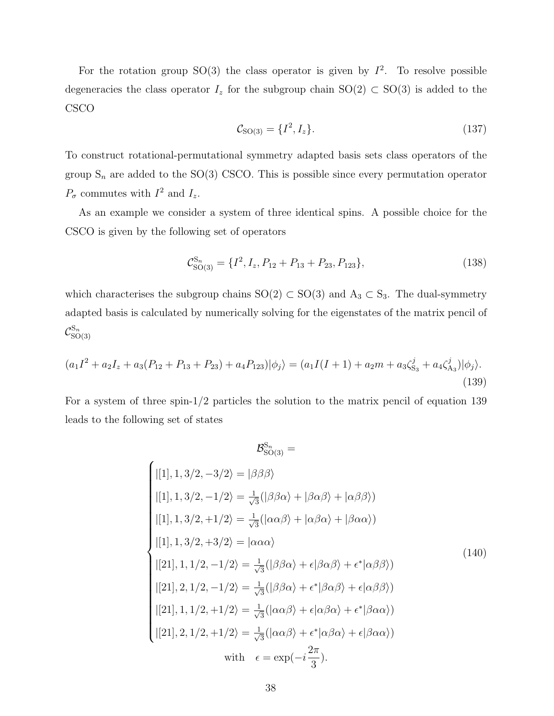For the rotation group SO(3) the class operator is given by  $I^2$ . To resolve possible degeneracies the class operator  $I_z$  for the subgroup chain SO(2) ⊂ SO(3) is added to the CSCO

$$
\mathcal{C}_{\text{SO}(3)} = \{I^2, I_z\}.\tag{137}
$$

To construct rotational-permutational symmetry adapted basis sets class operators of the group  $S_n$  are added to the SO(3) CSCO. This is possible since every permutation operator  $P_{\sigma}$  commutes with  $I^2$  and  $I_z$ .

As an example we consider a system of three identical spins. A possible choice for the CSCO is given by the following set of operators

$$
\mathcal{C}_{\text{SO}(3)}^{\text{S}_n} = \{I^2, I_z, P_{12} + P_{13} + P_{23}, P_{123}\},\tag{138}
$$

which characterises the subgroup chains  $SO(2) \subset SO(3)$  and  $A_3 \subset S_3$ . The dual-symmetry adapted basis is calculated by numerically solving for the eigenstates of the matrix pencil of  $\mathcal{C}^{\mathrm{S}_n}_{\mathrm{SC}}$  $SO(3)$ 

$$
(a_1I^2 + a_2I_z + a_3(P_{12} + P_{13} + P_{23}) + a_4P_{123})|\phi_j\rangle = (a_1I(I+1) + a_2m + a_3\zeta_{S_3}^j + a_4\zeta_{A_3}^j)|\phi_j\rangle.
$$
\n(139)

For a system of three spin-1/2 particles the solution to the matrix pencil of equation 139 leads to the following set of states

$$
\mathcal{B}_{SO(3)}^{S_n} =
$$
\n
$$
|[1], 1, 3/2, -3/2\rangle = |\beta\beta\beta\rangle
$$
\n
$$
|[1], 1, 3/2, -1/2\rangle = \frac{1}{\sqrt{3}}(|\beta\beta\alpha\rangle + |\beta\alpha\beta\rangle + |\alpha\beta\beta\rangle)
$$
\n
$$
|[1], 1, 3/2, +1/2\rangle = \frac{1}{\sqrt{3}}(|\alpha\alpha\beta\rangle + |\alpha\beta\alpha\rangle + |\beta\alpha\alpha\rangle)
$$
\n
$$
|[1], 1, 3/2, +3/2\rangle = |\alpha\alpha\alpha\rangle
$$
\n
$$
|[21], 1, 1/2, -1/2\rangle = \frac{1}{\sqrt{3}}(|\beta\beta\alpha\rangle + \epsilon|\beta\alpha\beta\rangle + \epsilon^*|\alpha\beta\beta\rangle)
$$
\n
$$
|[21], 2, 1/2, -1/2\rangle = \frac{1}{\sqrt{3}}(|\beta\beta\alpha\rangle + \epsilon^*|\beta\alpha\beta\rangle + \epsilon|\alpha\beta\beta\rangle)
$$
\n
$$
|[21], 1, 1/2, +1/2\rangle = \frac{1}{\sqrt{3}}(|\alpha\alpha\beta\rangle + \epsilon|\alpha\beta\alpha\rangle + \epsilon^*|\beta\alpha\alpha\rangle)
$$
\n
$$
|[21], 2, 1/2, +1/2\rangle = \frac{1}{\sqrt{3}}(|\alpha\alpha\beta\rangle + \epsilon^*|\alpha\beta\alpha\rangle + \epsilon|\beta\alpha\alpha\rangle)
$$
\nwith  $\epsilon = \exp(-i\frac{2\pi}{3})$ .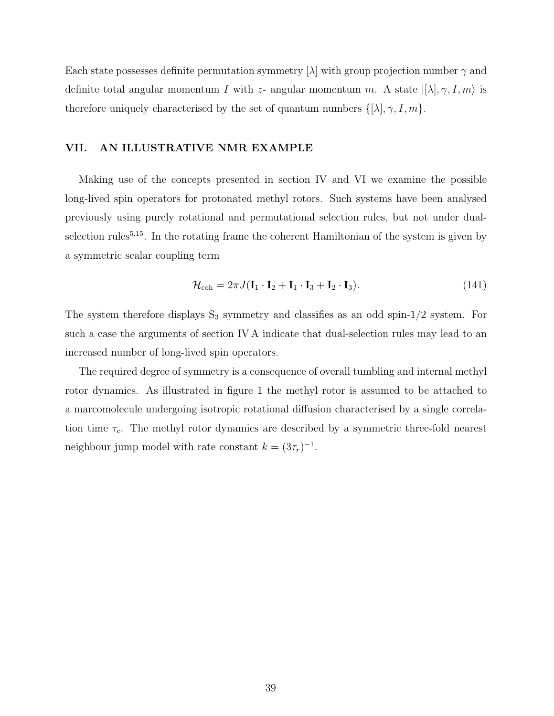Each state possesses definite permutation symmetry  $[\lambda]$  with group projection number  $\gamma$  and definite total angular momentum I with z- angular momentum m. A state  $|[\lambda], \gamma, I, m\rangle$  is therefore uniquely characterised by the set of quantum numbers  $\{[\lambda], \gamma, I, m\}.$ 

## VII. AN ILLUSTRATIVE NMR EXAMPLE

Making use of the concepts presented in section IV and VI we examine the possible long-lived spin operators for protonated methyl rotors. Such systems have been analysed previously using purely rotational and permutational selection rules, but not under dualselection rules<sup> $5,15$ </sup>. In the rotating frame the coherent Hamiltonian of the system is given by a symmetric scalar coupling term

$$
\mathcal{H}_{\text{coh}} = 2\pi J (\mathbf{I}_1 \cdot \mathbf{I}_2 + \mathbf{I}_1 \cdot \mathbf{I}_3 + \mathbf{I}_2 \cdot \mathbf{I}_3). \tag{141}
$$

The system therefore displays  $S_3$  symmetry and classifies as an odd spin- $1/2$  system. For such a case the arguments of section IV A indicate that dual-selection rules may lead to an increased number of long-lived spin operators.

The required degree of symmetry is a consequence of overall tumbling and internal methyl rotor dynamics. As illustrated in figure 1 the methyl rotor is assumed to be attached to a marcomolecule undergoing isotropic rotational diffusion characterised by a single correlation time  $\tau_c$ . The methyl rotor dynamics are described by a symmetric three-fold nearest neighbour jump model with rate constant  $k = (3\tau_r)^{-1}$ .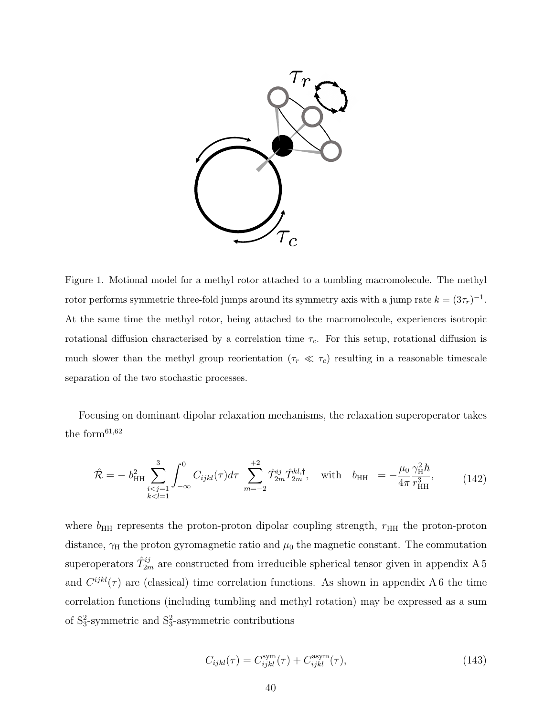

Figure 1. Motional model for a methyl rotor attached to a tumbling macromolecule. The methyl rotor performs symmetric three-fold jumps around its symmetry axis with a jump rate  $k = (3\tau_r)^{-1}$ . At the same time the methyl rotor, being attached to the macromolecule, experiences isotropic rotational diffusion characterised by a correlation time  $\tau_c$ . For this setup, rotational diffusion is much slower than the methyl group reorientation  $(\tau_r \ll \tau_c)$  resulting in a reasonable timescale separation of the two stochastic processes.

Focusing on dominant dipolar relaxation mechanisms, the relaxation superoperator takes the form $61,62$ 

$$
\hat{\mathcal{R}} = -b_{\rm HH}^2 \sum_{\substack{i < j=1 \\ k < l=1}}^3 \int_{-\infty}^0 C_{ijkl}(\tau) d\tau \sum_{m=-2}^{+2} \hat{T}_{2m}^{ij} \hat{T}_{2m}^{kl,\dagger}, \quad \text{with} \quad b_{\rm HH} = -\frac{\mu_0}{4\pi} \frac{\gamma_{\rm H}^2 \hbar}{r_{\rm HH}^3},\tag{142}
$$

where  $b_{HH}$  represents the proton-proton dipolar coupling strength,  $r_{HH}$  the proton-proton distance,  $\gamma_H$  the proton gyromagnetic ratio and  $\mu_0$  the magnetic constant. The commutation superoperators  $\hat{T}_{2m}^{ij}$  are constructed from irreducible spherical tensor given in appendix A 5 and  $C^{ijkl}(\tau)$  are (classical) time correlation functions. As shown in appendix A 6 the time correlation functions (including tumbling and methyl rotation) may be expressed as a sum of  $S_3^2$ -symmetric and  $S_3^2$ -asymmetric contributions

$$
C_{ijkl}(\tau) = C_{ijkl}^{\text{sym}}(\tau) + C_{ijkl}^{\text{asym}}(\tau), \qquad (143)
$$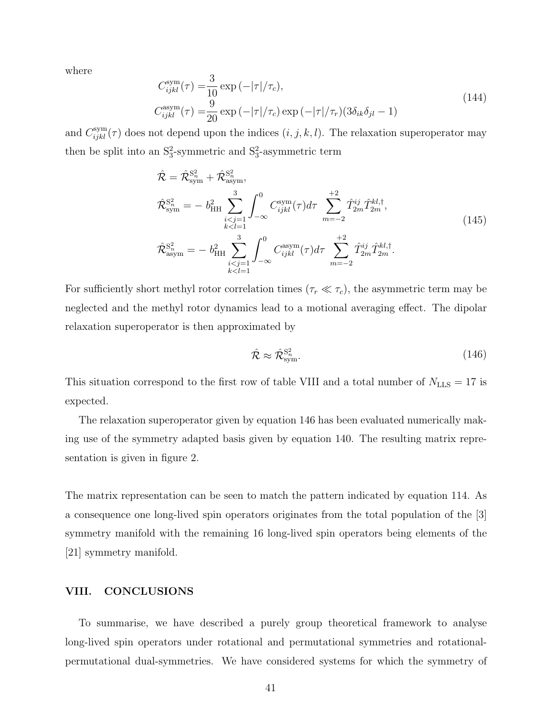where

$$
C_{ijkl}^{\text{sym}}(\tau) = \frac{3}{10} \exp\left(-|\tau|/\tau_c\right),
$$
  
\n
$$
C_{ijkl}^{\text{asym}}(\tau) = \frac{9}{20} \exp\left(-|\tau|/\tau_c\right) \exp\left(-|\tau|/\tau_r\right) \left(3\delta_{ik}\delta_{jl} - 1\right)
$$
\n(144)

and  $C_{ijkl}^{\text{sym}}(\tau)$  does not depend upon the indices  $(i, j, k, l)$ . The relaxation superoperator may then be split into an  $S_3^2$ -symmetric and  $S_3^2$ -asymmetric term

$$
\hat{\mathcal{R}} = \hat{\mathcal{R}}_{sym}^{S_n^2} + \hat{\mathcal{R}}_{asym}^{S_n^2}, \n\hat{\mathcal{R}}_{sym}^{S_n^2} = -b_{HH}^2 \sum_{\substack{i < j=1 \\ k < l=1}}^3 \int_{-\infty}^0 C_{ijkl}^{\text{sym}}(\tau) d\tau \sum_{m=-2}^{+2} \hat{T}_{2m}^{ij} \hat{T}_{2m}^{kl,\dagger}, \n\hat{\mathcal{R}}_{asym}^{S_n^2} = -b_{HH}^2 \sum_{\substack{i < j=1 \\ k < l=1}}^3 \int_{-\infty}^0 C_{ijkl}^{\text{asym}}(\tau) d\tau \sum_{m=-2}^{+2} \hat{T}_{2m}^{ij} \hat{T}_{2m}^{kl,\dagger}.
$$
\n(145)

For sufficiently short methyl rotor correlation times ( $\tau_r \ll \tau_c$ ), the asymmetric term may be neglected and the methyl rotor dynamics lead to a motional averaging effect. The dipolar relaxation superoperator is then approximated by

$$
\hat{\mathcal{R}} \approx \hat{\mathcal{R}}_{\text{sym}}^{\text{S}_n^2}.\tag{146}
$$

This situation correspond to the first row of table VIII and a total number of  $N_{\text{LLS}} = 17$  is expected.

The relaxation superoperator given by equation 146 has been evaluated numerically making use of the symmetry adapted basis given by equation 140. The resulting matrix representation is given in figure 2.

The matrix representation can be seen to match the pattern indicated by equation 114. As a consequence one long-lived spin operators originates from the total population of the [3] symmetry manifold with the remaining 16 long-lived spin operators being elements of the [21] symmetry manifold.

## VIII. CONCLUSIONS

To summarise, we have described a purely group theoretical framework to analyse long-lived spin operators under rotational and permutational symmetries and rotationalpermutational dual-symmetries. We have considered systems for which the symmetry of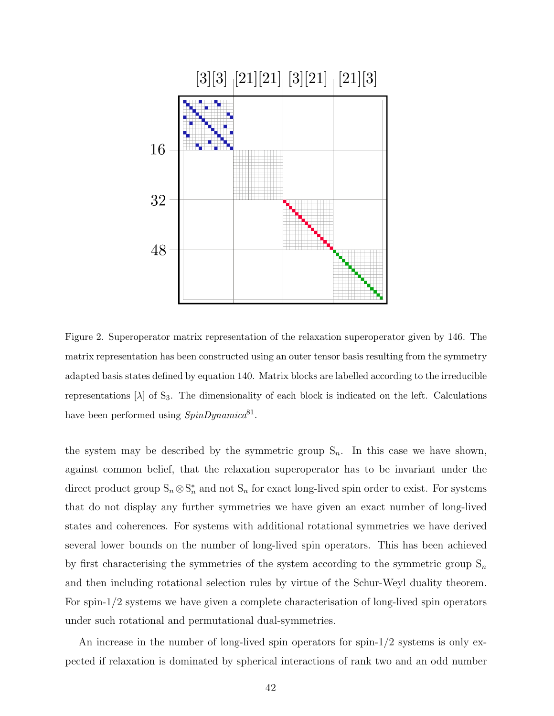

Figure 2. Superoperator matrix representation of the relaxation superoperator given by 146. The matrix representation has been constructed using an outer tensor basis resulting from the symmetry adapted basis states defined by equation 140. Matrix blocks are labelled according to the irreducible representations  $[\lambda]$  of S<sub>3</sub>. The dimensionality of each block is indicated on the left. Calculations have been performed using  $SpinDynamic^{81}$ .

the system may be described by the symmetric group  $S_n$ . In this case we have shown, against common belief, that the relaxation superoperator has to be invariant under the direct product group  $S_n \otimes S_n^*$  and not  $S_n$  for exact long-lived spin order to exist. For systems that do not display any further symmetries we have given an exact number of long-lived states and coherences. For systems with additional rotational symmetries we have derived several lower bounds on the number of long-lived spin operators. This has been achieved by first characterising the symmetries of the system according to the symmetric group  $S_n$ and then including rotational selection rules by virtue of the Schur-Weyl duality theorem. For spin-1/2 systems we have given a complete characterisation of long-lived spin operators under such rotational and permutational dual-symmetries.

An increase in the number of long-lived spin operators for spin- $1/2$  systems is only expected if relaxation is dominated by spherical interactions of rank two and an odd number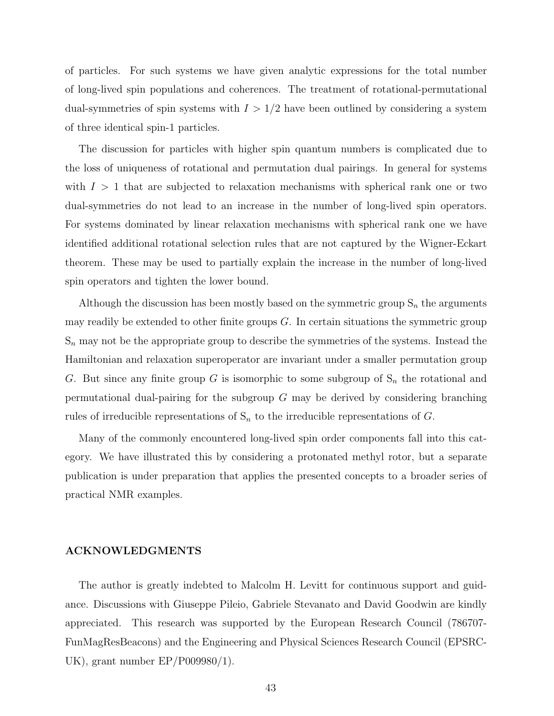of particles. For such systems we have given analytic expressions for the total number of long-lived spin populations and coherences. The treatment of rotational-permutational dual-symmetries of spin systems with  $I > 1/2$  have been outlined by considering a system of three identical spin-1 particles.

The discussion for particles with higher spin quantum numbers is complicated due to the loss of uniqueness of rotational and permutation dual pairings. In general for systems with  $I > 1$  that are subjected to relaxation mechanisms with spherical rank one or two dual-symmetries do not lead to an increase in the number of long-lived spin operators. For systems dominated by linear relaxation mechanisms with spherical rank one we have identified additional rotational selection rules that are not captured by the Wigner-Eckart theorem. These may be used to partially explain the increase in the number of long-lived spin operators and tighten the lower bound.

Although the discussion has been mostly based on the symmetric group  $S_n$  the arguments may readily be extended to other finite groups  $G$ . In certain situations the symmetric group  $S_n$  may not be the appropriate group to describe the symmetries of the systems. Instead the Hamiltonian and relaxation superoperator are invariant under a smaller permutation group G. But since any finite group G is isomorphic to some subgroup of  $S_n$  the rotational and permutational dual-pairing for the subgroup  $G$  may be derived by considering branching rules of irreducible representations of  $S_n$  to the irreducible representations of G.

Many of the commonly encountered long-lived spin order components fall into this category. We have illustrated this by considering a protonated methyl rotor, but a separate publication is under preparation that applies the presented concepts to a broader series of practical NMR examples.

## ACKNOWLEDGMENTS

The author is greatly indebted to Malcolm H. Levitt for continuous support and guidance. Discussions with Giuseppe Pileio, Gabriele Stevanato and David Goodwin are kindly appreciated. This research was supported by the European Research Council (786707- FunMagResBeacons) and the Engineering and Physical Sciences Research Council (EPSRC-UK), grant number EP/P009980/1).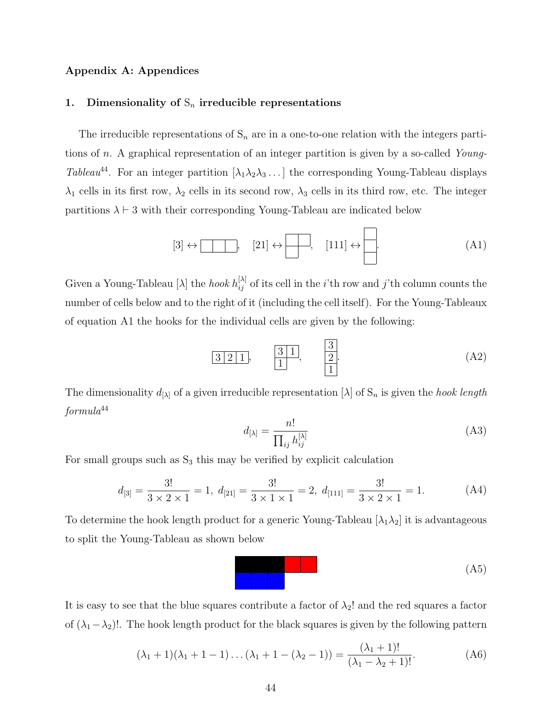## Appendix A: Appendices

## 1. Dimensionality of  $S_n$  irreducible representations

The irreducible representations of  $S_n$  are in a one-to-one relation with the integers partitions of n. A graphical representation of an integer partition is given by a so-called Young-Tableau<sup>44</sup>. For an integer partition  $[\lambda_1 \lambda_2 \lambda_3 \dots]$  the corresponding Young-Tableau displays  $\lambda_1$  cells in its first row,  $\lambda_2$  cells in its second row,  $\lambda_3$  cells in its third row, etc. The integer partitions  $\lambda \vdash 3$  with their corresponding Young-Tableau are indicated below

$$
[3] \leftrightarrow \boxed{\phantom{0}} , \quad [21] \leftrightarrow \boxed{\phantom{0}} , \quad [111] \leftrightarrow \boxed{\phantom{0}} . \tag{A1}
$$

Given a Young-Tableau [ $\lambda$ ] the *hook*  $h_{ij}^{[\lambda]}$  of its cell in the *i*'th row and *j*'th column counts the number of cells below and to the right of it (including the cell itself). For the Young-Tableaux of equation A1 the hooks for the individual cells are given by the following:

$$
\begin{array}{c|cc}\n3 & 2 & 1, \\
\hline\n1 & 1\n\end{array}\n\qquad\n\begin{array}{c|c}\n3 & 1 \\
\hline\n2 \\
\hline\n1\n\end{array}\n\tag{A2}
$$

The dimensionality  $d_{[\lambda]}$  of a given irreducible representation  $[\lambda]$  of  $S_n$  is given the *hook length*  $formula^{44}$ 

$$
d_{[\lambda]} = \frac{n!}{\prod_{ij} h_{ij}^{[\lambda]}} \tag{A3}
$$

For small groups such as  $S_3$  this may be verified by explicit calculation

$$
d_{[3]} = \frac{3!}{3 \times 2 \times 1} = 1, \ d_{[21]} = \frac{3!}{3 \times 1 \times 1} = 2, \ d_{[111]} = \frac{3!}{3 \times 2 \times 1} = 1. \tag{A4}
$$

To determine the hook length product for a generic Young-Tableau  $[\lambda_1 \lambda_2]$  it is advantageous to split the Young-Tableau as shown below

$$
\begin{array}{|c|c|c|c|c|}\n\hline\n\text{(A5)} \\
\hline\n\end{array}
$$

It is easy to see that the blue squares contribute a factor of  $\lambda_2$ ! and the red squares a factor of  $(\lambda_1-\lambda_2)!$ . The hook length product for the black squares is given by the following pattern

$$
(\lambda_1 + 1)(\lambda_1 + 1 - 1) \dots (\lambda_1 + 1 - (\lambda_2 - 1)) = \frac{(\lambda_1 + 1)!}{(\lambda_1 - \lambda_2 + 1)!}.
$$
 (A6)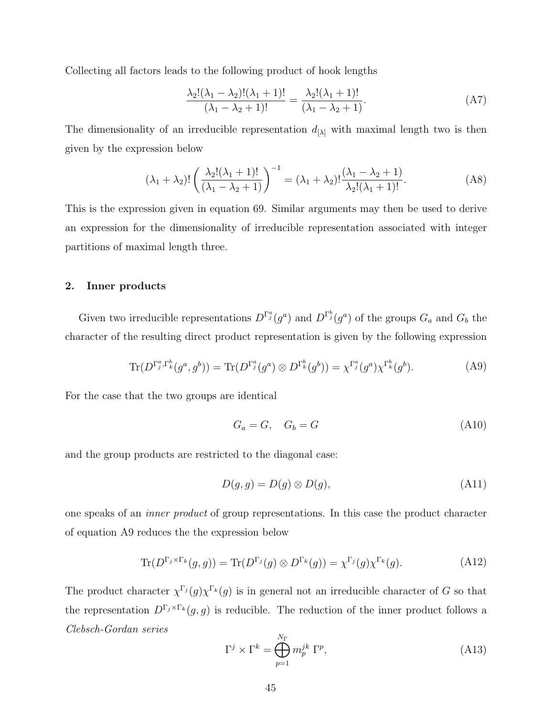Collecting all factors leads to the following product of hook lengths

$$
\frac{\lambda_2!(\lambda_1 - \lambda_2)!(\lambda_1 + 1)!}{(\lambda_1 - \lambda_2 + 1)!} = \frac{\lambda_2!(\lambda_1 + 1)!}{(\lambda_1 - \lambda_2 + 1)}.
$$
\n(A7)

The dimensionality of an irreducible representation  $d_{[\lambda]}$  with maximal length two is then given by the expression below

$$
(\lambda_1 + \lambda_2)! \left( \frac{\lambda_2! (\lambda_1 + 1)!}{(\lambda_1 - \lambda_2 + 1)} \right)^{-1} = (\lambda_1 + \lambda_2)! \frac{(\lambda_1 - \lambda_2 + 1)}{\lambda_2! (\lambda_1 + 1)!}.
$$
 (A8)

This is the expression given in equation 69. Similar arguments may then be used to derive an expression for the dimensionality of irreducible representation associated with integer partitions of maximal length three.

## 2. Inner products

Given two irreducible representations  $D^{\Gamma_j^a}(g^a)$  and  $D^{\Gamma_j^b}(g^a)$  of the groups  $G_a$  and  $G_b$  the character of the resulting direct product representation is given by the following expression

$$
\text{Tr}(D^{\Gamma_j^a, \Gamma_k^b}(g^a, g^b)) = \text{Tr}(D^{\Gamma_j^a}(g^a) \otimes D^{\Gamma_k^b}(g^b)) = \chi^{\Gamma_j^a}(g^a) \chi^{\Gamma_k^b}(g^b). \tag{A9}
$$

For the case that the two groups are identical

$$
G_a = G, \quad G_b = G \tag{A10}
$$

and the group products are restricted to the diagonal case:

$$
D(g, g) = D(g) \otimes D(g), \tag{A11}
$$

one speaks of an inner product of group representations. In this case the product character of equation A9 reduces the the expression below

$$
\text{Tr}(D^{\Gamma_j \times \Gamma_k}(g,g)) = \text{Tr}(D^{\Gamma_j}(g) \otimes D^{\Gamma_k}(g)) = \chi^{\Gamma_j}(g) \chi^{\Gamma_k}(g). \tag{A12}
$$

The product character  $\chi^{\Gamma_j}(g) \chi^{\Gamma_k}(g)$  is in general not an irreducible character of G so that the representation  $D^{\Gamma_j \times \Gamma_k}(g, g)$  is reducible. The reduction of the inner product follows a Clebsch-Gordan series

$$
\Gamma^j \times \Gamma^k = \bigoplus_{p=1}^{N_{\Gamma}} m_p^{jk} \Gamma^p, \tag{A13}
$$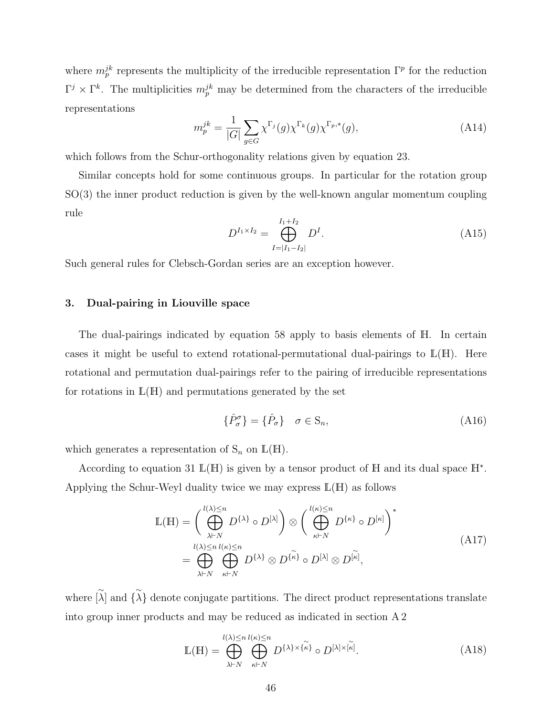where  $m_p^{jk}$  represents the multiplicity of the irreducible representation  $\Gamma^p$  for the reduction  $\Gamma^j \times \Gamma^k$ . The multiplicities  $m_p^{jk}$  may be determined from the characters of the irreducible representations

$$
m_p^{jk} = \frac{1}{|G|} \sum_{g \in G} \chi^{\Gamma_j}(g) \chi^{\Gamma_k}(g) \chi^{\Gamma_{p,*}}(g), \tag{A14}
$$

which follows from the Schur-orthogonality relations given by equation 23.

Similar concepts hold for some continuous groups. In particular for the rotation group SO(3) the inner product reduction is given by the well-known angular momentum coupling rule

$$
D^{I_1 \times I_2} = \bigoplus_{I=|I_1 - I_2|}^{I_1 + I_2} D^I.
$$
\n(A15)

Such general rules for Clebsch-Gordan series are an exception however.

## 3. Dual-pairing in Liouville space

The dual-pairings indicated by equation 58 apply to basis elements of H. In certain cases it might be useful to extend rotational-permutational dual-pairings to  $\mathbb{L}(\mathbb{H})$ . Here rotational and permutation dual-pairings refer to the pairing of irreducible representations for rotations in  $\mathbb{L}(\mathbb{H})$  and permutations generated by the set

$$
\{\hat{P}_{\sigma}^{\sigma}\} = \{\hat{P}_{\sigma}\} \quad \sigma \in \mathcal{S}_n,\tag{A16}
$$

which generates a representation of  $S_n$  on  $\mathbb{L}(\mathbb{H})$ .

According to equation 31  $\mathbb{L}(\mathbb{H})$  is given by a tensor product of H and its dual space  $\mathbb{H}^*$ . Applying the Schur-Weyl duality twice we may express  $\mathbb{L}(\mathbb{H})$  as follows

$$
\mathbb{L}(\mathbb{H}) = \left(\bigoplus_{\lambda \vdash N}^{l(\lambda) \le n} D^{\{\lambda\}} \circ D^{[\lambda]}\right) \otimes \left(\bigoplus_{\kappa \vdash N}^{l(\kappa) \le n} D^{\{\kappa\}} \circ D^{[\kappa]}\right)^{*}
$$
\n
$$
= \bigoplus_{\lambda \vdash N}^{l(\lambda) \le n} \bigoplus_{\kappa \vdash N}^{l(\kappa) \le n} D^{\{\lambda\}} \otimes D^{\{\kappa\}} \circ D^{[\lambda]} \otimes D^{[\kappa]},
$$
\n(A17)

where  $\tilde{\lambda}$  and  $\{\tilde{\lambda}\}$  denote conjugate partitions. The direct product representations translate into group inner products and may be reduced as indicated in section A 2

$$
\mathbb{L}(\mathbb{H}) = \bigoplus_{\lambda \vdash N} \bigoplus_{\kappa \vdash N} \bigoplus_{\kappa \vdash N} D^{\{\lambda\} \times \{\kappa\}} \circ D^{[\lambda] \times [\kappa]}.
$$
 (A18)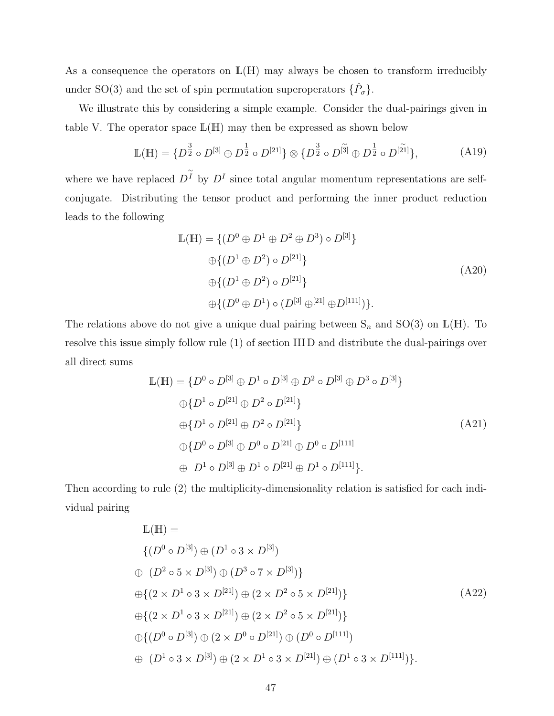As a consequence the operators on  $\mathbb{L}(\mathbb{H})$  may always be chosen to transform irreducibly under SO(3) and the set of spin permutation superoperators  $\{\hat{P}_{\sigma}\}.$ 

We illustrate this by considering a simple example. Consider the dual-pairings given in table V. The operator space  $\mathbb{L}(\mathbb{H})$  may then be expressed as shown below

$$
\mathbb{L}(\mathbb{H}) = \{ D^{\frac{3}{2}} \circ D^{[3]} \oplus D^{\frac{1}{2}} \circ D^{[21]}\} \otimes \{ D^{\frac{3}{2}} \circ D^{[\widetilde{3}]} \oplus D^{\frac{1}{2}} \circ D^{[\widetilde{21}]}\},\tag{A19}
$$

where we have replaced  $D^{\widetilde{I}}$  by  $D^{I}$  since total angular momentum representations are selfconjugate. Distributing the tensor product and performing the inner product reduction leads to the following

$$
\mathbb{L}(\mathbb{H}) = \{ (D^0 \oplus D^1 \oplus D^2 \oplus D^3) \circ D^{[3]} \}
$$
  
\n
$$
\oplus \{ (D^1 \oplus D^2) \circ D^{[21]} \}
$$
  
\n
$$
\oplus \{ (D^1 \oplus D^2) \circ D^{[21]} \}
$$
  
\n
$$
\oplus \{ (D^0 \oplus D^1) \circ (D^{[3]} \oplus [21] \oplus D^{[111]}) \}.
$$
  
\n(A20)

The relations above do not give a unique dual pairing between  $S_n$  and  $SO(3)$  on  $\mathbb{L}(\mathbb{H})$ . To resolve this issue simply follow rule (1) of section III D and distribute the dual-pairings over all direct sums

$$
\mathbb{L}(\mathbb{H}) = \{D^0 \circ D^{[3]} \oplus D^1 \circ D^{[3]} \oplus D^2 \circ D^{[3]} \oplus D^3 \circ D^{[3]}\}\
$$
  
\n
$$
\oplus \{D^1 \circ D^{[21]} \oplus D^2 \circ D^{[21]}\}\
$$
  
\n
$$
\oplus \{D^1 \circ D^{[21]} \oplus D^2 \circ D^{[21]}\}\
$$
  
\n
$$
\oplus \{D^0 \circ D^{[3]} \oplus D^0 \circ D^{[21]} \oplus D^0 \circ D^{[111]}\}\
$$
  
\n
$$
\oplus D^1 \circ D^{[3]} \oplus D^1 \circ D^{[21]} \oplus D^1 \circ D^{[111]}\}.
$$
  
\n(A21)

Then according to rule (2) the multiplicity-dimensionality relation is satisfied for each individual pairing

$$
\mathbb{L}(\mathbb{H}) =
$$
\n
$$
\{(D^{0} \circ D^{[3]}) \oplus (D^{1} \circ 3 \times D^{[3]})
$$
\n
$$
\oplus (D^{2} \circ 5 \times D^{[3]}) \oplus (D^{3} \circ 7 \times D^{[3]})\}
$$
\n
$$
\oplus \{(2 \times D^{1} \circ 3 \times D^{[21]}) \oplus (2 \times D^{2} \circ 5 \times D^{[21]})\}
$$
\n
$$
\oplus \{(D^{0} \circ D^{[3]}) \oplus (2 \times D^{0} \circ D^{[21]}) \oplus (D^{0} \circ D^{[111]})
$$
\n
$$
\oplus (D^{1} \circ 3 \times D^{[3]}) \oplus (2 \times D^{1} \circ 3 \times D^{[21]}) \oplus (D^{1} \circ 3 \times D^{[111]})\}.
$$
\n(A22)\n
$$
\oplus (D^{1} \circ 3 \times D^{[3]}) \oplus (2 \times D^{1} \circ 3 \times D^{[21]}) \oplus (D^{1} \circ 3 \times D^{[111]})\}.
$$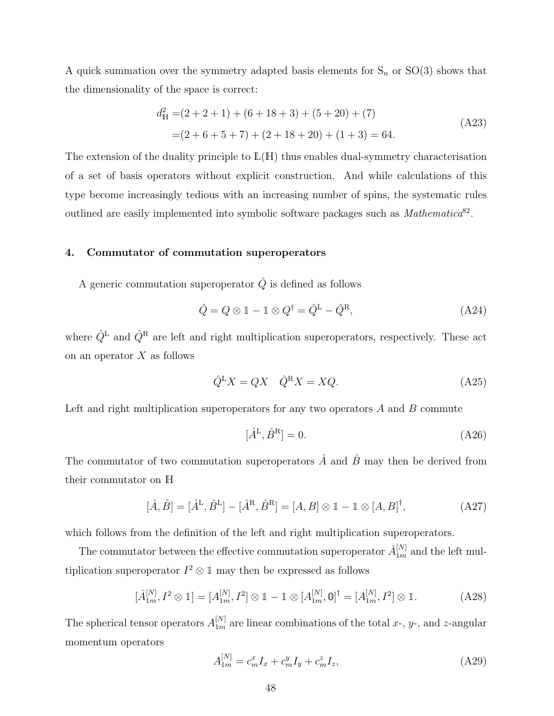A quick summation over the symmetry adapted basis elements for  $S_n$  or  $SO(3)$  shows that the dimensionality of the space is correct:

$$
d_{\mathbb{H}}^{2} = (2 + 2 + 1) + (6 + 18 + 3) + (5 + 20) + (7)
$$
  
= (2 + 6 + 5 + 7) + (2 + 18 + 20) + (1 + 3) = 64. (A23)

The extension of the duality principle to  $\mathbb{L}(\mathbb{H})$  thus enables dual-symmetry characterisation of a set of basis operators without explicit construction. And while calculations of this type become increasingly tedious with an increasing number of spins, the systematic rules outlined are easily implemented into symbolic software packages such as  $Mathematica<sup>82</sup>$ .

## 4. Commutator of commutation superoperators

A generic commutation superoperator  $\hat{Q}$  is defined as follows

$$
\hat{Q} = Q \otimes \mathbb{1} - \mathbb{1} \otimes Q^{\dagger} = \hat{Q}^{\mathcal{L}} - \hat{Q}^{\mathcal{R}},\tag{A24}
$$

where  $\hat{Q}^{\text{L}}$  and  $\hat{Q}^{\text{R}}$  are left and right multiplication superoperators, respectively. These act on an operator  $X$  as follows

$$
\hat{Q}^{\mathcal{L}}X = QX \quad \hat{Q}^{\mathcal{R}}X = XQ. \tag{A25}
$$

Left and right multiplication superoperators for any two operators  $A$  and  $B$  commute

$$
[\hat{A}^{\mathrm{L}}, \hat{B}^{\mathrm{R}}] = 0. \tag{A26}
$$

The commutator of two commutation superoperators  $\hat{A}$  and  $\hat{B}$  may then be derived from their commutator on H

$$
[\hat{A}, \hat{B}] = [\hat{A}^{\text{L}}, \hat{B}^{\text{L}}] - [\hat{A}^{\text{R}}, \hat{B}^{\text{R}}] = [A, B] \otimes \mathbb{1} - \mathbb{1} \otimes [A, B]^{\dagger},
$$
(A27)

which follows from the definition of the left and right multiplication superoperators.

The commutator between the effective commutation superoperator  $\hat{A}_{1m}^{[N]}$  and the left multiplication superoperator  $I^2 \otimes \mathbb{1}$  may then be expressed as follows

$$
[\hat{A}_{1m}^{[N]}, I^2 \otimes 1] = [A_{1m}^{[N]}, I^2] \otimes 1 - 1 \otimes [A_{1m}^{[N]}, 0]^\dagger = [A_{1m}^{[N]}, I^2] \otimes 1. \tag{A28}
$$

The spherical tensor operators  $A_{1m}^{[N]}$  are linear combinations of the total x-, y-, and z-angular momentum operators

$$
A_{1m}^{[N]} = c_m^x I_x + c_m^y I_y + c_m^z I_z,
$$
\n(A29)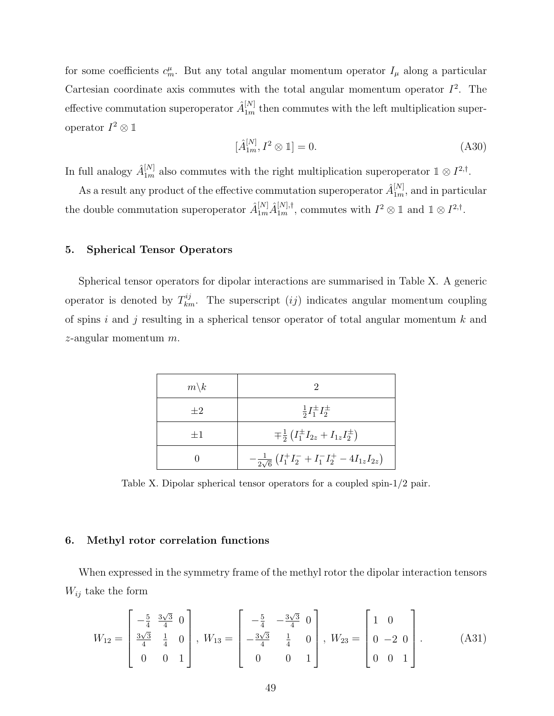for some coefficients  $c_m^{\mu}$ . But any total angular momentum operator  $I_{\mu}$  along a particular Cartesian coordinate axis commutes with the total angular momentum operator  $I^2$ . The effective commutation superoperator  $\hat{A}_{1m}^{[N]}$  then commutes with the left multiplication superoperator  $I^2 \otimes \mathbb{1}$ 

$$
\left[\hat{A}_{1m}^{[N]}, I^2 \otimes \mathbb{1}\right] = 0. \tag{A30}
$$

In full analogy  $\hat{A}_{1m}^{[N]}$  also commutes with the right multiplication superoperator  $\mathbb{1} \otimes I^{2,\dagger}$ .

As a result any product of the effective commutation superoperator  $\hat{A}_{1m}^{[N]}$ , and in particular the double commutation superoperator  $\hat{A}_{1m}^{[N]} \hat{A}_{1m}^{[N],\dagger}$ , commutes with  $I^2 \otimes \mathbb{1}$  and  $\mathbb{1} \otimes I^{2,\dagger}$ .

## 5. Spherical Tensor Operators

Spherical tensor operators for dipolar interactions are summarised in Table X. A generic operator is denoted by  $T_{km}^{ij}$ . The superscript  $(ij)$  indicates angular momentum coupling of spins i and j resulting in a spherical tensor operator of total angular momentum  $k$  and  $z$ -angular momentum  $m$ .

| $m\backslash k$ | 2                                                                          |
|-----------------|----------------------------------------------------------------------------|
| $+2$            | $\frac{1}{2}I_1^{\pm}I_2^{\pm}$                                            |
| $+1$            | $\mp \frac{1}{2} (I_1^{\pm} I_{2z} + I_{1z} I_2^{\pm})$                    |
|                 | $-\frac{1}{2\sqrt{6}}\left(I_1^+I_2^- + I_1^-I_2^+ - 4I_{1z}I_{2z}\right)$ |

Table X. Dipolar spherical tensor operators for a coupled spin-1/2 pair.

#### 6. Methyl rotor correlation functions

When expressed in the symmetry frame of the methyl rotor the dipolar interaction tensors  $W_{ij}$  take the form

$$
W_{12} = \begin{bmatrix} -\frac{5}{4} & \frac{3\sqrt{3}}{4} & 0\\ \frac{3\sqrt{3}}{4} & \frac{1}{4} & 0\\ 0 & 0 & 1 \end{bmatrix}, W_{13} = \begin{bmatrix} -\frac{5}{4} & -\frac{3\sqrt{3}}{4} & 0\\ -\frac{3\sqrt{3}}{4} & \frac{1}{4} & 0\\ 0 & 0 & 1 \end{bmatrix}, W_{23} = \begin{bmatrix} 1 & 0\\ 0 & -2 & 0\\ 0 & 0 & 1 \end{bmatrix}.
$$
 (A31)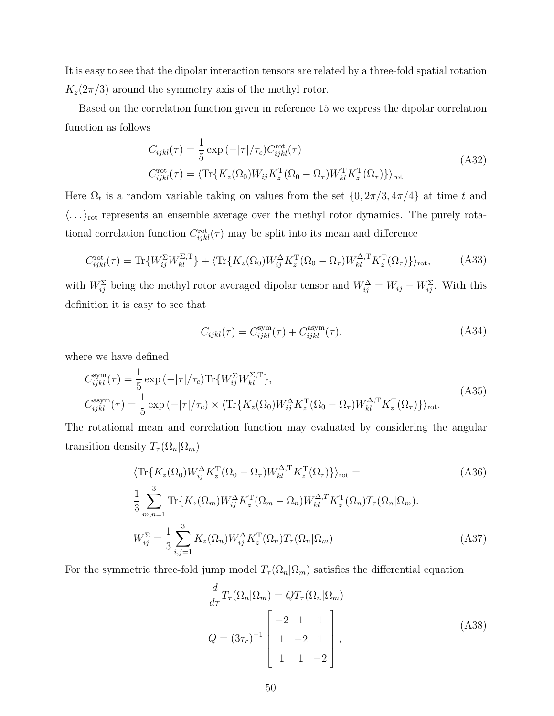It is easy to see that the dipolar interaction tensors are related by a three-fold spatial rotation  $K_z(2\pi/3)$  around the symmetry axis of the methyl rotor.

Based on the correlation function given in reference 15 we express the dipolar correlation function as follows

$$
C_{ijkl}(\tau) = \frac{1}{5} \exp\left(-|\tau|/\tau_c\right) C_{ijkl}^{\text{rot}}(\tau)
$$
  
\n
$$
C_{ijkl}^{\text{rot}}(\tau) = \langle \text{Tr}\{K_z(\Omega_0)W_{ij}K_z^{\text{T}}(\Omega_0 - \Omega_\tau)W_{kl}^{\text{T}}K_z^{\text{T}}(\Omega_\tau)\} \rangle_{\text{rot}}
$$
\n(A32)

Here  $\Omega_t$  is a random variable taking on values from the set  $\{0, 2\pi/3, 4\pi/4\}$  at time t and  $\langle \ldots \rangle_{\text{rot}}$  represents an ensemble average over the methyl rotor dynamics. The purely rotational correlation function  $C_{ijkl}^{\rm rot}(\tau)$  may be split into its mean and difference

$$
C_{ijkl}^{\rm rot}(\tau) = \text{Tr}\{W_{ij}^{\Sigma}W_{kl}^{\Sigma,\text{T}}\} + \langle \text{Tr}\{K_z(\Omega_0)W_{ij}^{\Delta}K_z^{\text{T}}(\Omega_0 - \Omega_\tau)W_{kl}^{\Delta,\text{T}}K_z^{\text{T}}(\Omega_\tau)\}\rangle_{\text{rot}},\tag{A33}
$$

with  $W_{ij}^{\Sigma}$  being the methyl rotor averaged dipolar tensor and  $W_{ij}^{\Delta} = W_{ij} - W_{ij}^{\Sigma}$ . With this definition it is easy to see that

$$
C_{ijkl}(\tau) = C_{ijkl}^{\text{sym}}(\tau) + C_{ijkl}^{\text{asym}}(\tau), \tag{A34}
$$

where we have defined

$$
C_{ijkl}^{\text{sym}}(\tau) = \frac{1}{5} \exp\left(-|\tau|/\tau_c\right) \text{Tr}\{W_{ij}^{\Sigma} W_{kl}^{\Sigma,\text{T}}\},
$$
\n
$$
C_{ijkl}^{\text{asym}}(\tau) = \frac{1}{5} \exp\left(-|\tau|/\tau_c\right) \times \langle \text{Tr}\{K_z(\Omega_0) W_{ij}^{\Delta} K_z^{\text{T}}(\Omega_0 - \Omega_\tau) W_{kl}^{\Delta,\text{T}} K_z^{\text{T}}(\Omega_\tau)\}\rangle_{\text{rot}}.
$$
\n(A35)

The rotational mean and correlation function may evaluated by considering the angular transition density  $T_{\tau}(\Omega_n|\Omega_m)$ 

$$
\langle \operatorname{Tr}\{K_z(\Omega_0)W_{ij}^{\Delta}K_z^{\mathrm{T}}(\Omega_0 - \Omega_\tau)W_{kl}^{\Delta,\mathrm{T}}K_z^{\mathrm{T}}(\Omega_\tau)\}\rangle_{\text{rot}} =
$$
\n
$$
\frac{1}{3} \sum_{m,n=1}^3 \operatorname{Tr}\{K_z(\Omega_m)W_{ij}^{\Delta}K_z^{\mathrm{T}}(\Omega_m - \Omega_n)W_{kl}^{\Delta,\mathrm{T}}K_z^{\mathrm{T}}(\Omega_n)T_\tau(\Omega_n|\Omega_m).
$$
\n
$$
W_{ij}^{\Sigma} = \frac{1}{3} \sum_{i,j=1}^3 K_z(\Omega_n)W_{ij}^{\Delta}K_z^{\mathrm{T}}(\Omega_n)T_\tau(\Omega_n|\Omega_m)
$$
\n(A37)

For the symmetric three-fold jump model  $T_{\tau}(\Omega_n|\Omega_m)$  satisfies the differential equation

$$
\frac{d}{d\tau}T_{\tau}(\Omega_n|\Omega_m) = QT_{\tau}(\Omega_n|\Omega_m)
$$
\n
$$
Q = (3\tau_r)^{-1} \begin{bmatrix} -2 & 1 & 1\\ 1 & -2 & 1\\ 1 & 1 & -2 \end{bmatrix},
$$
\n(A38)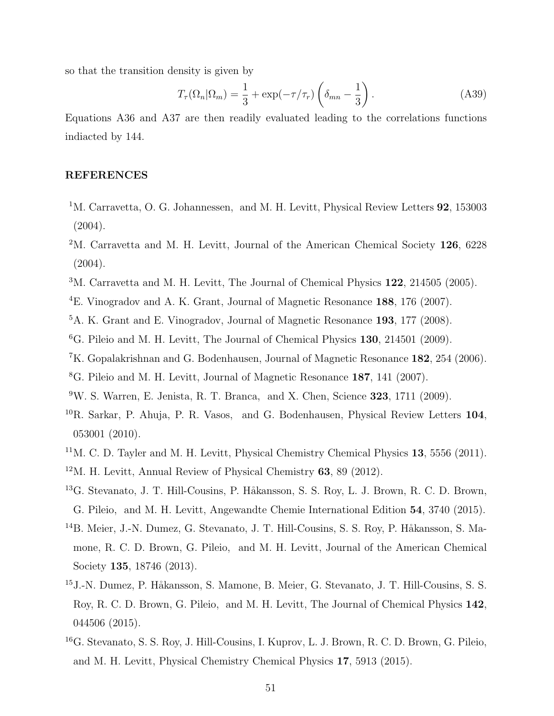so that the transition density is given by

$$
T_{\tau}(\Omega_n|\Omega_m) = \frac{1}{3} + \exp(-\tau/\tau_r) \left(\delta_{mn} - \frac{1}{3}\right). \tag{A39}
$$

Equations A36 and A37 are then readily evaluated leading to the correlations functions indiacted by 144.

# REFERENCES

- <sup>1</sup>M. Carravetta, O. G. Johannessen, and M. H. Levitt, Physical Review Letters **92**, 153003 (2004).
- <sup>2</sup>M. Carravetta and M. H. Levitt, Journal of the American Chemical Society 126, 6228 (2004).
- <sup>3</sup>M. Carravetta and M. H. Levitt, The Journal of Chemical Physics 122, 214505 (2005).
- <sup>4</sup>E. Vinogradov and A. K. Grant, Journal of Magnetic Resonance 188, 176 (2007).
- <sup>5</sup>A. K. Grant and E. Vinogradov, Journal of Magnetic Resonance 193, 177 (2008).
- ${}^{6}$ G. Pileio and M. H. Levitt, The Journal of Chemical Physics 130, 214501 (2009).
- <sup>7</sup>K. Gopalakrishnan and G. Bodenhausen, Journal of Magnetic Resonance 182, 254 (2006).
- <sup>8</sup>G. Pileio and M. H. Levitt, Journal of Magnetic Resonance 187, 141 (2007).
- $9W$ . S. Warren, E. Jenista, R. T. Branca, and X. Chen, Science 323, 1711 (2009).
- ${}^{10}R$ . Sarkar, P. Ahuja, P. R. Vasos, and G. Bodenhausen, Physical Review Letters 104, 053001 (2010).
- $11$ M. C. D. Tayler and M. H. Levitt, Physical Chemistry Chemical Physics 13, 5556 (2011).
- <sup>12</sup>M. H. Levitt, Annual Review of Physical Chemistry 63, 89 (2012).
- <sup>13</sup>G. Stevanato, J. T. Hill-Cousins, P. Håkansson, S. S. Roy, L. J. Brown, R. C. D. Brown, G. Pileio, and M. H. Levitt, Angewandte Chemie International Edition 54, 3740 (2015).
- <sup>14</sup>B. Meier, J.-N. Dumez, G. Stevanato, J. T. Hill-Cousins, S. S. Roy, P. Håkansson, S. Mamone, R. C. D. Brown, G. Pileio, and M. H. Levitt, Journal of the American Chemical Society 135, 18746 (2013).
- <sup>15</sup> J.-N. Dumez, P. Håkansson, S. Mamone, B. Meier, G. Stevanato, J. T. Hill-Cousins, S. S. Roy, R. C. D. Brown, G. Pileio, and M. H. Levitt, The Journal of Chemical Physics 142, 044506 (2015).
- <sup>16</sup>G. Stevanato, S. S. Roy, J. Hill-Cousins, I. Kuprov, L. J. Brown, R. C. D. Brown, G. Pileio, and M. H. Levitt, Physical Chemistry Chemical Physics 17, 5913 (2015).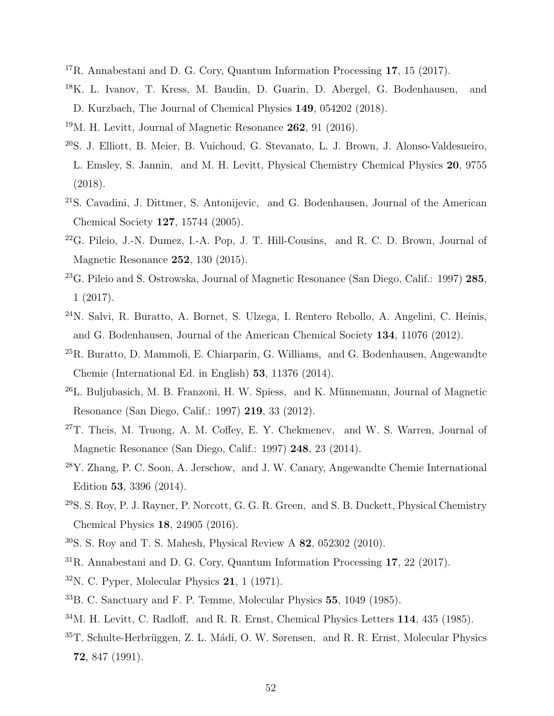- <sup>17</sup>R. Annabestani and D. G. Cory, Quantum Information Processing 17, 15 (2017).
- <sup>18</sup>K. L. Ivanov, T. Kress, M. Baudin, D. Guarin, D. Abergel, G. Bodenhausen, and D. Kurzbach, The Journal of Chemical Physics 149, 054202 (2018).
- $19M$ . H. Levitt, Journal of Magnetic Resonance 262, 91 (2016).
- <sup>20</sup>S. J. Elliott, B. Meier, B. Vuichoud, G. Stevanato, L. J. Brown, J. Alonso-Valdesueiro, L. Emsley, S. Jannin, and M. H. Levitt, Physical Chemistry Chemical Physics 20, 9755 (2018).
- <sup>21</sup>S. Cavadini, J. Dittmer, S. Antonijevic, and G. Bodenhausen, Journal of the American Chemical Society 127, 15744 (2005).
- $22$ G. Pileio, J.-N. Dumez, I.-A. Pop, J. T. Hill-Cousins, and R. C. D. Brown, Journal of Magnetic Resonance 252, 130 (2015).
- <sup>23</sup>G. Pileio and S. Ostrowska, Journal of Magnetic Resonance (San Diego, Calif.: 1997) 285, 1 (2017).
- <sup>24</sup>N. Salvi, R. Buratto, A. Bornet, S. Ulzega, I. Rentero Rebollo, A. Angelini, C. Heinis, and G. Bodenhausen, Journal of the American Chemical Society 134, 11076 (2012).
- <sup>25</sup>R. Buratto, D. Mammoli, E. Chiarparin, G. Williams, and G. Bodenhausen, Angewandte Chemie (International Ed. in English) 53, 11376 (2014).
- $^{26}$ L. Buljubasich, M. B. Franzoni, H. W. Spiess, and K. Münnemann, Journal of Magnetic Resonance (San Diego, Calif.: 1997) 219, 33 (2012).
- $27$ T. Theis, M. Truong, A. M. Coffey, E. Y. Chekmenev, and W. S. Warren, Journal of Magnetic Resonance (San Diego, Calif.: 1997) 248, 23 (2014).
- <sup>28</sup>Y. Zhang, P. C. Soon, A. Jerschow, and J. W. Canary, Angewandte Chemie International Edition 53, 3396 (2014).
- $29S. S. Rov, P. J. Rayner, P. Norcott, G. G. R. Green, and S. B. Duckett, Physical Chemistry$ Chemical Physics 18, 24905 (2016).
- <sup>30</sup>S. S. Roy and T. S. Mahesh, Physical Review A 82, 052302 (2010).
- <sup>31</sup>R. Annabestani and D. G. Cory, Quantum Information Processing 17, 22 (2017).
- $32$ N. C. Pyper, Molecular Physics 21, 1 (1971).
- <sup>33</sup>B. C. Sanctuary and F. P. Temme, Molecular Physics 55, 1049 (1985).
- <sup>34</sup>M. H. Levitt, C. Radloff, and R. R. Ernst, Chemical Physics Letters 114, 435 (1985).
- $35T.$  Schulte-Herbrüggen, Z. L. Mádi, O. W. Sørensen, and R. R. Ernst, Molecular Physics 72, 847 (1991).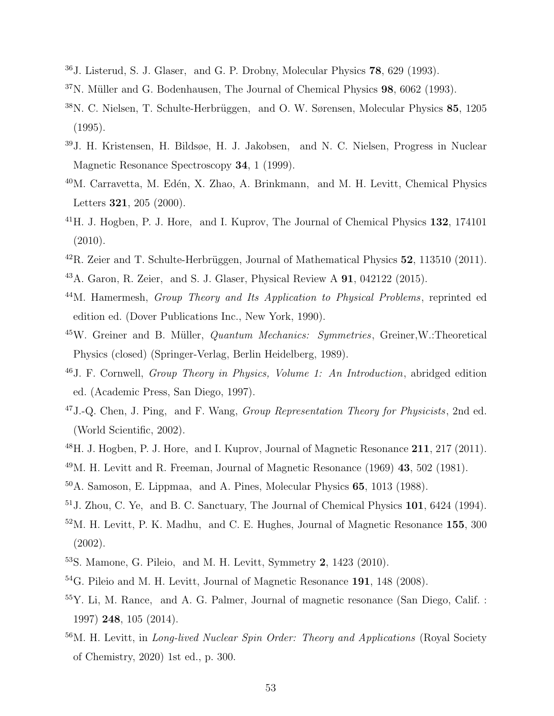- <sup>36</sup>J. Listerud, S. J. Glaser, and G. P. Drobny, Molecular Physics 78, 629 (1993).
- $37$ N. Müller and G. Bodenhausen, The Journal of Chemical Physics  $98$ ,  $6062$  (1993).
- <sup>38</sup>N. C. Nielsen, T. Schulte-Herbrüggen, and O. W. Sørensen, Molecular Physics 85, 1205 (1995).
- <sup>39</sup>J. H. Kristensen, H. Bildsøe, H. J. Jakobsen, and N. C. Nielsen, Progress in Nuclear Magnetic Resonance Spectroscopy 34, 1 (1999).
- <sup>40</sup>M. Carravetta, M. Edén, X. Zhao, A. Brinkmann, and M. H. Levitt, Chemical Physics Letters 321, 205 (2000).
- $^{41}$ H. J. Hogben, P. J. Hore, and I. Kuprov, The Journal of Chemical Physics 132, 174101 (2010).
- $^{42}R$ . Zeier and T. Schulte-Herbrüggen, Journal of Mathematical Physics  $52$ , 113510 (2011).
- <sup>43</sup>A. Garon, R. Zeier, and S. J. Glaser, Physical Review A 91, 042122 (2015).
- <sup>44</sup>M. Hamermesh, *Group Theory and Its Application to Physical Problems*, reprinted ed edition ed. (Dover Publications Inc., New York, 1990).
- $45W$ . Greiner and B. Müller, *Quantum Mechanics: Symmetries*, Greiner, W.: Theoretical Physics (closed) (Springer-Verlag, Berlin Heidelberg, 1989).
- <sup>46</sup>J. F. Cornwell, Group Theory in Physics, Volume 1: An Introduction, abridged edition ed. (Academic Press, San Diego, 1997).
- $47J$ .-Q. Chen, J. Ping, and F. Wang, *Group Representation Theory for Physicists*, 2nd ed. (World Scientific, 2002).
- <sup>48</sup>H. J. Hogben, P. J. Hore, and I. Kuprov, Journal of Magnetic Resonance 211, 217 (2011).
- <sup>49</sup>M. H. Levitt and R. Freeman, Journal of Magnetic Resonance (1969) 43, 502 (1981).
- <sup>50</sup>A. Samoson, E. Lippmaa, and A. Pines, Molecular Physics 65, 1013 (1988).
- <sup>51</sup>J. Zhou, C. Ye, and B. C. Sanctuary, The Journal of Chemical Physics 101, 6424 (1994).
- <sup>52</sup>M. H. Levitt, P. K. Madhu, and C. E. Hughes, Journal of Magnetic Resonance 155, 300 (2002).
- <sup>53</sup>S. Mamone, G. Pileio, and M. H. Levitt, Symmetry 2, 1423 (2010).
- <sup>54</sup>G. Pileio and M. H. Levitt, Journal of Magnetic Resonance **191**, 148 (2008).
- <sup>55</sup>Y. Li, M. Rance, and A. G. Palmer, Journal of magnetic resonance (San Diego, Calif. : 1997) 248, 105 (2014).
- <sup>56</sup>M. H. Levitt, in *Long-lived Nuclear Spin Order: Theory and Applications* (Royal Society of Chemistry, 2020) 1st ed., p. 300.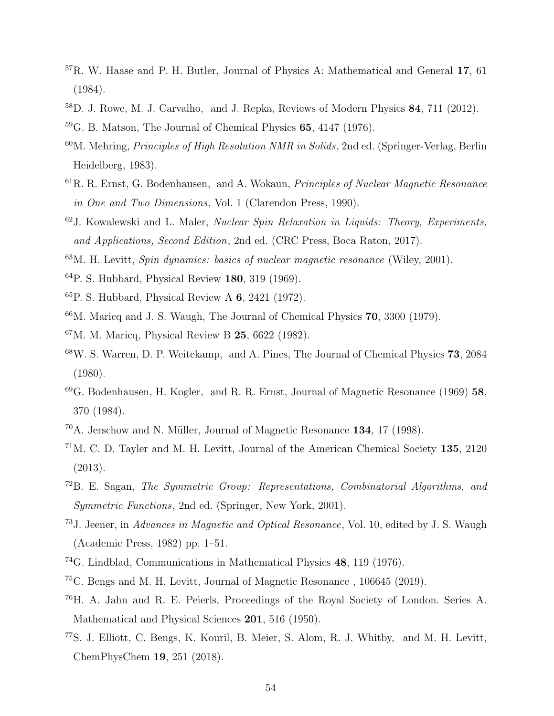- <sup>57</sup>R. W. Haase and P. H. Butler, Journal of Physics A: Mathematical and General 17, 61 (1984).
- <sup>58</sup>D. J. Rowe, M. J. Carvalho, and J. Repka, Reviews of Modern Physics 84, 711 (2012).
- $59G.$  B. Matson, The Journal of Chemical Physics 65, 4147 (1976).
- $60M$ . Mehring, *Principles of High Resolution NMR in Solids*, 2nd ed. (Springer-Verlag, Berlin Heidelberg, 1983).
- <sup>61</sup>R. R. Ernst, G. Bodenhausen, and A. Wokaun, Principles of Nuclear Magnetic Resonance in One and Two Dimensions, Vol. 1 (Clarendon Press, 1990).
- $62$ J. Kowalewski and L. Maler, *Nuclear Spin Relaxation in Liquids: Theory, Experiments,* and Applications, Second Edition, 2nd ed. (CRC Press, Boca Raton, 2017).
- $63M$ . H. Levitt, *Spin dynamics: basics of nuclear magnetic resonance* (Wiley, 2001).
- <sup>64</sup>P. S. Hubbard, Physical Review 180, 319 (1969).
- $65P$ . S. Hubbard, Physical Review A 6, 2421 (1972).
- $66$ M. Maricq and J. S. Waugh, The Journal of Chemical Physics  $70$ ,  $3300$  (1979).
- $67$ M. M. Maricq, Physical Review B 25, 6622 (1982).
- <sup>68</sup>W. S. Warren, D. P. Weitekamp, and A. Pines, The Journal of Chemical Physics 73, 2084 (1980).
- <sup>69</sup>G. Bodenhausen, H. Kogler, and R. R. Ernst, Journal of Magnetic Resonance (1969) 58, 370 (1984).
- $70$ A. Jerschow and N. Müller, Journal of Magnetic Resonance 134, 17 (1998).
- <sup>71</sup>M. C. D. Tayler and M. H. Levitt, Journal of the American Chemical Society 135, 2120 (2013).
- <sup>72</sup>B. E. Sagan, The Symmetric Group: Representations, Combinatorial Algorithms, and Symmetric Functions, 2nd ed. (Springer, New York, 2001).
- <sup>73</sup>J. Jeener, in Advances in Magnetic and Optical Resonance, Vol. 10, edited by J. S. Waugh (Academic Press, 1982) pp. 1–51.
- <sup>74</sup>G. Lindblad, Communications in Mathematical Physics 48, 119 (1976).
- <sup>75</sup>C. Bengs and M. H. Levitt, Journal of Magnetic Resonance , 106645 (2019).
- <sup>76</sup>H. A. Jahn and R. E. Peierls, Proceedings of the Royal Society of London. Series A. Mathematical and Physical Sciences 201, 516 (1950).
- <sup>77</sup>S. J. Elliott, C. Bengs, K. Kouril, B. Meier, S. Alom, R. J. Whitby, and M. H. Levitt, ChemPhysChem 19, 251 (2018).